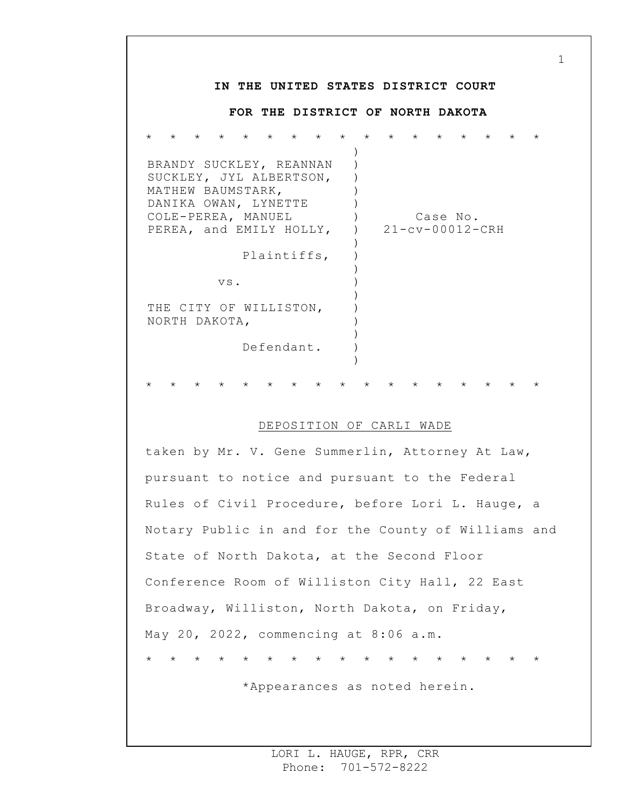## **IN THE UNITED STATES DISTRICT COURT FOR THE DISTRICT OF NORTH DAKOTA** \* \* \* \* \* \* \* \* \* \* \* \* \* \* \* \* \* BRANDY SUCKLEY, REANNAN SUCKLEY, JYL ALBERTSON, MATHEW BAUMSTARK, DANIKA OWAN, LYNETTE COLE-PEREA, MANUEL PEREA, and EMILY HOLLY, Plaintiffs, vs. THE CITY OF WILLISTON, NORTH DAKOTA, Defendant. ) ) ) )  $\left( \right)$  $)$  $\left( \right)$ )  $\left( \right)$ ) ) ) ) ) ) ) ) Case No. 21-cv-00012-CRH \* \* \* \* \* \* \* \* \* \* \* \* \* \* \* \* \*

## DEPOSITION OF CARLI WADE

taken by Mr. V. Gene Summerlin, Attorney At Law, pursuant to notice and pursuant to the Federal Rules of Civil Procedure, before Lori L. Hauge, a Notary Public in and for the County of Williams and State of North Dakota, at the Second Floor Conference Room of Williston City Hall, 22 East Broadway, Williston, North Dakota, on Friday, May 20, 2022, commencing at 8:06 a.m. \* \* \* \* \* \* \* \* \* \* \* \* \* \* \* \* \*

\*Appearances as noted herein.

1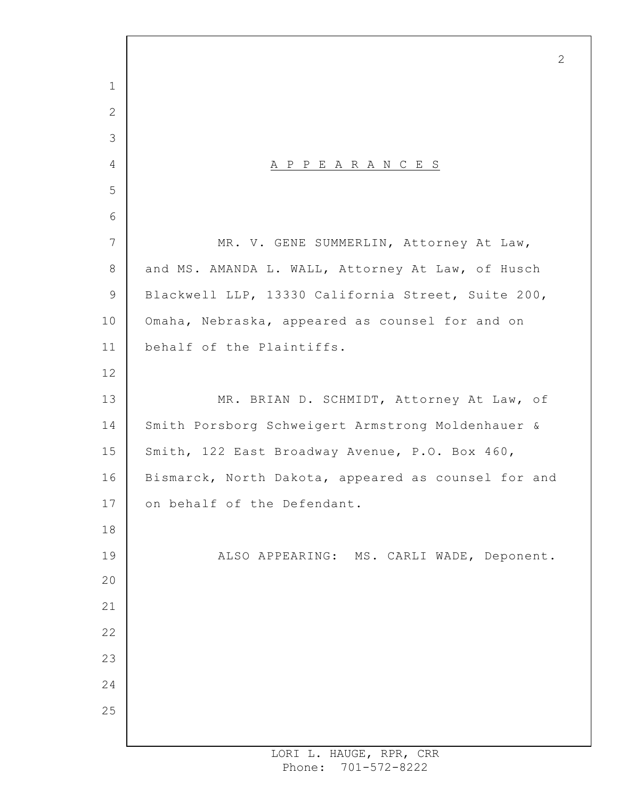A P P E A R A N C E S MR. V. GENE SUMMERLIN, Attorney At Law, and MS. AMANDA L. WALL, Attorney At Law, of Husch Blackwell LLP, 13330 California Street, Suite 200, Omaha, Nebraska, appeared as counsel for and on behalf of the Plaintiffs. MR. BRIAN D. SCHMIDT, Attorney At Law, of Smith Porsborg Schweigert Armstrong Moldenhauer & Smith, 122 East Broadway Avenue, P.O. Box 460, Bismarck, North Dakota, appeared as counsel for and on behalf of the Defendant. ALSO APPEARING: MS. CARLI WADE, Deponent.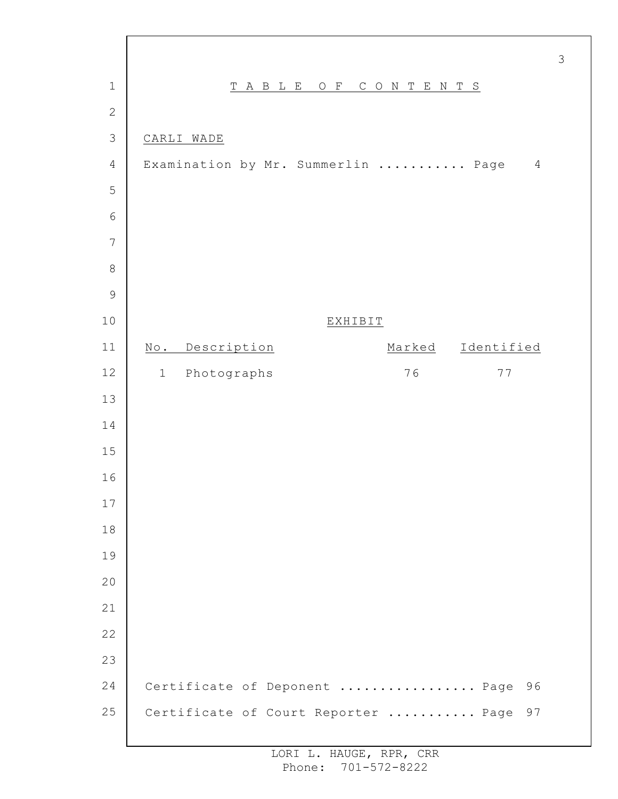| $\mathbf 1$     | T A B L E<br>$O$ F<br>CONTENTS                             |
|-----------------|------------------------------------------------------------|
| $\mathbf{2}$    |                                                            |
| $\mathcal{S}$   | CARLI WADE                                                 |
| $\sqrt{4}$      | Examination by Mr. Summerlin  Page<br>$\overline{4}$       |
| 5               |                                                            |
| $\sqrt{6}$      |                                                            |
| $7\phantom{.0}$ |                                                            |
| $\,8\,$         |                                                            |
| $\mathcal{G}$   |                                                            |
| 10              | <b>EXHIBIT</b>                                             |
| 11              | Description<br>Identified<br>Marked<br>$\mathbb{N}\circ$ . |
| 12              | Photographs<br>76<br>$7\,7$<br>$\mathbf 1$                 |
| 13              |                                                            |
| 14              |                                                            |
| 15              |                                                            |
| 16              |                                                            |
| 17              |                                                            |
| 18              |                                                            |
| 19              |                                                            |
| 20              |                                                            |
| 21              |                                                            |
| 22              |                                                            |
| 23              |                                                            |
| 24              | Certificate of Deponent  Page<br>96                        |
| 25              | Certificate of Court Reporter  Page<br>97                  |
|                 |                                                            |

 $\Gamma$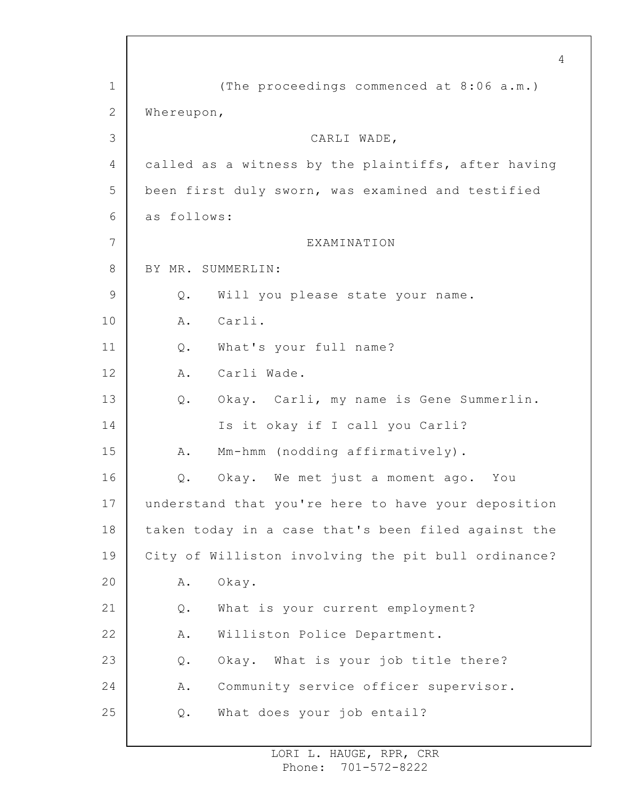1 2 3 4 5 6 7 8 9 10 11 12 13 14 15 16 17 18 19 20 21 22 23 24 25 4 (The proceedings commenced at 8:06 a.m.) Whereupon, CARLI WADE, called as a witness by the plaintiffs, after having been first duly sworn, was examined and testified as follows: EXAMINATION BY MR. SUMMERLIN: Q. Will you please state your name. A. Carli. Q. What's your full name? A. Carli Wade. Q. Okay. Carli, my name is Gene Summerlin. Is it okay if I call you Carli? A. Mm-hmm (nodding affirmatively). Q. Okay. We met just a moment ago. You understand that you're here to have your deposition taken today in a case that's been filed against the City of Williston involving the pit bull ordinance? A. Okay. Q. What is your current employment? A. Williston Police Department. Q. Okay. What is your job title there? A. Community service officer supervisor. Q. What does your job entail?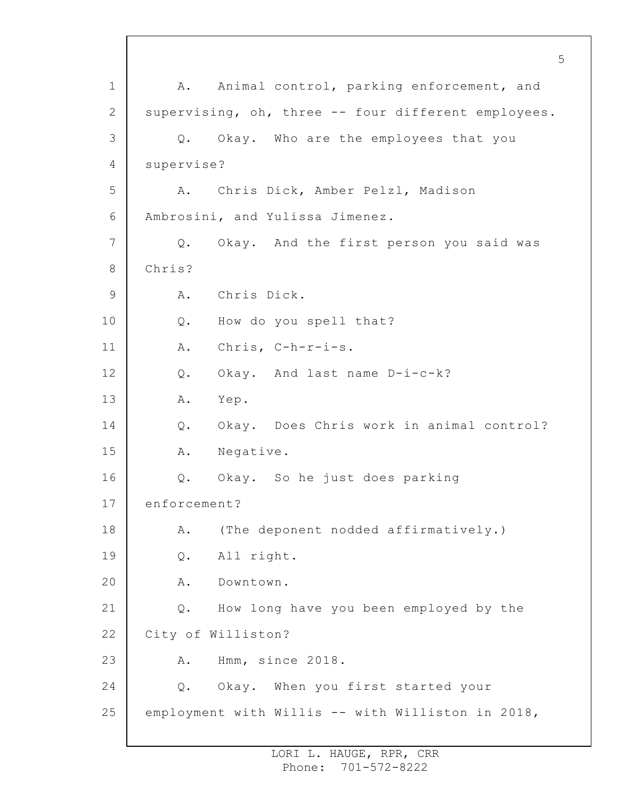1 2 3 4 5 6 7 8 9 10 11 12 13 14 15 16 17 18 19 20 21 22 23 24 25 A. Animal control, parking enforcement, and supervising, oh, three -- four different employees. Q. Okay. Who are the employees that you supervise? A. Chris Dick, Amber Pelzl, Madison Ambrosini, and Yulissa Jimenez. Q. Okay. And the first person you said was Chris? A. Chris Dick. Q. How do you spell that? A. Chris, C-h-r-i-s. Q. Okay. And last name D-i-c-k? A. Yep. Q. Okay. Does Chris work in animal control? A. Negative. Q. Okay. So he just does parking enforcement? A. (The deponent nodded affirmatively.) Q. All right. A. Downtown. Q. How long have you been employed by the City of Williston? A. Hmm, since 2018. Q. Okay. When you first started your employment with Willis -- with Williston in 2018,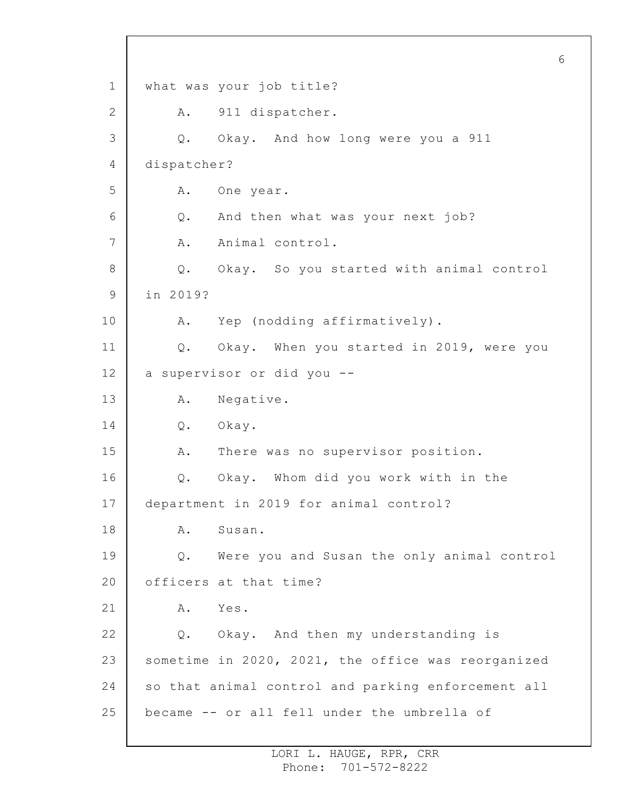1 2 3 4 5 6 7 8 9 10 11 12 13 14 15 16 17 18 19 20 21 22 23 24 25 6 what was your job title? A. 911 dispatcher. Q. Okay. And how long were you a 911 dispatcher? A. One year. Q. And then what was your next job? A. Animal control. Q. Okay. So you started with animal control in 2019? A. Yep (nodding affirmatively). Q. Okay. When you started in 2019, were you a supervisor or did you -- A. Negative. Q. Okay. A. There was no supervisor position. Q. Okay. Whom did you work with in the department in 2019 for animal control? A. Susan. Q. Were you and Susan the only animal control officers at that time? A. Yes. Q. Okay. And then my understanding is sometime in 2020, 2021, the office was reorganized so that animal control and parking enforcement all became -- or all fell under the umbrella of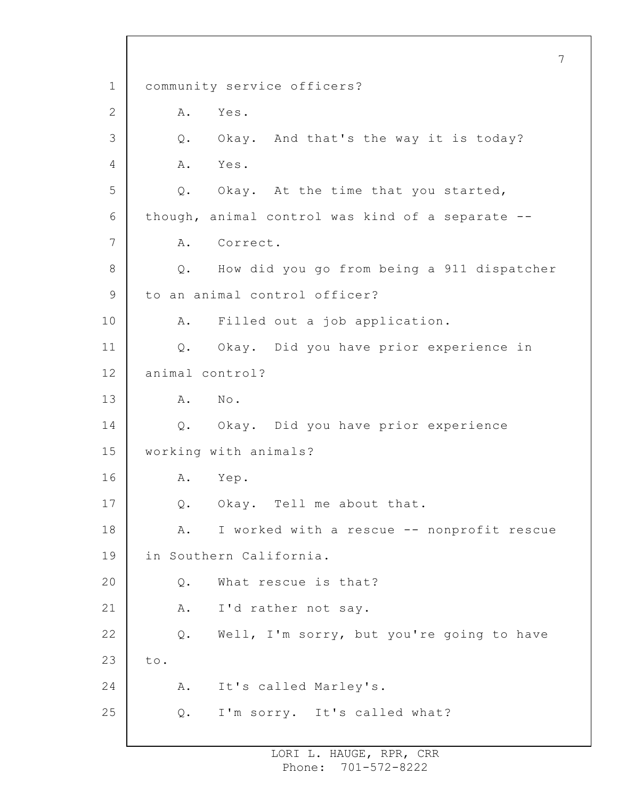1 2 3 4 5 6 7 8 9 10 11 12 13 14 15 16 17 18 19 20 21 22 23 24 25 7 community service officers? A. Yes. Q. Okay. And that's the way it is today? A. Yes. Q. Okay. At the time that you started, though, animal control was kind of a separate -- A. Correct. Q. How did you go from being a 911 dispatcher to an animal control officer? A. Filled out a job application. Q. Okay. Did you have prior experience in animal control? A. No. Q. Okay. Did you have prior experience working with animals? A. Yep. Q. Okay. Tell me about that. A. I worked with a rescue -- nonprofit rescue in Southern California. Q. What rescue is that? A. I'd rather not say. Q. Well, I'm sorry, but you're going to have to. A. It's called Marley's. Q. I'm sorry. It's called what?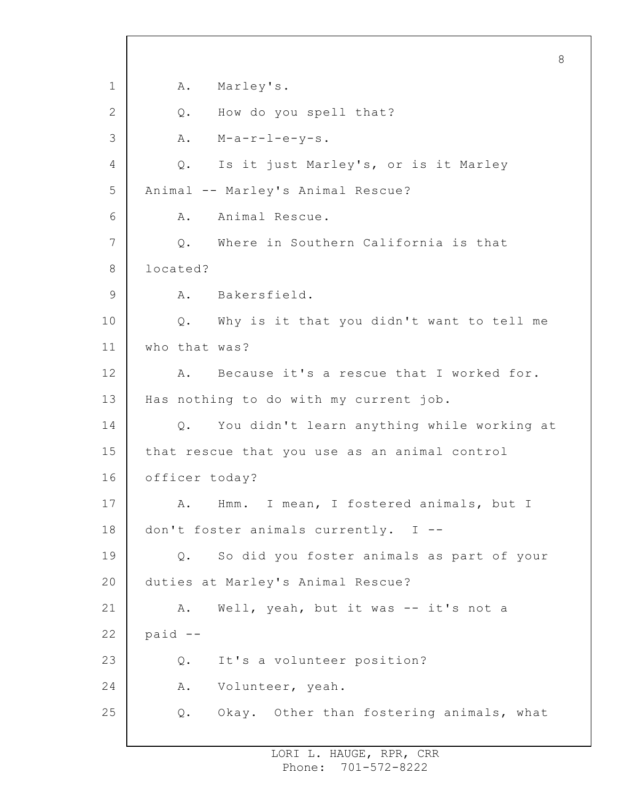1 2 3 4 5 6 7 8 9 10 11 12 13 14 15 16 17 18 19 20 21 22 23 24 25 8 A. Marley's. Q. How do you spell that? A. M-a-r-l-e-y-s. Q. Is it just Marley's, or is it Marley Animal -- Marley's Animal Rescue? A. Animal Rescue. Q. Where in Southern California is that located? A. Bakersfield. Q. Why is it that you didn't want to tell me who that was? A. Because it's a rescue that I worked for. Has nothing to do with my current job. Q. You didn't learn anything while working at that rescue that you use as an animal control officer today? A. Hmm. I mean, I fostered animals, but I don't foster animals currently. I -- Q. So did you foster animals as part of your duties at Marley's Animal Rescue? A. Well, yeah, but it was -- it's not a paid -- Q. It's a volunteer position? A. Volunteer, yeah. Q. Okay. Other than fostering animals, what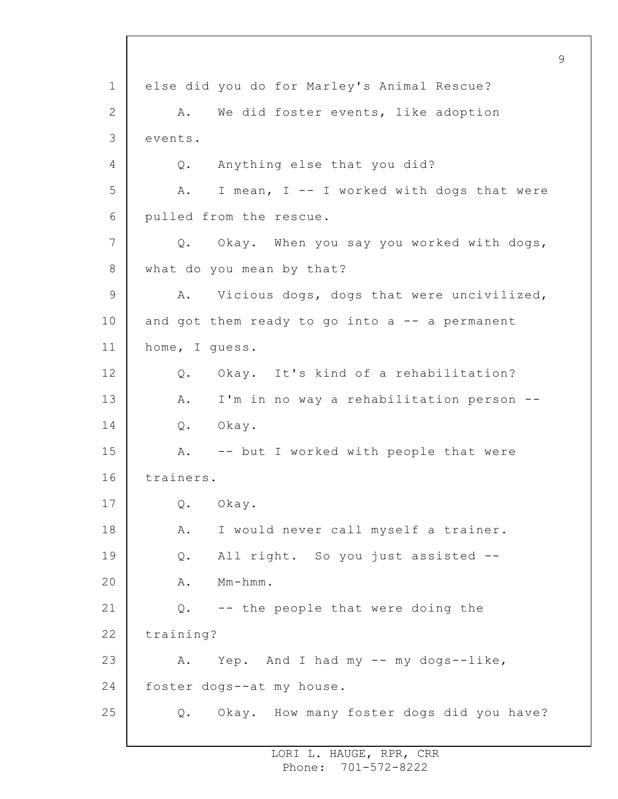1 2 3 4 5 6 7 8 9 10 11 12 13 14 15 16 17 18 19 20 21 22 23 24 25 else did you do for Marley's Animal Rescue? A. We did foster events, like adoption events. Q. Anything else that you did? A. I mean, I -- I worked with dogs that were pulled from the rescue. Q. Okay. When you say you worked with dogs, what do you mean by that? A. Vicious dogs, dogs that were uncivilized, and got them ready to go into  $a$  -- a permanent home, I guess. Q. Okay. It's kind of a rehabilitation? A. I'm in no way a rehabilitation person -- Q. Okay. A. -- but I worked with people that were trainers. Q. Okay. A. I would never call myself a trainer. Q. All right. So you just assisted -- A. Mm-hmm. Q. -- the people that were doing the training? A. Yep. And I had my -- my dogs--like, foster dogs--at my house. Q. Okay. How many foster dogs did you have?

9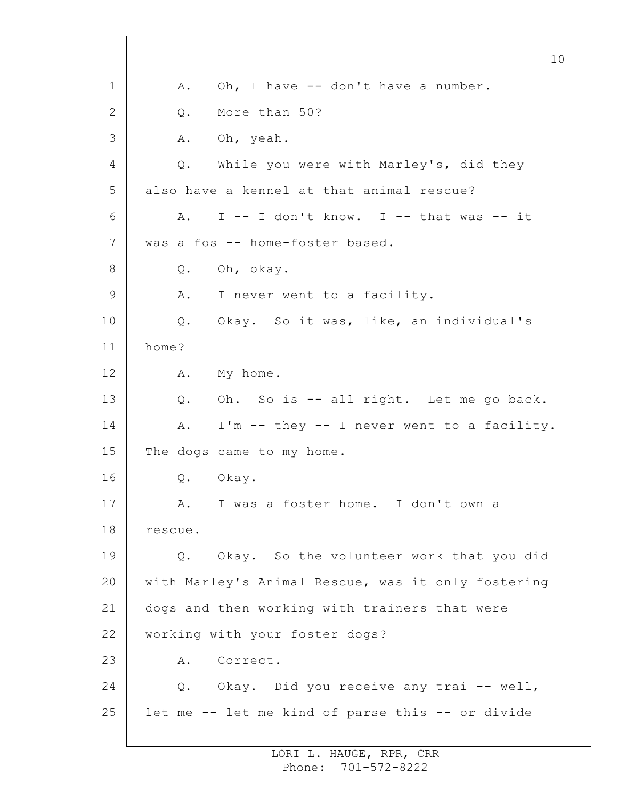1 2 3 4 5 6 7 8 9 10 11 12 13 14 15 16 17 18 19 20 21 22 23 24 25 A. Oh, I have -- don't have a number. Q. More than 50? A. Oh, yeah. Q. While you were with Marley's, did they also have a kennel at that animal rescue? A. I -- I don't know. I -- that was -- it was a fos -- home-foster based. Q. Oh, okay. A. I never went to a facility. Q. Okay. So it was, like, an individual's home? A. My home. Q. Oh. So is -- all right. Let me go back. A. I'm -- they -- I never went to a facility. The dogs came to my home. Q. Okay. A. I was a foster home. I don't own a rescue. Q. Okay. So the volunteer work that you did with Marley's Animal Rescue, was it only fostering dogs and then working with trainers that were working with your foster dogs? A. Correct. Q. Okay. Did you receive any trai -- well, let me -- let me kind of parse this -- or divide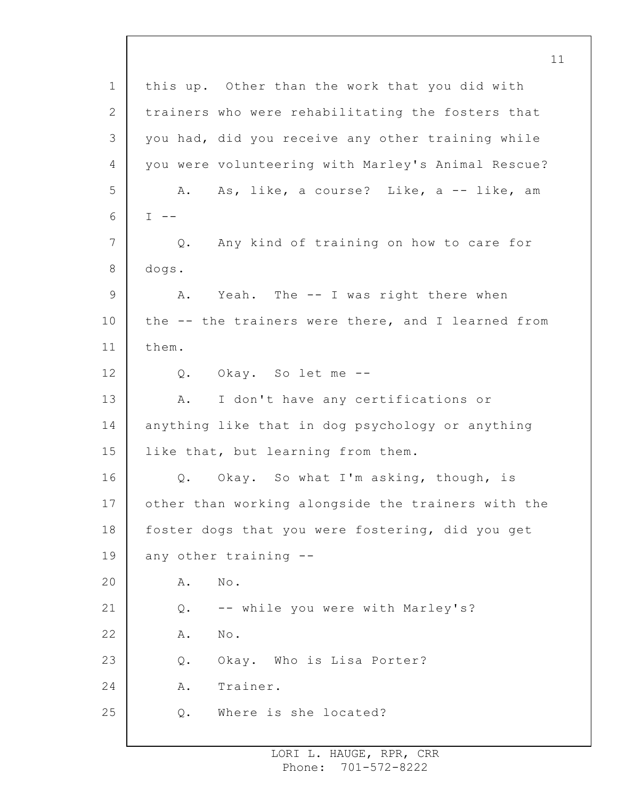1 2 3 4 5 6 7 8 9 10 11 12 13 14 15 16 17 18 19 20 21 22 23 24 25 11 this up. Other than the work that you did with trainers who were rehabilitating the fosters that you had, did you receive any other training while you were volunteering with Marley's Animal Rescue? A. As, like, a course? Like, a -- like, am  $I - -$ Q. Any kind of training on how to care for dogs. A. Yeah. The -- I was right there when the -- the trainers were there, and I learned from them. Q. Okay. So let me -- A. I don't have any certifications or anything like that in dog psychology or anything like that, but learning from them. Q. Okay. So what I'm asking, though, is other than working alongside the trainers with the foster dogs that you were fostering, did you get any other training -- A. No. Q. -- while you were with Marley's? A. No. Q. Okay. Who is Lisa Porter? A. Trainer. Q. Where is she located?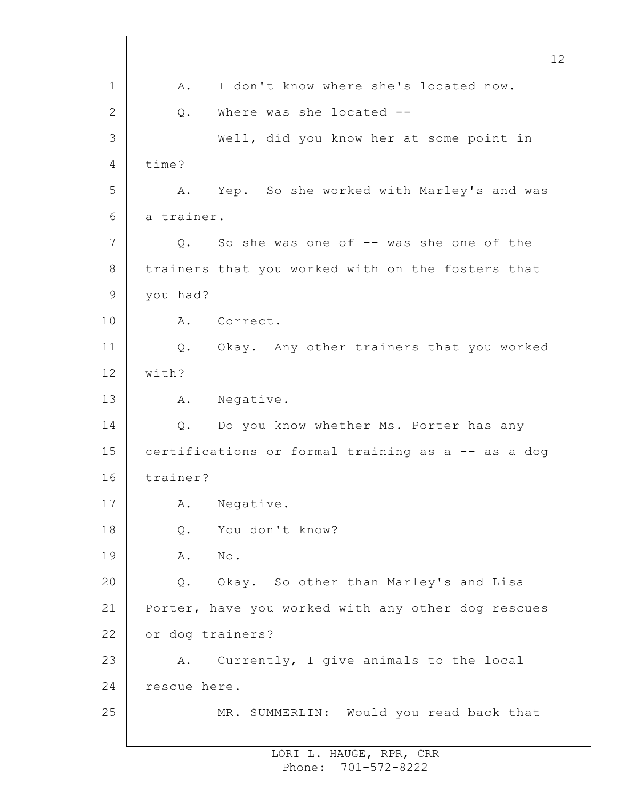1 2 3 4 5 6 7 8 9 10 11 12 13 14 15 16 17 18 19 20 21 22 23 24 25 12 A. I don't know where she's located now. Q. Where was she located -- Well, did you know her at some point in time? A. Yep. So she worked with Marley's and was a trainer. Q. So she was one of -- was she one of the trainers that you worked with on the fosters that you had? A. Correct. Q. Okay. Any other trainers that you worked with? A. Negative. Q. Do you know whether Ms. Porter has any certifications or formal training as a -- as a dog trainer? A. Negative. Q. You don't know? A. No. Q. Okay. So other than Marley's and Lisa Porter, have you worked with any other dog rescues or dog trainers? A. Currently, I give animals to the local rescue here. MR. SUMMERLIN: Would you read back that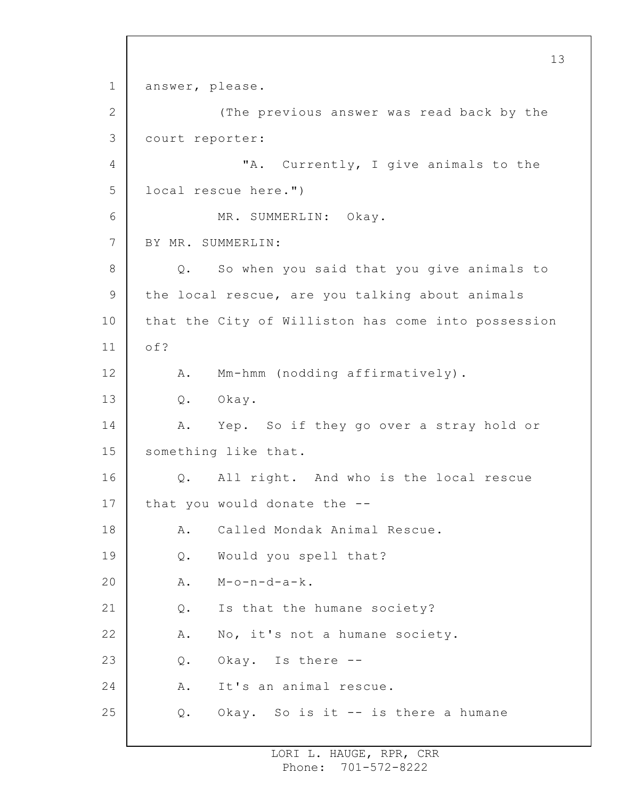1 2 3 4 5 6 7 8 9 10 11 12 13 14 15 16 17 18 19 20 21 22 23 24 25 13 answer, please. (The previous answer was read back by the court reporter: "A. Currently, I give animals to the local rescue here.") MR. SUMMERLIN: Okay. BY MR. SUMMERLIN: Q. So when you said that you give animals to the local rescue, are you talking about animals that the City of Williston has come into possession of? A. Mm-hmm (nodding affirmatively). Q. Okay. A. Yep. So if they go over a stray hold or something like that. Q. All right. And who is the local rescue that you would donate the -- A. Called Mondak Animal Rescue. Q. Would you spell that?  $A.$   $M-o-n-d-a-k.$ Q. Is that the humane society? A. No, it's not a humane society. Q. Okay. Is there -- A. It's an animal rescue. Q. Okay. So is it -- is there a humane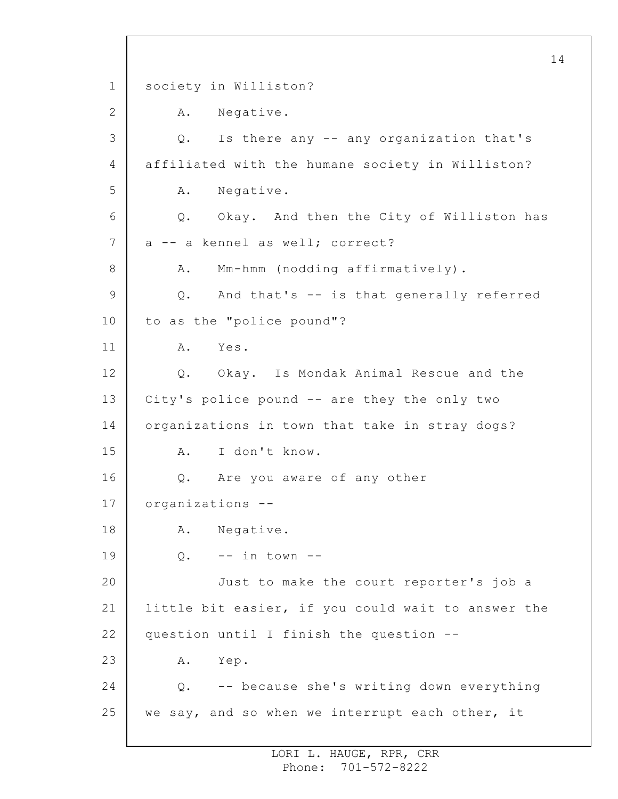1 2 3 4 5 6 7 8 9 10 11 12 13 14 15 16 17 18 19 20 21 22 23 24 25 14 society in Williston? A. Negative. Q. Is there any -- any organization that's affiliated with the humane society in Williston? A. Negative. Q. Okay. And then the City of Williston has a -- a kennel as well; correct? A. Mm-hmm (nodding affirmatively). Q. And that's -- is that generally referred to as the "police pound"? A. Yes. Q. Okay. Is Mondak Animal Rescue and the City's police pound -- are they the only two organizations in town that take in stray dogs? A. I don't know. Q. Are you aware of any other organizations -- A. Negative.  $0.$  -- in town --Just to make the court reporter's job a little bit easier, if you could wait to answer the question until I finish the question -- A. Yep. Q. -- because she's writing down everything we say, and so when we interrupt each other, it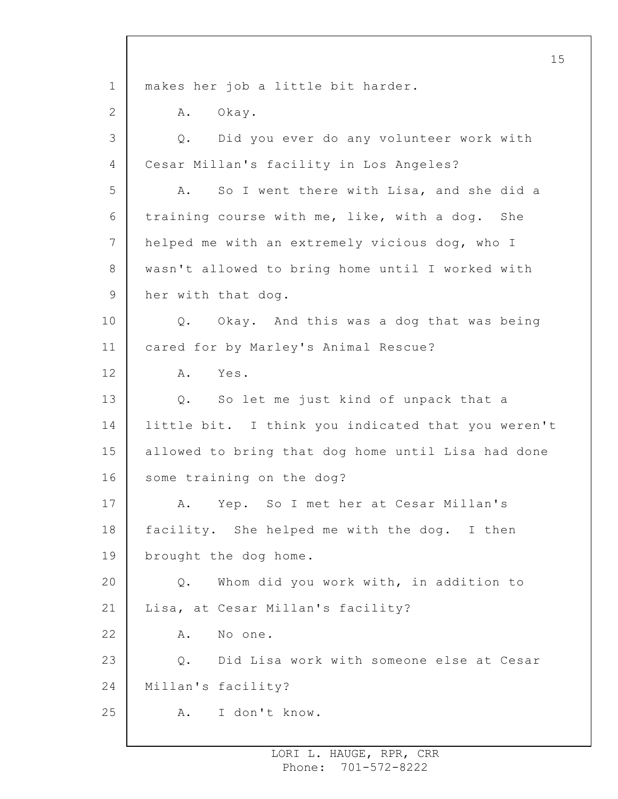1 2 3 4 5 6 7 8 9 10 11 12 13 14 15 16 17 18 19 20 21 22 23 24 25 15 makes her job a little bit harder. A. Okay. Q. Did you ever do any volunteer work with Cesar Millan's facility in Los Angeles? A. So I went there with Lisa, and she did a training course with me, like, with a dog. She helped me with an extremely vicious dog, who I wasn't allowed to bring home until I worked with her with that dog. Q. Okay. And this was a dog that was being cared for by Marley's Animal Rescue? A. Yes. Q. So let me just kind of unpack that a little bit. I think you indicated that you weren't allowed to bring that dog home until Lisa had done some training on the dog? A. Yep. So I met her at Cesar Millan's facility. She helped me with the dog. I then brought the dog home. Q. Whom did you work with, in addition to Lisa, at Cesar Millan's facility? A. No one. Q. Did Lisa work with someone else at Cesar Millan's facility? A. I don't know.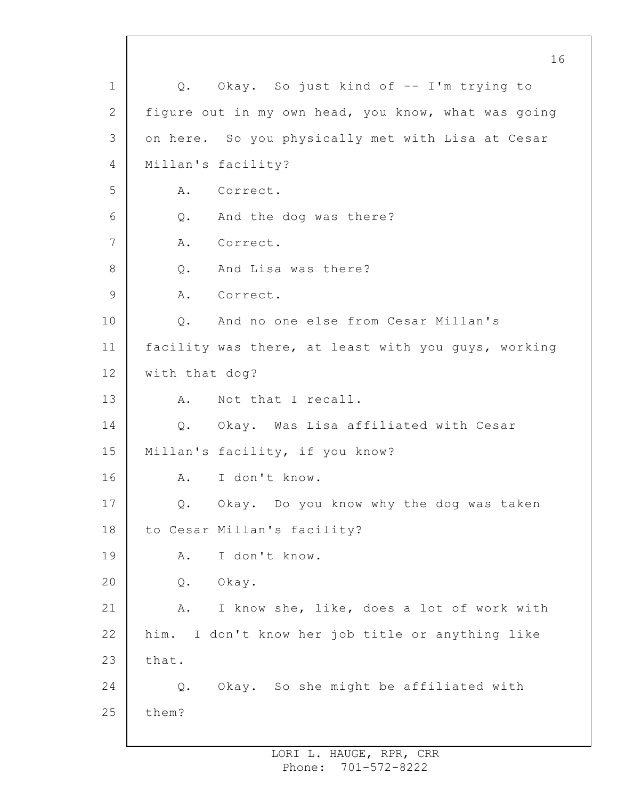1 2 3 4 5 6 7 8 9 10 11 12 13 14 15 16 17 18 19 20 21 22 23 24 25 16 Q. Okay. So just kind of -- I'm trying to figure out in my own head, you know, what was going on here. So you physically met with Lisa at Cesar Millan's facility? A. Correct. Q. And the dog was there? A. Correct. Q. And Lisa was there? A. Correct. Q. And no one else from Cesar Millan's facility was there, at least with you guys, working with that dog? A. Not that I recall. Q. Okay. Was Lisa affiliated with Cesar Millan's facility, if you know? A. I don't know. Q. Okay. Do you know why the dog was taken to Cesar Millan's facility? A. I don't know. Q. Okay. A. I know she, like, does a lot of work with him. I don't know her job title or anything like that. Q. Okay. So she might be affiliated with them?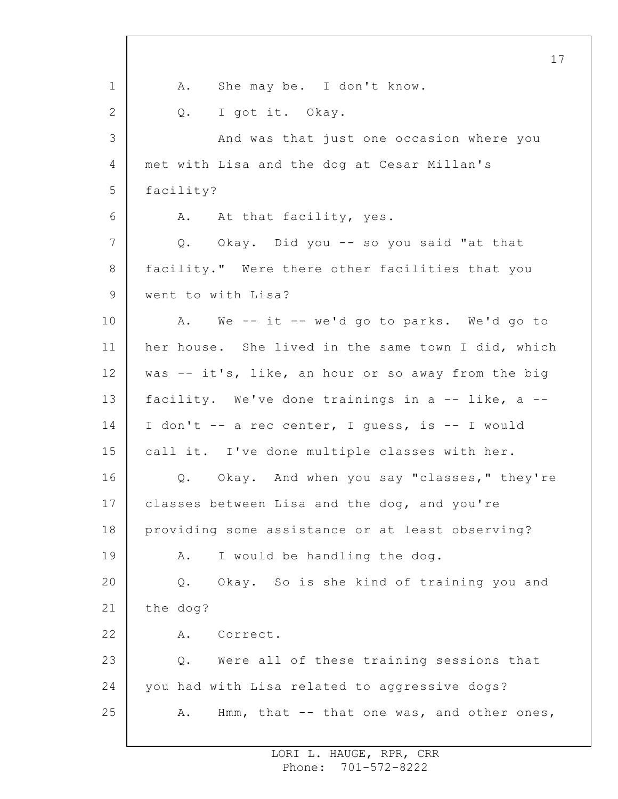1 2 3 4 5 6 7 8 9 10 11 12 13 14 15 16 17 18 19 20 21 22 23 24 25 17 A. She may be. I don't know. Q. I got it. Okay. And was that just one occasion where you met with Lisa and the dog at Cesar Millan's facility? A. At that facility, yes. Q. Okay. Did you -- so you said "at that facility." Were there other facilities that you went to with Lisa? A. We -- it -- we'd go to parks. We'd go to her house. She lived in the same town I did, which was -- it's, like, an hour or so away from the big facility. We've done trainings in a  $-$ - like, a  $-$ -I don't -- a rec center, I guess, is -- I would call it. I've done multiple classes with her. Q. Okay. And when you say "classes," they're classes between Lisa and the dog, and you're providing some assistance or at least observing? A. I would be handling the dog. Q. Okay. So is she kind of training you and the dog? A. Correct. Q. Were all of these training sessions that you had with Lisa related to aggressive dogs? A. Hmm, that -- that one was, and other ones,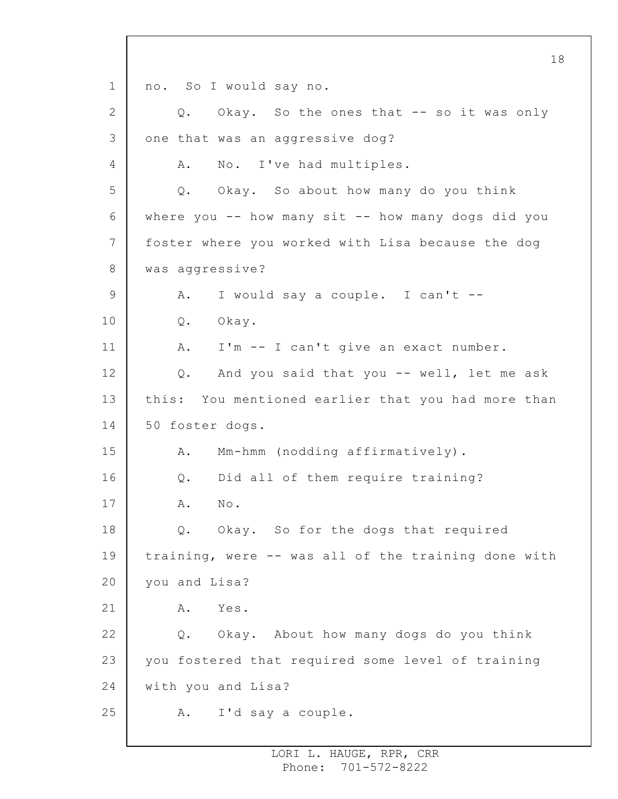1 2 3 4 5 6 7 8 9 10 11 12 13 14 15 16 17 18 19 20 21 22 23 24 25 18 no. So I would say no. Q. Okay. So the ones that -- so it was only one that was an aggressive dog? A. No. I've had multiples. Q. Okay. So about how many do you think where you  $--$  how many sit  $--$  how many dogs did you foster where you worked with Lisa because the dog was aggressive? A. I would say a couple. I can't -- Q. Okay. A. I'm -- I can't give an exact number. Q. And you said that you -- well, let me ask this: You mentioned earlier that you had more than 50 foster dogs. A. Mm-hmm (nodding affirmatively). Q. Did all of them require training? A. No. Q. Okay. So for the dogs that required training, were -- was all of the training done with you and Lisa? A. Yes. Q. Okay. About how many dogs do you think you fostered that required some level of training with you and Lisa? A. I'd say a couple.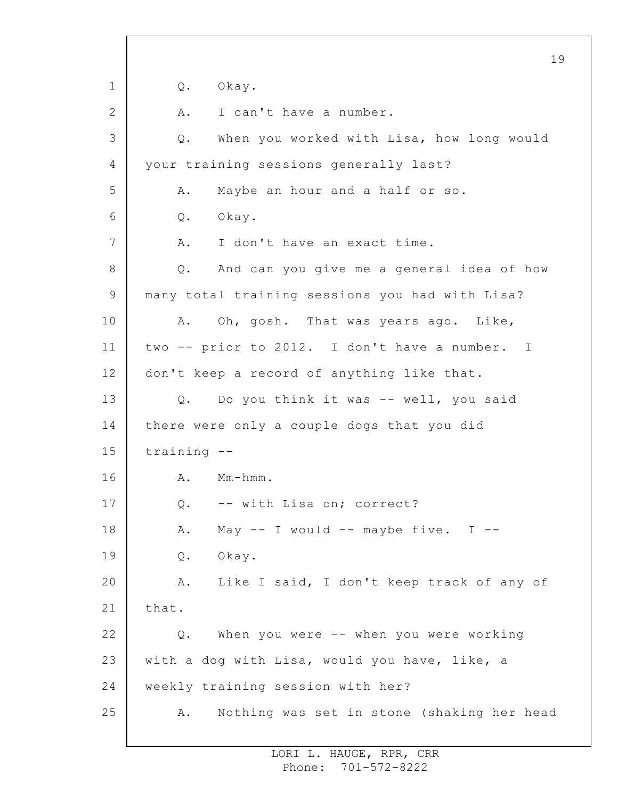1 2 3 4 5 6 7 8 9 10 11 12 13 14 15 16 17 18 19 20 21 22 23 24 25 19 Q. Okay. A. I can't have a number. Q. When you worked with Lisa, how long would your training sessions generally last? A. Maybe an hour and a half or so. Q. Okay. A. I don't have an exact time. Q. And can you give me a general idea of how many total training sessions you had with Lisa? A. Oh, gosh. That was years ago. Like, two -- prior to 2012. I don't have a number. I don't keep a record of anything like that. Q. Do you think it was -- well, you said there were only a couple dogs that you did training -- A. Mm-hmm. Q. -- with Lisa on; correct? A. May  $--$  I would  $--$  maybe five. I  $--$ Q. Okay. A. Like I said, I don't keep track of any of that. Q. When you were -- when you were working with a dog with Lisa, would you have, like, a weekly training session with her? A. Nothing was set in stone (shaking her head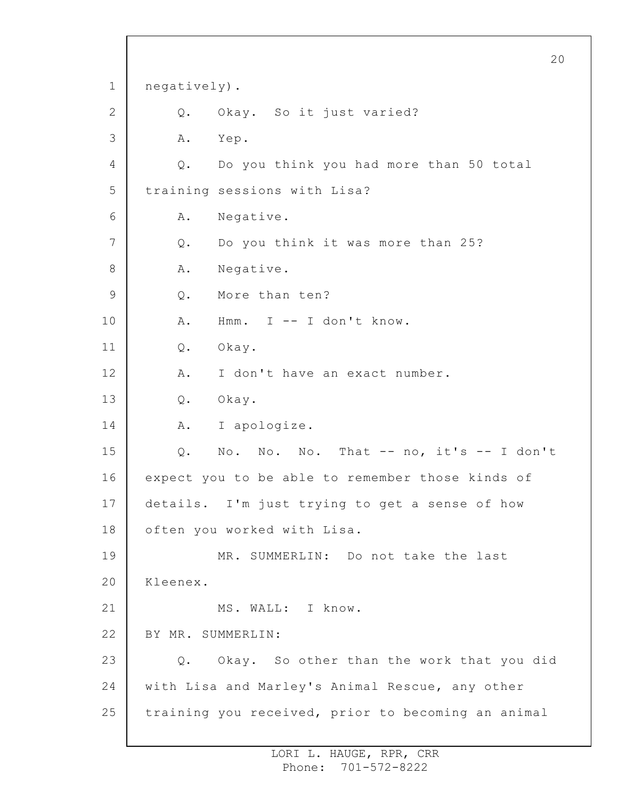1 2 3 4 5 6 7 8 9 10 11 12 13 14 15 16 17 18 19 20 21 22 23 24 25 20 negatively). Q. Okay. So it just varied? A. Yep. Q. Do you think you had more than 50 total training sessions with Lisa? A. Negative. Q. Do you think it was more than 25? A. Negative. Q. More than ten? A. Hmm. I -- I don't know. Q. Okay. A. I don't have an exact number. Q. Okay. A. I apologize. Q. No. No. No. That -- no, it's -- I don't expect you to be able to remember those kinds of details. I'm just trying to get a sense of how often you worked with Lisa. MR. SUMMERLIN: Do not take the last Kleenex. MS. WALL: I know. BY MR. SUMMERLIN: Q. Okay. So other than the work that you did with Lisa and Marley's Animal Rescue, any other training you received, prior to becoming an animal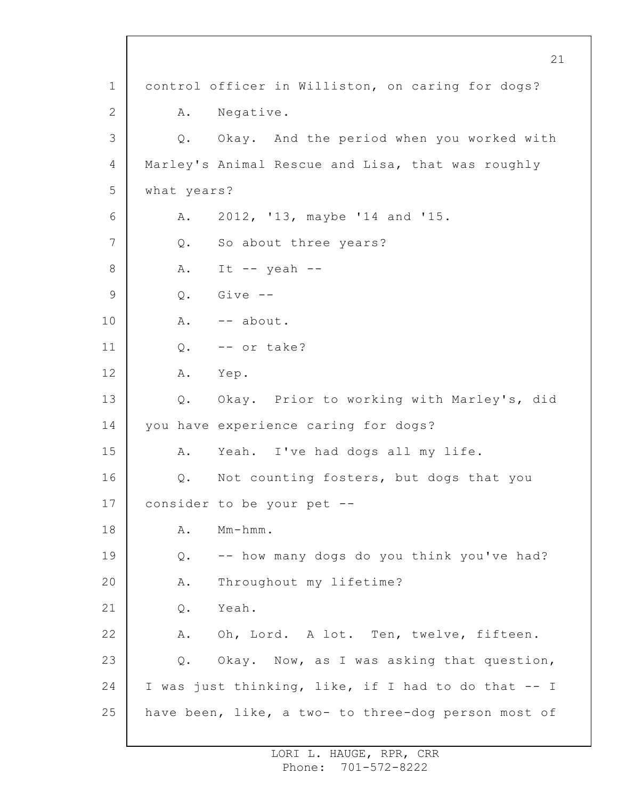1 2 3 4 5 6 7 8 9 10 11 12 13 14 15 16 17 18 19 20 21 22 23 24 25 21 control officer in Williston, on caring for dogs? A. Negative. Q. Okay. And the period when you worked with Marley's Animal Rescue and Lisa, that was roughly what years? A. 2012, '13, maybe '14 and '15. Q. So about three years? A. It  $--$  yeah  $--$ Q. Give -- A. -- about. Q. -- or take? A. Yep. Q. Okay. Prior to working with Marley's, did you have experience caring for dogs? A. Yeah. I've had dogs all my life. Q. Not counting fosters, but dogs that you consider to be your pet -- A. Mm-hmm. Q. -- how many dogs do you think you've had? A. Throughout my lifetime? Q. Yeah. A. Oh, Lord. A lot. Ten, twelve, fifteen. Q. Okay. Now, as I was asking that question, I was just thinking, like, if I had to do that -- I have been, like, a two- to three-dog person most of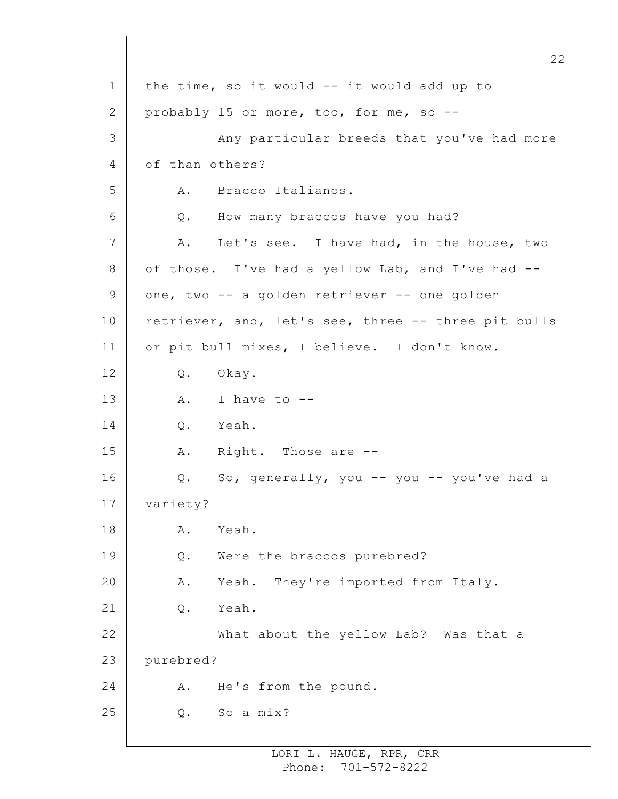1 2 3 4 5 6 7 8 9 10 11 12 13 14 15 16 17 18 19 20 21 22 23 24 25 the time, so it would -- it would add up to probably 15 or more, too, for me, so -- Any particular breeds that you've had more of than others? A. Bracco Italianos. Q. How many braccos have you had? A. Let's see. I have had, in the house, two of those. I've had a yellow Lab, and I've had - one, two -- a golden retriever -- one golden retriever, and, let's see, three -- three pit bulls or pit bull mixes, I believe. I don't know. Q. Okay. A. I have to -- Q. Yeah. A. Right. Those are -- Q. So, generally, you -- you -- you've had a variety? A. Yeah. Q. Were the braccos purebred? A. Yeah. They're imported from Italy. Q. Yeah. What about the yellow Lab? Was that a purebred? A. He's from the pound. Q. So a mix?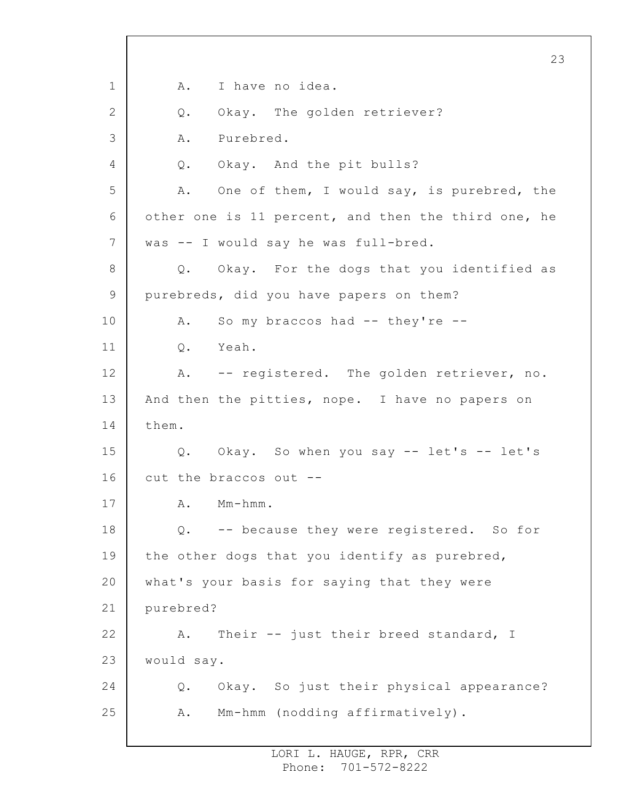1 2 3 4 5 6 7 8 9 10 11 12 13 14 15 16 17 18 19 20 21 22 23 24 25 23 A. I have no idea. Q. Okay. The golden retriever? A. Purebred. Q. Okay. And the pit bulls? A. One of them, I would say, is purebred, the other one is 11 percent, and then the third one, he was -- I would say he was full-bred. Q. Okay. For the dogs that you identified as purebreds, did you have papers on them? A. So my braccos had -- they're -- Q. Yeah. A. -- registered. The golden retriever, no. And then the pitties, nope. I have no papers on them. Q. Okay. So when you say -- let's -- let's cut the braccos out -- A. Mm-hmm. Q. -- because they were registered. So for the other dogs that you identify as purebred, what's your basis for saying that they were purebred? A. Their -- just their breed standard, I would say. Q. Okay. So just their physical appearance? A. Mm-hmm (nodding affirmatively).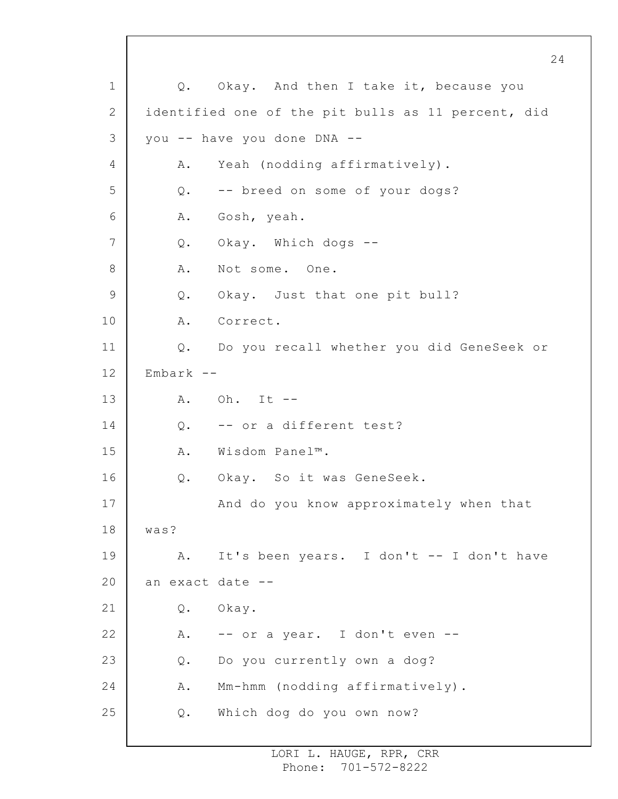1 2 3 4 5 6 7 8 9 10 11 12 13 14 15 16 17 18 19 20 21 22 23 24 25 24 Q. Okay. And then I take it, because you identified one of the pit bulls as 11 percent, did you -- have you done DNA -- A. Yeah (nodding affirmatively). Q. -- breed on some of your dogs? A. Gosh, yeah. Q. Okay. Which dogs -- A. Not some. One. Q. Okay. Just that one pit bull? A. Correct. Q. Do you recall whether you did GeneSeek or Embark -- A. Oh. It -- Q. -- or a different test? A. Wisdom Panel™. Q. Okay. So it was GeneSeek. And do you know approximately when that was? A. It's been years. I don't -- I don't have an exact date -- Q. Okay. A. -- or a year. I don't even -- Q. Do you currently own a dog? A. Mm-hmm (nodding affirmatively). Q. Which dog do you own now?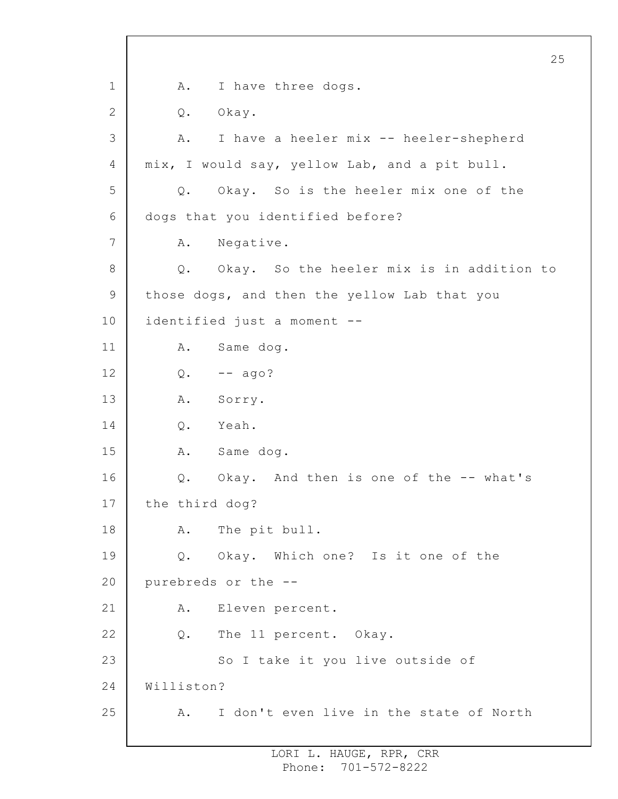1 2 3 4 5 6 7 8 9 10 11 12 13 14 15 16 17 18 19 20 21 22 23 24 25 25 A. I have three dogs. Q. Okay. A. I have a heeler mix -- heeler-shepherd mix, I would say, yellow Lab, and a pit bull. Q. Okay. So is the heeler mix one of the dogs that you identified before? A. Negative. Q. Okay. So the heeler mix is in addition to those dogs, and then the yellow Lab that you identified just a moment -- A. Same dog.  $Q. \t-- aqo?$ A. Sorry. Q. Yeah. A. Same dog. Q. Okay. And then is one of the -- what's the third dog? A. The pit bull. Q. Okay. Which one? Is it one of the purebreds or the -- A. Eleven percent. Q. The 11 percent. Okay. So I take it you live outside of Williston? A. I don't even live in the state of North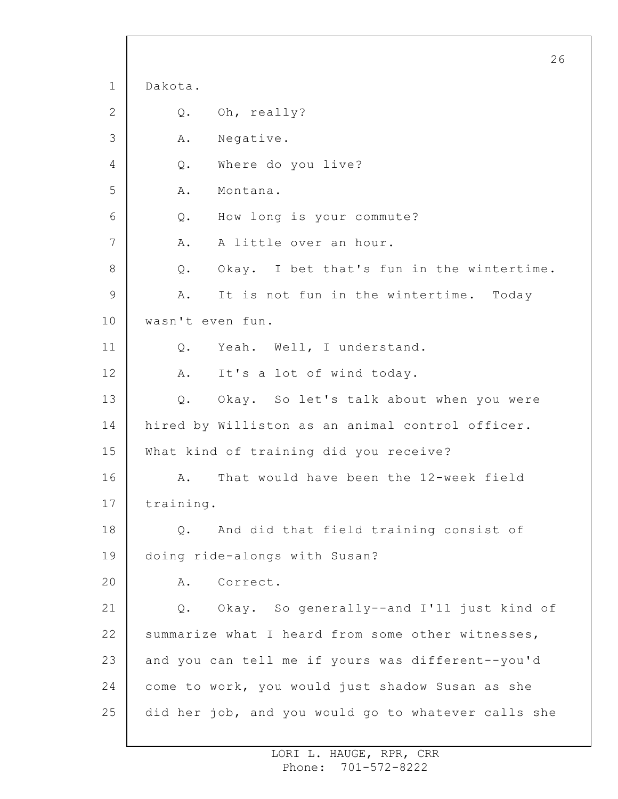1 2 3 4 5 6 7 8 9 10 11 12 13 14 15 16 17 18 19 20 21 22 23 24 25 26 Dakota. Q. Oh, really? A. Negative. Q. Where do you live? A. Montana. Q. How long is your commute? A. A little over an hour. Q. Okay. I bet that's fun in the wintertime. A. It is not fun in the wintertime. Today wasn't even fun. Q. Yeah. Well, I understand. A. It's a lot of wind today. Q. Okay. So let's talk about when you were hired by Williston as an animal control officer. What kind of training did you receive? A. That would have been the 12-week field training. Q. And did that field training consist of doing ride-alongs with Susan? A. Correct. Q. Okay. So generally--and I'll just kind of summarize what I heard from some other witnesses, and you can tell me if yours was different--you'd come to work, you would just shadow Susan as she did her job, and you would go to whatever calls she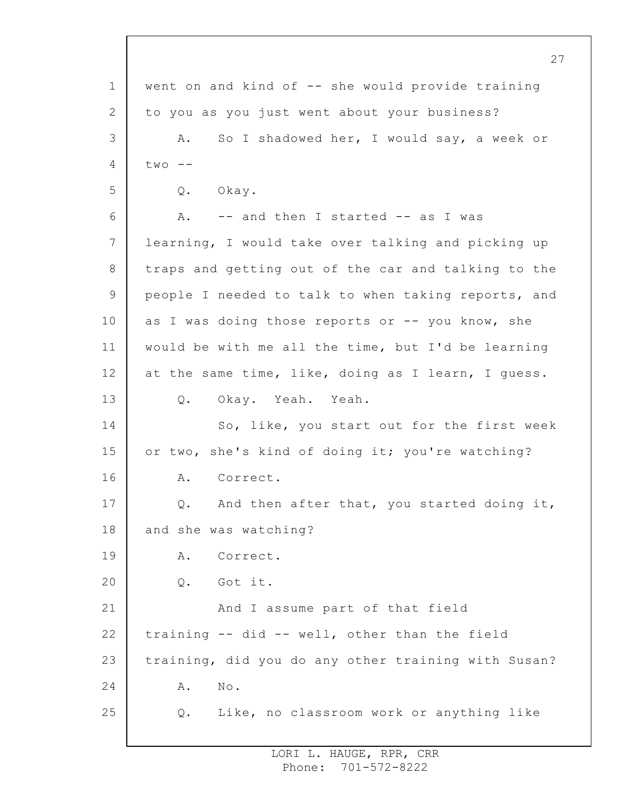1 2 3 4 5 6 7 8 9 10 11 12 13 14 15 16 17 18 19 20 21 22 23 24 25 went on and kind of -- she would provide training to you as you just went about your business? A. So I shadowed her, I would say, a week or  $two$   $-$ Q. Okay. A. -- and then I started -- as I was learning, I would take over talking and picking up traps and getting out of the car and talking to the people I needed to talk to when taking reports, and as I was doing those reports or  $--$  you know, she would be with me all the time, but I'd be learning at the same time, like, doing as I learn, I guess. Q. Okay. Yeah. Yeah. So, like, you start out for the first week or two, she's kind of doing it; you're watching? A. Correct. Q. And then after that, you started doing it, and she was watching? A. Correct. Q. Got it. And I assume part of that field training -- did -- well, other than the field training, did you do any other training with Susan? A. No. Q. Like, no classroom work or anything like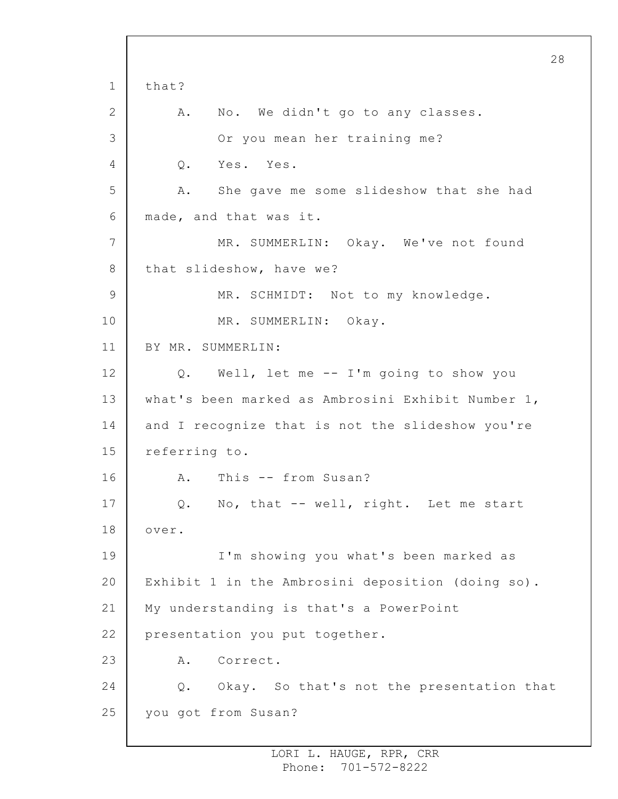1 2 3 4 5 6 7 8 9 10 11 12 13 14 15 16 17 18 19 20 21 22 23 24 25 28 that? A. No. We didn't go to any classes. Or you mean her training me? Q. Yes. Yes. A. She gave me some slideshow that she had made, and that was it. MR. SUMMERLIN: Okay. We've not found that slideshow, have we? MR. SCHMIDT: Not to my knowledge. MR. SUMMERLIN: Okay. BY MR. SUMMERLIN: Q. Well, let me -- I'm going to show you what's been marked as Ambrosini Exhibit Number 1, and I recognize that is not the slideshow you're referring to. A. This -- from Susan? Q. No, that -- well, right. Let me start over. I'm showing you what's been marked as Exhibit 1 in the Ambrosini deposition (doing so). My understanding is that's a PowerPoint presentation you put together. A. Correct. Q. Okay. So that's not the presentation that you got from Susan?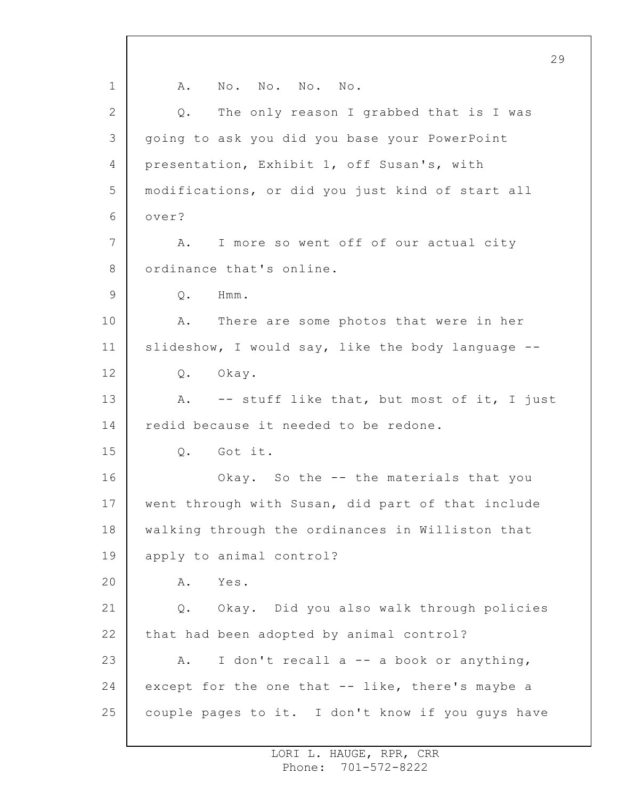1 2 3 4 5 6 7 8 9 10 11 12 13 14 15 16 17 18 19 20 21 22 23 24 25 29 A. No. No. No. No. Q. The only reason I grabbed that is I was going to ask you did you base your PowerPoint presentation, Exhibit 1, off Susan's, with modifications, or did you just kind of start all over? A. I more so went off of our actual city ordinance that's online. Q. Hmm. A. There are some photos that were in her slideshow, I would say, like the body language -- Q. Okay. A. -- stuff like that, but most of it, I just redid because it needed to be redone. Q. Got it. Okay. So the -- the materials that you went through with Susan, did part of that include walking through the ordinances in Williston that apply to animal control? A. Yes. Q. Okay. Did you also walk through policies that had been adopted by animal control? A. I don't recall a -- a book or anything, except for the one that -- like, there's maybe a couple pages to it. I don't know if you guys have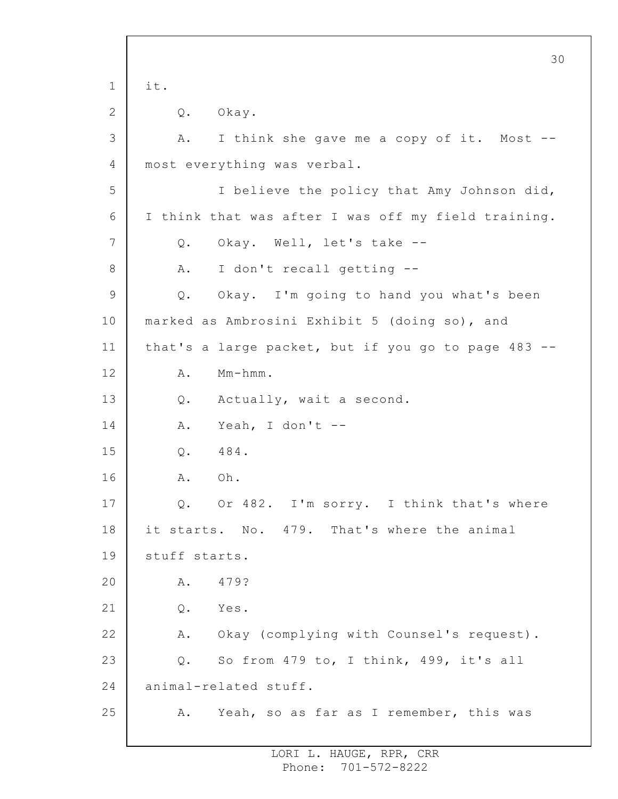1 2 3 4 5 6 7 8 9 10 11 12 13 14 15 16 17 18 19 20 21 22 23 24 25 30 it. Q. Okay. A. I think she gave me a copy of it. Most - most everything was verbal. I believe the policy that Amy Johnson did, I think that was after I was off my field training. Q. Okay. Well, let's take -- A. I don't recall getting -- Q. Okay. I'm going to hand you what's been marked as Ambrosini Exhibit 5 (doing so), and that's a large packet, but if you go to page 483 -- A. Mm-hmm. Q. Actually, wait a second. A. Yeah, I don't -- Q. 484. A. Oh. Q. Or 482. I'm sorry. I think that's where it starts. No. 479. That's where the animal stuff starts. A. 479? Q. Yes. A. Okay (complying with Counsel's request). Q. So from 479 to, I think, 499, it's all animal-related stuff. A. Yeah, so as far as I remember, this was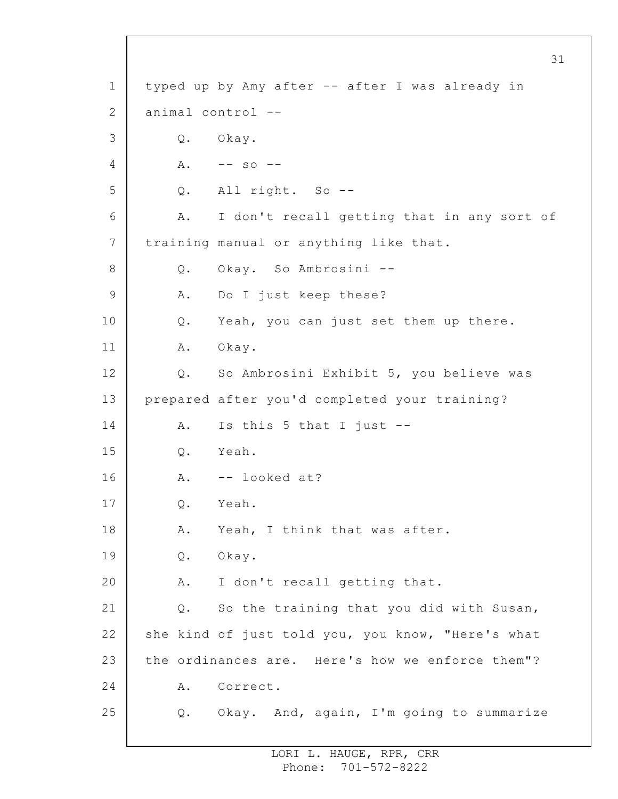1 2 3 4 5 6 7 8 9 10 11 12 13 14 15 16 17 18 19 20 21 22 23 24 25 typed up by Amy after -- after I was already in animal control -- Q. Okay. A. -- so -- Q. All right. So -- A. I don't recall getting that in any sort of training manual or anything like that. Q. Okay. So Ambrosini -- A. Do I just keep these? Q. Yeah, you can just set them up there. A. Okay. Q. So Ambrosini Exhibit 5, you believe was prepared after you'd completed your training? A. Is this 5 that I just -- Q. Yeah. A. -- looked at? Q. Yeah. A. Yeah, I think that was after. Q. Okay. A. I don't recall getting that. Q. So the training that you did with Susan, she kind of just told you, you know, "Here's what the ordinances are. Here's how we enforce them"? A. Correct. Q. Okay. And, again, I'm going to summarize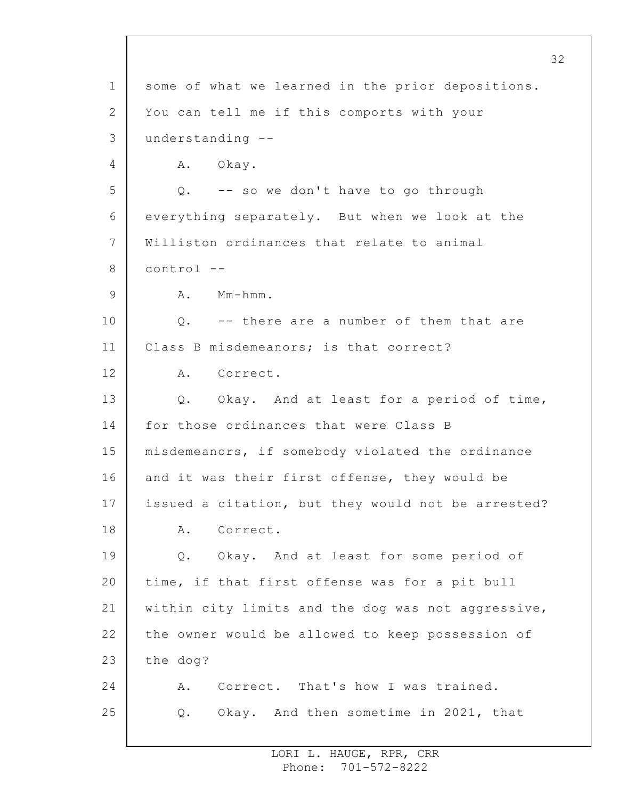1 2 3 4 5 6 7 8 9 10 11 12 13 14 15 16 17 18 19 20 21 22 23 24 25 some of what we learned in the prior depositions. You can tell me if this comports with your understanding -- A. Okay. Q. -- so we don't have to go through everything separately. But when we look at the Williston ordinances that relate to animal control -- A. Mm-hmm. Q. -- there are a number of them that are Class B misdemeanors; is that correct? A. Correct. Q. Okay. And at least for a period of time, for those ordinances that were Class B misdemeanors, if somebody violated the ordinance and it was their first offense, they would be issued a citation, but they would not be arrested? A. Correct. Q. Okay. And at least for some period of time, if that first offense was for a pit bull within city limits and the dog was not aggressive, the owner would be allowed to keep possession of the dog? A. Correct. That's how I was trained. Q. Okay. And then sometime in 2021, that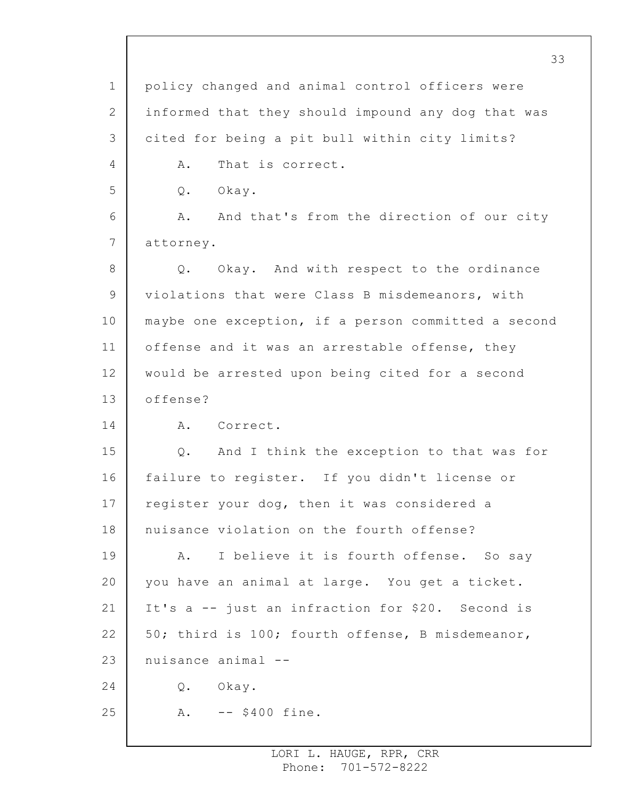1 2 3 4 5 6 7 8 9 10 11 12 13 14 15 16 17 18 19 20 21 22 23 24 25 policy changed and animal control officers were informed that they should impound any dog that was cited for being a pit bull within city limits? A. That is correct. Q. Okay. A. And that's from the direction of our city attorney. Q. Okay. And with respect to the ordinance violations that were Class B misdemeanors, with maybe one exception, if a person committed a second offense and it was an arrestable offense, they would be arrested upon being cited for a second offense? A. Correct. Q. And I think the exception to that was for failure to register. If you didn't license or register your dog, then it was considered a nuisance violation on the fourth offense? A. I believe it is fourth offense. So say you have an animal at large. You get a ticket. It's a -- just an infraction for \$20. Second is 50; third is 100; fourth offense, B misdemeanor, nuisance animal -- Q. Okay. A. -- \$400 fine.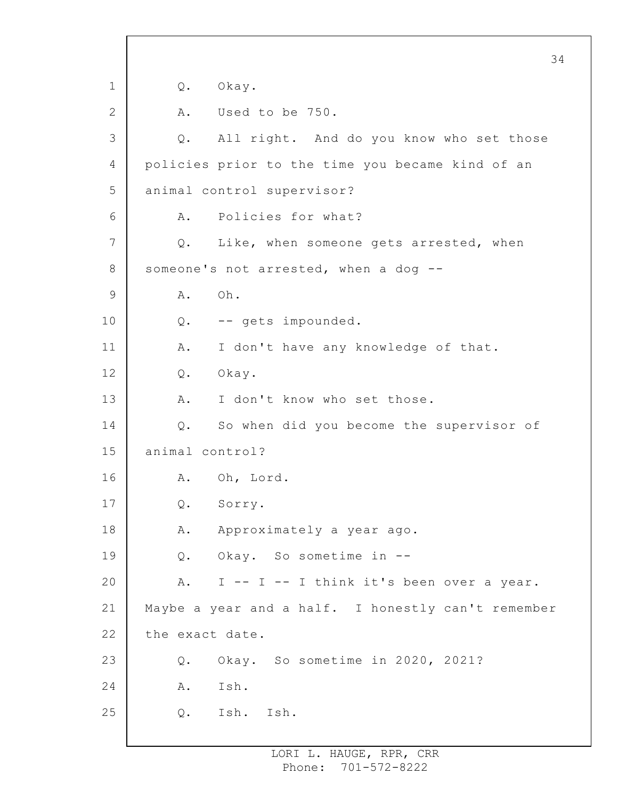1 2 3 4 5 6 7 8 9 10 11 12 13 14 15 16 17 18 19 20 21 22 23 24 25 34 Q. Okay. A. Used to be 750. Q. All right. And do you know who set those policies prior to the time you became kind of an animal control supervisor? A. Policies for what? Q. Like, when someone gets arrested, when someone's not arrested, when a dog --A. Oh. Q. -- gets impounded. A. I don't have any knowledge of that. Q. Okay. A. I don't know who set those. Q. So when did you become the supervisor of animal control? A. Oh, Lord. Q. Sorry. A. Approximately a year ago. Q. Okay. So sometime in -- A. I -- I -- I think it's been over a year. Maybe a year and a half. I honestly can't remember the exact date. Q. Okay. So sometime in 2020, 2021? A. Ish. Q. Ish. Ish.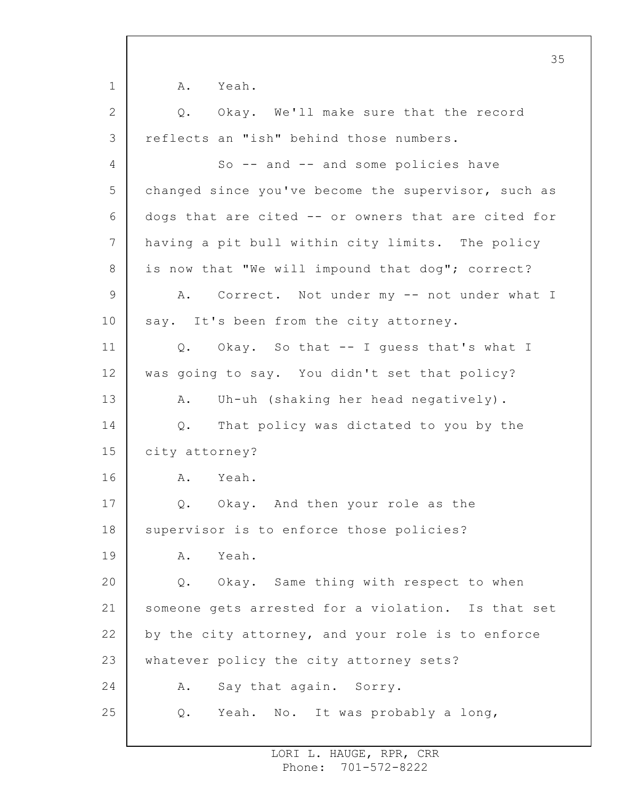1 2 3 4 5 6 7 8 9 10 11 12 13 14 15 16 17 18 19 20 21 22 23 24 25 35 A. Yeah. Q. Okay. We'll make sure that the record reflects an "ish" behind those numbers. So -- and -- and some policies have changed since you've become the supervisor, such as dogs that are cited -- or owners that are cited for having a pit bull within city limits. The policy is now that "We will impound that dog"; correct? A. Correct. Not under my -- not under what I say. It's been from the city attorney. Q. Okay. So that -- I guess that's what I was going to say. You didn't set that policy? A. Uh-uh (shaking her head negatively). Q. That policy was dictated to you by the city attorney? A. Yeah. Q. Okay. And then your role as the supervisor is to enforce those policies? A. Yeah. Q. Okay. Same thing with respect to when someone gets arrested for a violation. Is that set by the city attorney, and your role is to enforce whatever policy the city attorney sets? A. Say that again. Sorry. Q. Yeah. No. It was probably a long,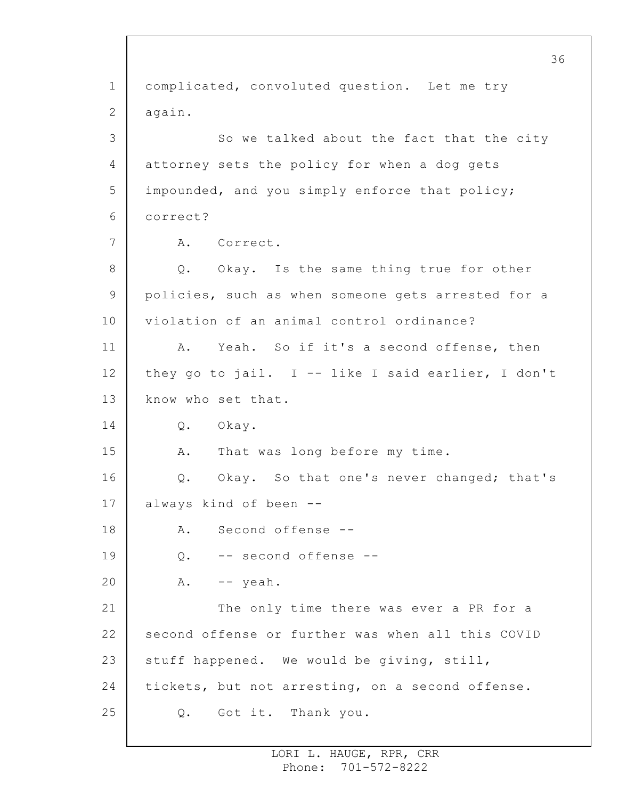1 2 3 4 5 6 7 8 9 10 11 12 13 14 15 16 17 18 19 20 21 22 23 24 25 36 complicated, convoluted question. Let me try again. So we talked about the fact that the city attorney sets the policy for when a dog gets impounded, and you simply enforce that policy; correct? A. Correct. Q. Okay. Is the same thing true for other policies, such as when someone gets arrested for a violation of an animal control ordinance? A. Yeah. So if it's a second offense, then they go to jail. I -- like I said earlier, I don't know who set that. Q. Okay. A. That was long before my time. Q. Okay. So that one's never changed; that's always kind of been -- A. Second offense -- Q. -- second offense --  $A.$  -- yeah. The only time there was ever a PR for a second offense or further was when all this COVID stuff happened. We would be giving, still, tickets, but not arresting, on a second offense. Q. Got it. Thank you.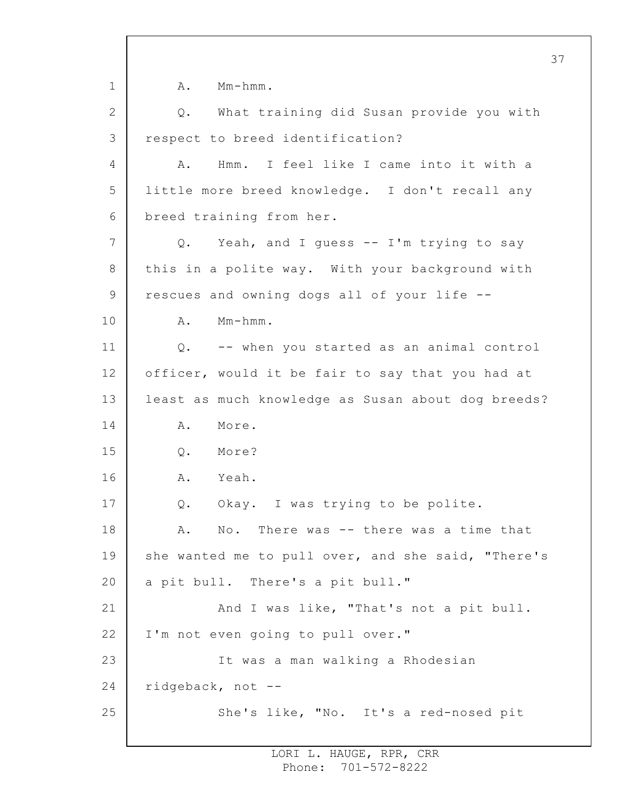1 2 3 4 5 6 7 8 9 10 11 12 13 14 15 16 17 18 19 20 21 22 23 24 25 A. Mm-hmm. Q. What training did Susan provide you with respect to breed identification? A. Hmm. I feel like I came into it with a little more breed knowledge. I don't recall any breed training from her. Q. Yeah, and I guess -- I'm trying to say this in a polite way. With your background with rescues and owning dogs all of your life -- A. Mm-hmm. Q. -- when you started as an animal control officer, would it be fair to say that you had at least as much knowledge as Susan about dog breeds? A. More. Q. More? A. Yeah. Q. Okay. I was trying to be polite. A. No. There was -- there was a time that she wanted me to pull over, and she said, "There's a pit bull. There's a pit bull." And I was like, "That's not a pit bull. I'm not even going to pull over." It was a man walking a Rhodesian ridgeback, not -- She's like, "No. It's a red-nosed pit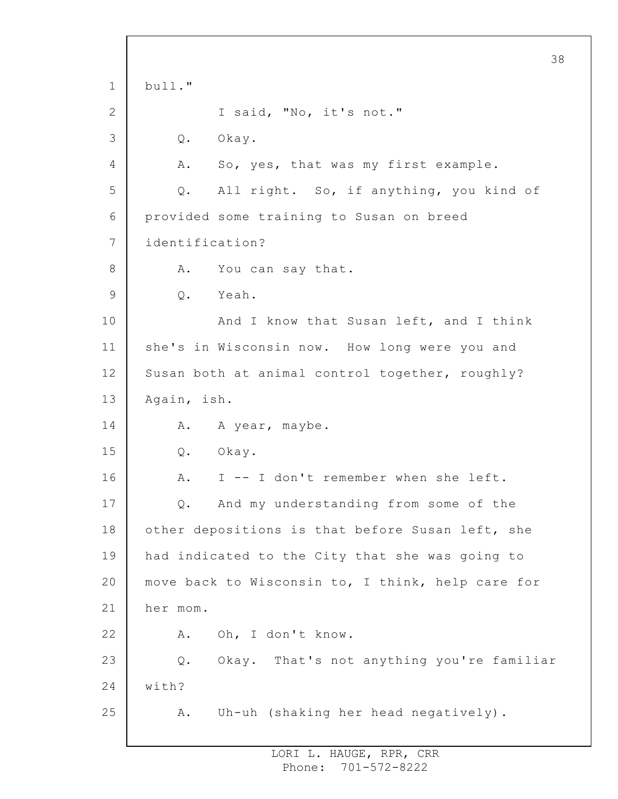1 2 3 4 5 6 7 8 9 10 11 12 13 14 15 16 17 18 19 20 21 22 23 24 25 38 bull." I said, "No, it's not." Q. Okay. A. So, yes, that was my first example. Q. All right. So, if anything, you kind of provided some training to Susan on breed identification? A. You can say that. Q. Yeah. And I know that Susan left, and I think she's in Wisconsin now. How long were you and Susan both at animal control together, roughly? Again, ish. A. A year, maybe. Q. Okay. A. I -- I don't remember when she left. Q. And my understanding from some of the other depositions is that before Susan left, she had indicated to the City that she was going to move back to Wisconsin to, I think, help care for her mom. A. Oh, I don't know. Q. Okay. That's not anything you're familiar with? A. Uh-uh (shaking her head negatively).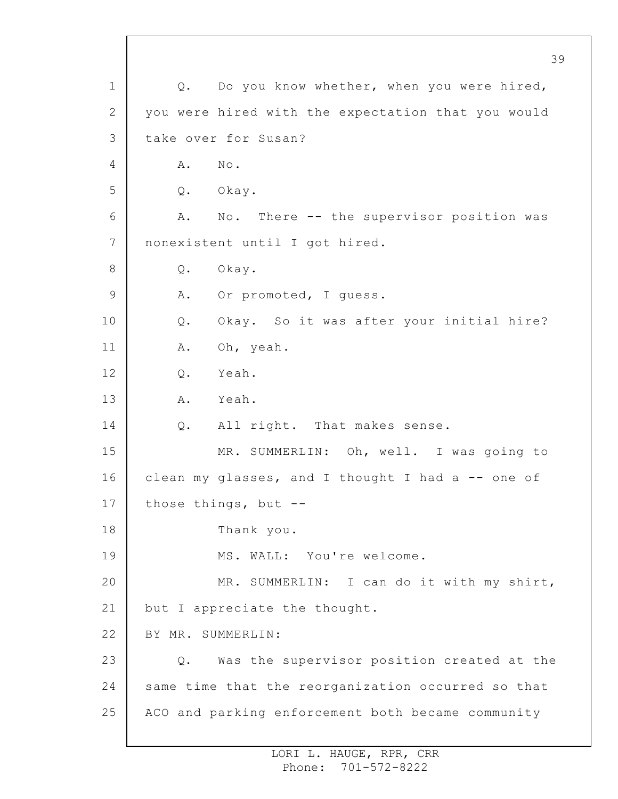1 2 3 4 5 6 7 8 9 10 11 12 13 14 15 16 17 18 19 20 21 22 23 24 25 Q. Do you know whether, when you were hired, you were hired with the expectation that you would take over for Susan? A. No. Q. Okay. A. No. There -- the supervisor position was nonexistent until I got hired. Q. Okay. A. Or promoted, I guess. Q. Okay. So it was after your initial hire? A. Oh, yeah. Q. Yeah. A. Yeah. Q. All right. That makes sense. MR. SUMMERLIN: Oh, well. I was going to clean my glasses, and I thought I had a -- one of those things, but -- Thank you. MS. WALL: You're welcome. MR. SUMMERLIN: I can do it with my shirt, but I appreciate the thought. BY MR. SUMMERLIN: Q. Was the supervisor position created at the same time that the reorganization occurred so that ACO and parking enforcement both became community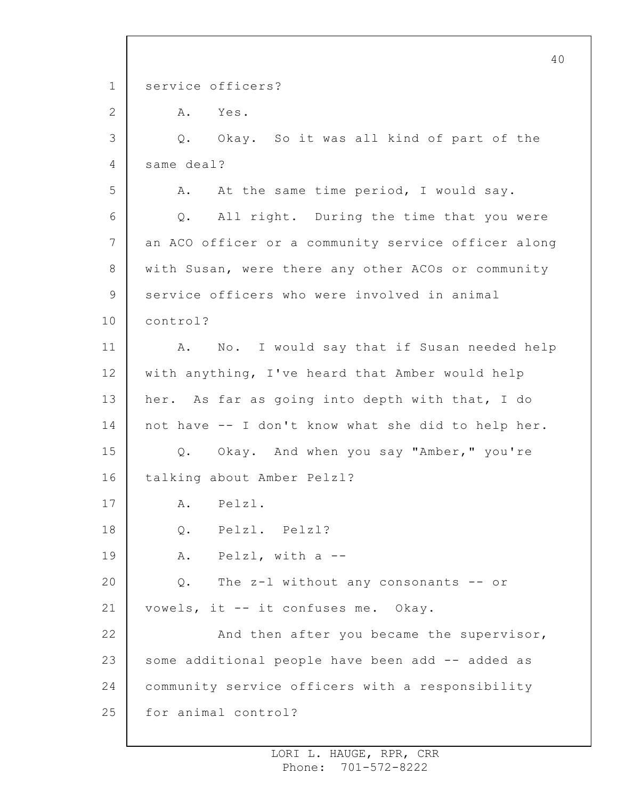1 2 3 4 5 6 7 8 9 10 11 12 13 14 15 16 17 18 19 20 21 22 23 24 25 40 service officers? A. Yes. Q. Okay. So it was all kind of part of the same deal? A. At the same time period, I would say. Q. All right. During the time that you were an ACO officer or a community service officer along with Susan, were there any other ACOs or community service officers who were involved in animal control? A. No. I would say that if Susan needed help with anything, I've heard that Amber would help her. As far as going into depth with that, I do not have -- I don't know what she did to help her. Q. Okay. And when you say "Amber," you're talking about Amber Pelzl? A. Pelzl. Q. Pelzl. Pelzl? A. Pelzl, with a -- Q. The z-l without any consonants -- or vowels, it -- it confuses me. Okay. And then after you became the supervisor, some additional people have been add -- added as community service officers with a responsibility for animal control?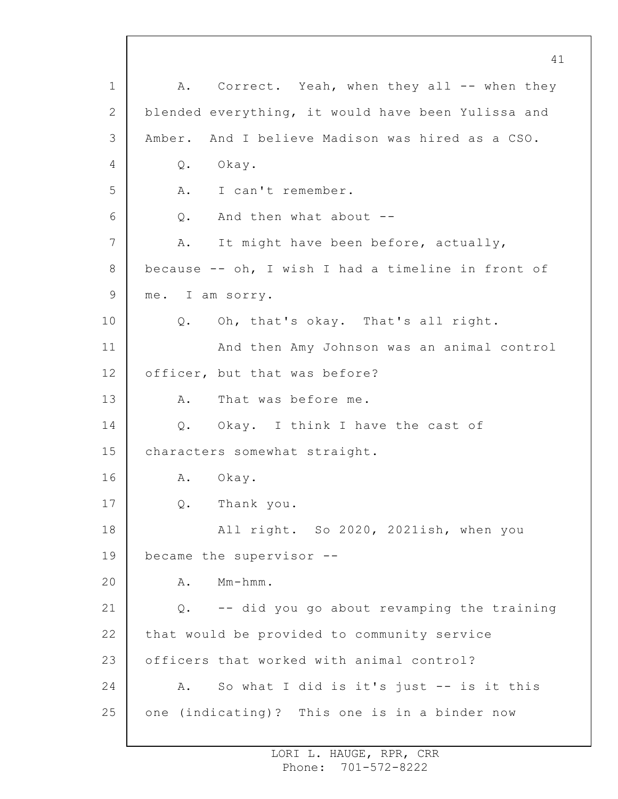1 2 3 4 5 6 7 8 9 10 11 12 13 14 15 16 17 18 19 20 21 22 23 24 25 A. Correct. Yeah, when they all -- when they blended everything, it would have been Yulissa and Amber. And I believe Madison was hired as a CSO. Q. Okay. A. I can't remember. Q. And then what about -- A. It might have been before, actually, because -- oh, I wish I had a timeline in front of me. I am sorry. Q. Oh, that's okay. That's all right. And then Amy Johnson was an animal control officer, but that was before? A. That was before me. Q. Okay. I think I have the cast of characters somewhat straight. A. Okay. Q. Thank you. All right. So 2020, 2021ish, when you became the supervisor -- A. Mm-hmm. Q. -- did you go about revamping the training that would be provided to community service officers that worked with animal control? A. So what I did is it's just -- is it this one (indicating)? This one is in a binder now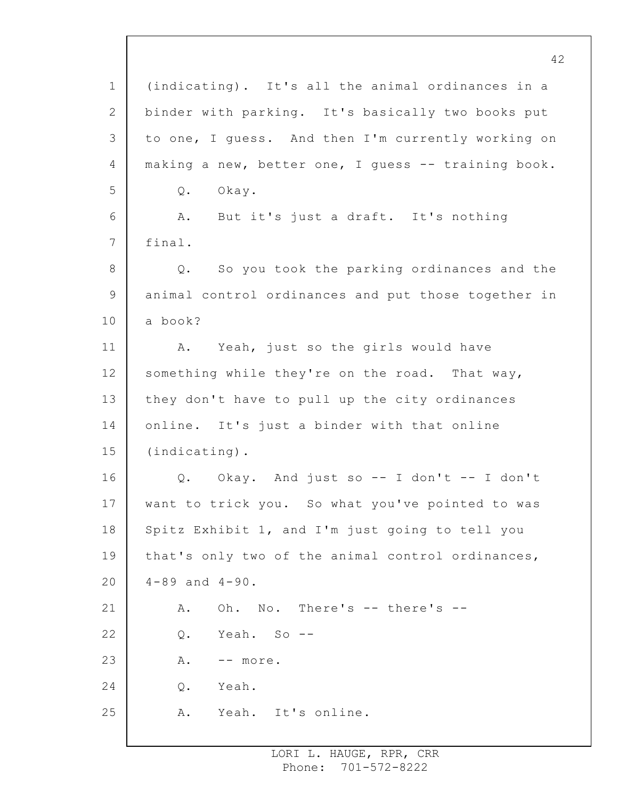1 2 3 4 5 6 7 8 9 10 11 12 13 14 15 16 17 18 19 20 21 22 23 24 25 42 (indicating). It's all the animal ordinances in a binder with parking. It's basically two books put to one, I guess. And then I'm currently working on making a new, better one, I guess -- training book. Q. Okay. A. But it's just a draft. It's nothing final. Q. So you took the parking ordinances and the animal control ordinances and put those together in a book? A. Yeah, just so the girls would have something while they're on the road. That way, they don't have to pull up the city ordinances online. It's just a binder with that online (indicating). Q. Okay. And just so -- I don't -- I don't want to trick you. So what you've pointed to was Spitz Exhibit 1, and I'm just going to tell you that's only two of the animal control ordinances, 4-89 and 4-90. A. Oh. No. There's -- there's -- Q. Yeah. So -- A. -- more. Q. Yeah. A. Yeah. It's online.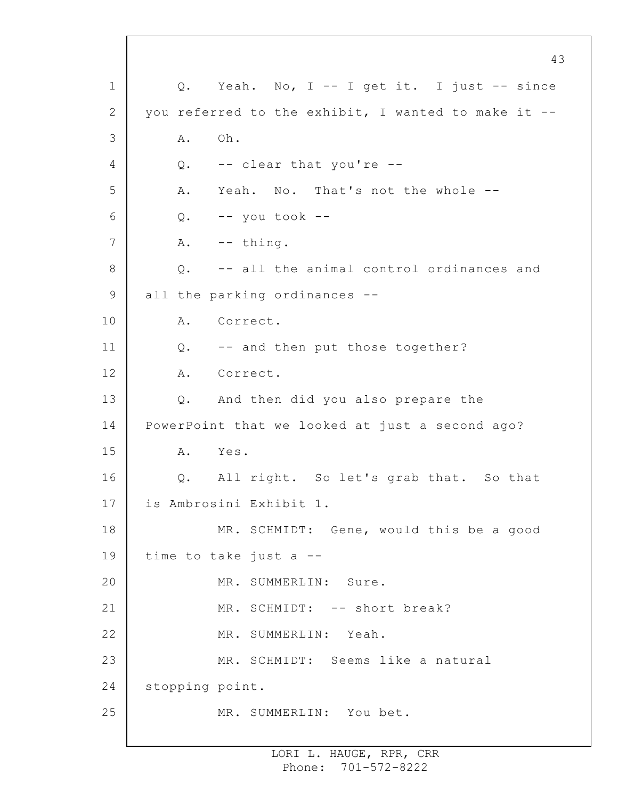1 2 3 4 5 6 7 8 9 10 11 12 13 14 15 16 17 18 19 20 21 22 23 24 25 43 Q. Yeah. No, I -- I get it. I just -- since you referred to the exhibit, I wanted to make it -- A. Oh. Q. -- clear that you're -- A. Yeah. No. That's not the whole --  $Q.$  -- you took --A. -- thing. Q. -- all the animal control ordinances and all the parking ordinances -- A. Correct. Q. -- and then put those together? A. Correct. Q. And then did you also prepare the PowerPoint that we looked at just a second ago? A. Yes. Q. All right. So let's grab that. So that is Ambrosini Exhibit 1. MR. SCHMIDT: Gene, would this be a good time to take just a -- MR. SUMMERLIN: Sure. MR. SCHMIDT: -- short break? MR. SUMMERLIN: Yeah. MR. SCHMIDT: Seems like a natural stopping point. MR. SUMMERLIN: You bet.

> LORI L. HAUGE, RPR, CRR Phone: 701-572-8222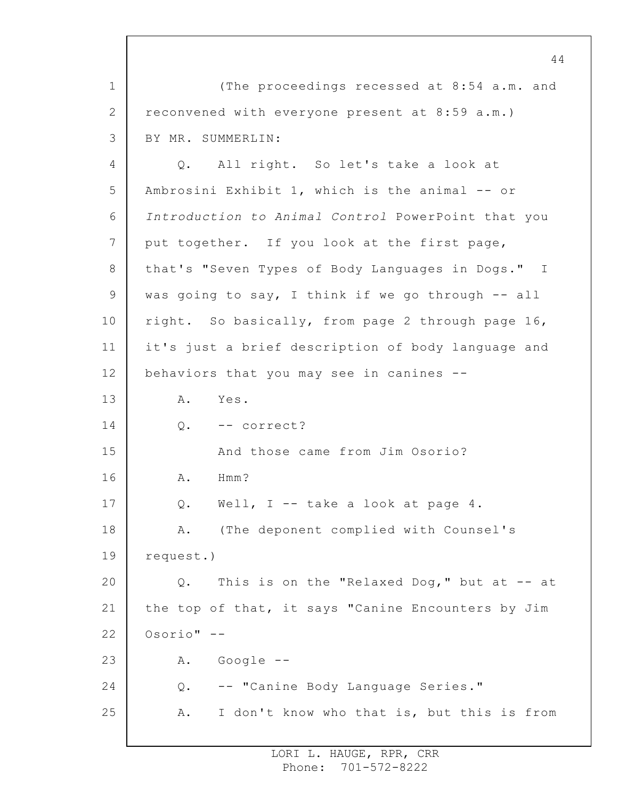1 2 3 (The proceedings recessed at 8:54 a.m. and reconvened with everyone present at 8:59 a.m.) BY MR. SUMMERLIN:

4 5 6 7 8 9 10 11 12 13 14 15 16 17 18 19 20 21 22 23 24 25 Q. All right. So let's take a look at Ambrosini Exhibit 1, which is the animal -- or *Introduction to Animal Control* PowerPoint that you put together. If you look at the first page, that's "Seven Types of Body Languages in Dogs." I was going to say, I think if we go through -- all right. So basically, from page 2 through page 16, it's just a brief description of body language and behaviors that you may see in canines -- A. Yes. Q. -- correct? And those came from Jim Osorio? A. Hmm? Q. Well, I -- take a look at page 4. A. (The deponent complied with Counsel's request.) Q. This is on the "Relaxed Dog," but at -- at the top of that, it says "Canine Encounters by Jim Osorio" -- A. Google -- Q. -- "Canine Body Language Series." A. I don't know who that is, but this is from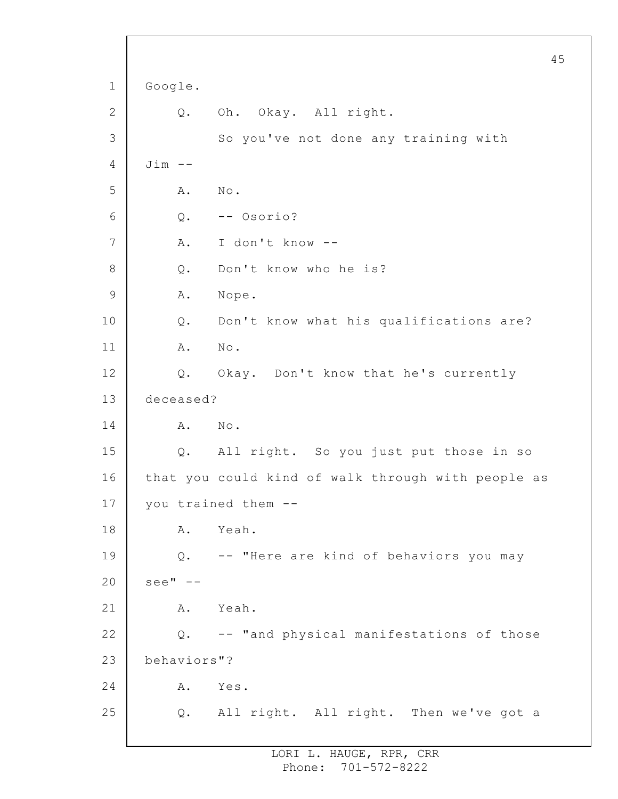```
1
2
3
4
5
 6
7
8
9
10
11
12
13
14
15
16
17
18
19
20
21
22
23
24
25
                                                       45
     Google.
         Q. Oh. Okay. All right.
              So you've not done any training with
     Jim --
         A. No.
         Q. -- Osorio?
         A. I don't know --
         Q. Don't know who he is?
         A. Nope.
         Q. Don't know what his qualifications are?
         A. No.
         Q. Okay. Don't know that he's currently
     deceased?
         A. No.
         Q. All right. So you just put those in so
     that you could kind of walk through with people as
     you trained them --
         A. Yeah.
         Q. -- "Here are kind of behaviors you may
     see" --A. Yeah.
         Q. -- "and physical manifestations of those
     behaviors"?
         A. Yes.
         Q. All right. All right. Then we've got a
```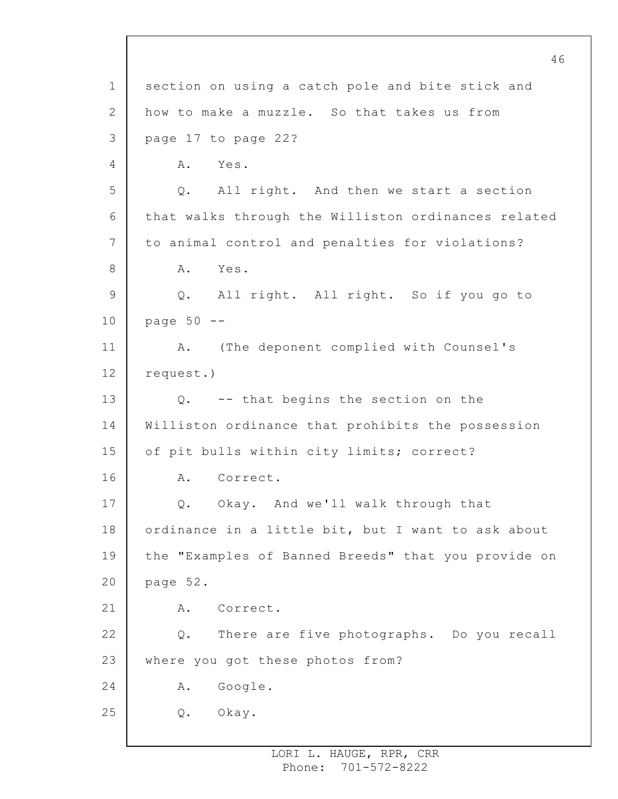1 2 3 4 5 6 7 8 9 10 11 12 13 14 15 16 17 18 19 20 21 22 23 24 25 46 section on using a catch pole and bite stick and how to make a muzzle. So that takes us from page 17 to page 22? A. Yes. Q. All right. And then we start a section that walks through the Williston ordinances related to animal control and penalties for violations? A. Yes. Q. All right. All right. So if you go to page 50 -- A. (The deponent complied with Counsel's request.) Q. -- that begins the section on the Williston ordinance that prohibits the possession of pit bulls within city limits; correct? A. Correct. Q. Okay. And we'll walk through that ordinance in a little bit, but I want to ask about the "Examples of Banned Breeds" that you provide on page 52. A. Correct. Q. There are five photographs. Do you recall where you got these photos from? A. Google. Q. Okay.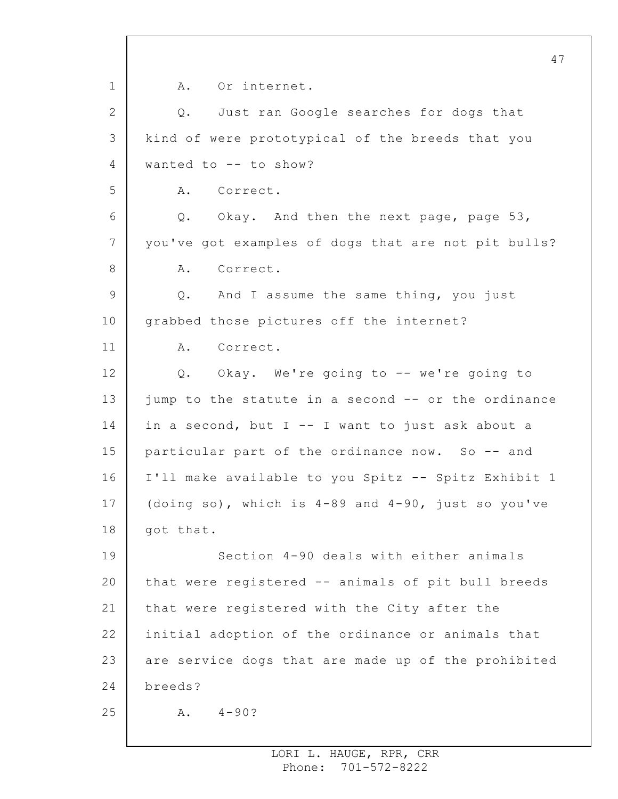1 2 3 4 5 6 7 8 9 10 11 12 13 14 15 16 17 18 19 20 21 22 23 24 25 47 A. Or internet. Q. Just ran Google searches for dogs that kind of were prototypical of the breeds that you wanted to -- to show? A. Correct. Q. Okay. And then the next page, page 53, you've got examples of dogs that are not pit bulls? A. Correct. Q. And I assume the same thing, you just grabbed those pictures off the internet? A. Correct. Q. Okay. We're going to -- we're going to jump to the statute in a second -- or the ordinance in a second, but I -- I want to just ask about a particular part of the ordinance now. So -- and I'll make available to you Spitz -- Spitz Exhibit 1 (doing so), which is 4-89 and 4-90, just so you've got that. Section 4-90 deals with either animals that were registered -- animals of pit bull breeds that were registered with the City after the initial adoption of the ordinance or animals that are service dogs that are made up of the prohibited breeds?  $A. 4-90?$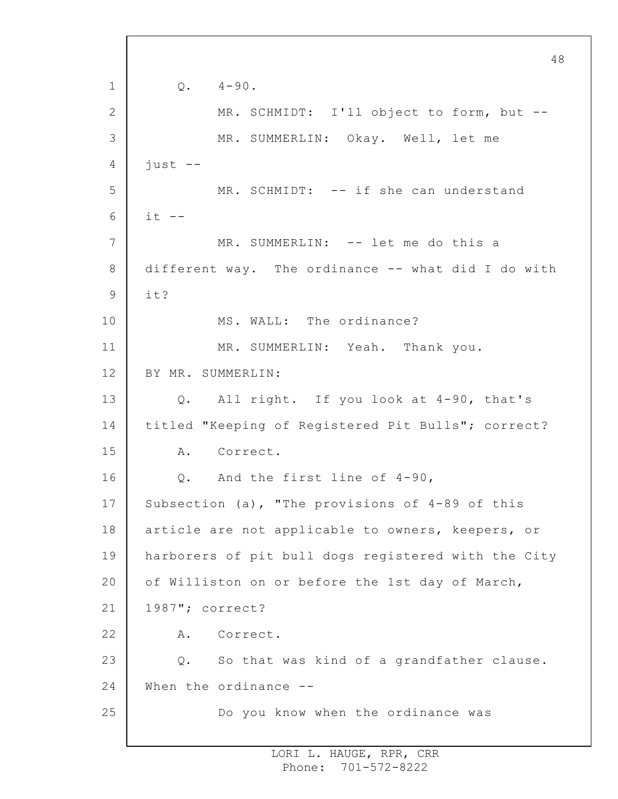1 2 3 4 5 6 7 8 9 10 11 12 13 14 15 16 17 18 19 20 21 22 23 24 25 48  $Q. 4-90.$ MR. SCHMIDT: I'll object to form, but -- MR. SUMMERLIN: Okay. Well, let me just -- MR. SCHMIDT: -- if she can understand  $it$   $--$ MR. SUMMERLIN: -- let me do this a different way. The ordinance -- what did I do with it? MS. WALL: The ordinance? MR. SUMMERLIN: Yeah. Thank you. BY MR. SUMMERLIN: Q. All right. If you look at 4-90, that's titled "Keeping of Registered Pit Bulls"; correct? A. Correct. Q. And the first line of 4-90, Subsection (a), "The provisions of 4-89 of this article are not applicable to owners, keepers, or harborers of pit bull dogs registered with the City of Williston on or before the 1st day of March, 1987"; correct? A. Correct. Q. So that was kind of a grandfather clause. When the ordinance --Do you know when the ordinance was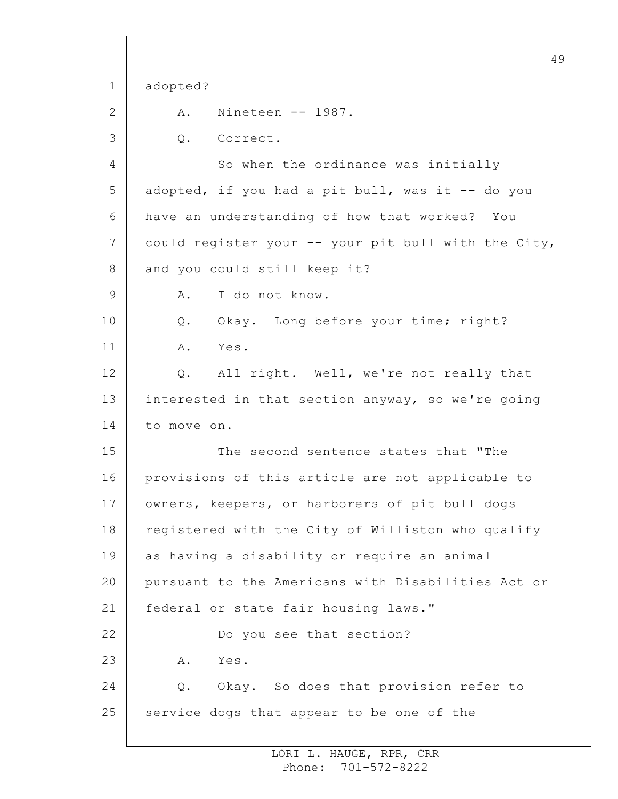1 2 3 4 5 6 7 8 9 10 11 12 13 14 15 16 17 18 19 20 21 22 23 24 25 49 adopted? A. Nineteen -- 1987. Q. Correct. So when the ordinance was initially adopted, if you had a pit bull, was it -- do you have an understanding of how that worked? You could register your -- your pit bull with the City, and you could still keep it? A. I do not know. Q. Okay. Long before your time; right? A. Yes. Q. All right. Well, we're not really that interested in that section anyway, so we're going to move on. The second sentence states that "The provisions of this article are not applicable to owners, keepers, or harborers of pit bull dogs registered with the City of Williston who qualify as having a disability or require an animal pursuant to the Americans with Disabilities Act or federal or state fair housing laws." Do you see that section? A. Yes. Q. Okay. So does that provision refer to service dogs that appear to be one of the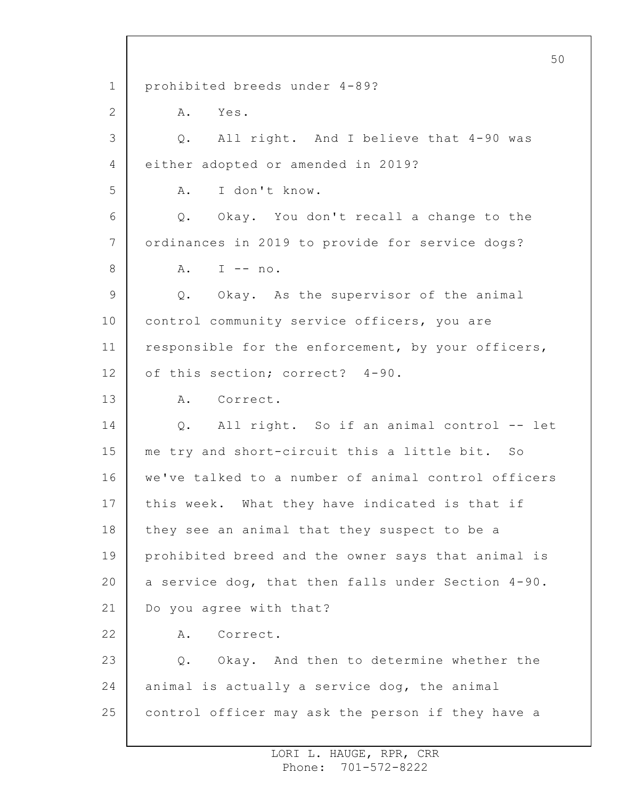1 2 3 4 5 6 7 8 9 10 11 12 13 14 15 16 17 18 19 20 21 22 23 24 25 prohibited breeds under 4-89? A. Yes. Q. All right. And I believe that 4-90 was either adopted or amended in 2019? A. I don't know. Q. Okay. You don't recall a change to the ordinances in 2019 to provide for service dogs?  $A.$  I  $-$  no. Q. Okay. As the supervisor of the animal control community service officers, you are responsible for the enforcement, by your officers, of this section; correct? 4-90. A. Correct. Q. All right. So if an animal control -- let me try and short-circuit this a little bit. So we've talked to a number of animal control officers this week. What they have indicated is that if they see an animal that they suspect to be a prohibited breed and the owner says that animal is a service dog, that then falls under Section 4-90. Do you agree with that? A. Correct. Q. Okay. And then to determine whether the animal is actually a service dog, the animal control officer may ask the person if they have a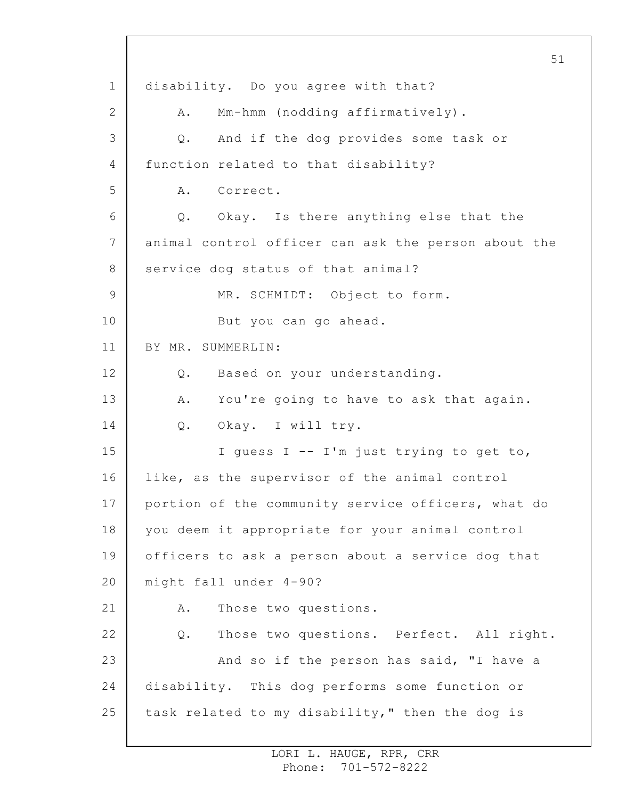1 2 3 4 5 6 7 8 9 10 11 12 13 14 15 16 17 18 19 20 21 22 23 24 25 51 disability. Do you agree with that? A. Mm-hmm (nodding affirmatively). Q. And if the dog provides some task or function related to that disability? A. Correct. Q. Okay. Is there anything else that the animal control officer can ask the person about the service dog status of that animal? MR. SCHMIDT: Object to form. But you can go ahead. BY MR. SUMMERLIN: Q. Based on your understanding. A. You're going to have to ask that again. Q. Okay. I will try. I guess I -- I'm just trying to get to, like, as the supervisor of the animal control portion of the community service officers, what do you deem it appropriate for your animal control officers to ask a person about a service dog that might fall under 4-90? A. Those two questions. Q. Those two questions. Perfect. All right. And so if the person has said, "I have a disability. This dog performs some function or task related to my disability," then the dog is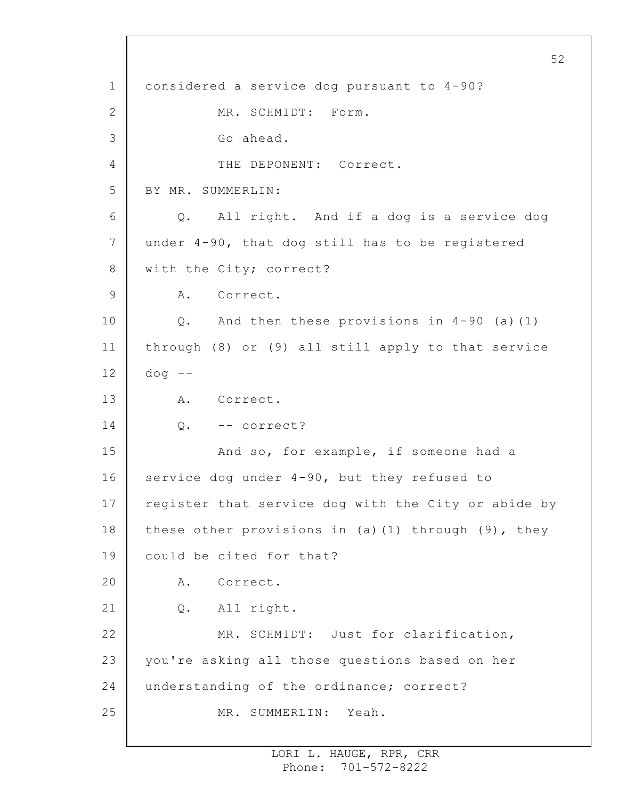1 2 3 4 5 6 7 8 9 10 11 12 13 14 15 16 17 18 19 20 21 22 23 24 25 52 considered a service dog pursuant to 4-90? MR. SCHMIDT: Form. Go ahead. THE DEPONENT: Correct. BY MR. SUMMERLIN: Q. All right. And if a dog is a service dog under 4-90, that dog still has to be registered with the City; correct? A. Correct. Q. And then these provisions in 4-90 (a)(1) through (8) or (9) all still apply to that service  $dog$   $--$ A. Correct. Q. -- correct? And so, for example, if someone had a service dog under 4-90, but they refused to register that service dog with the City or abide by these other provisions in (a)(1) through  $(9)$ , they could be cited for that? A. Correct. Q. All right. MR. SCHMIDT: Just for clarification, you're asking all those questions based on her understanding of the ordinance; correct? MR. SUMMERLIN: Yeah.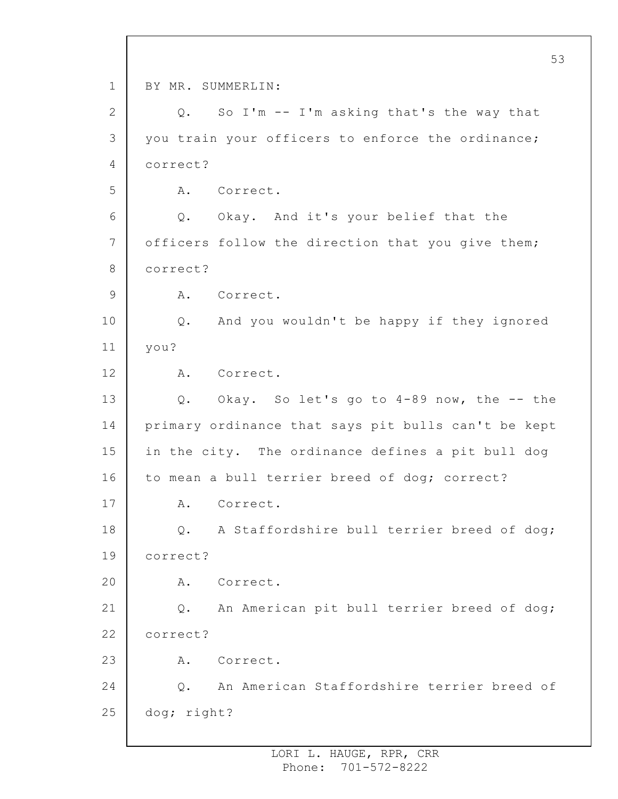1 2 3 4 5 6 7 8 9 10 11 12 13 14 15 16 17 18 19 20 21 22 23 24 25 BY MR. SUMMERLIN: Q. So I'm -- I'm asking that's the way that you train your officers to enforce the ordinance; correct? A. Correct. Q. Okay. And it's your belief that the officers follow the direction that you give them; correct? A. Correct. Q. And you wouldn't be happy if they ignored you? A. Correct. Q. Okay. So let's go to 4-89 now, the -- the primary ordinance that says pit bulls can't be kept in the city. The ordinance defines a pit bull dog to mean a bull terrier breed of dog; correct? A. Correct. Q. A Staffordshire bull terrier breed of dog; correct? A. Correct. Q. An American pit bull terrier breed of dog; correct? A. Correct. Q. An American Staffordshire terrier breed of dog; right?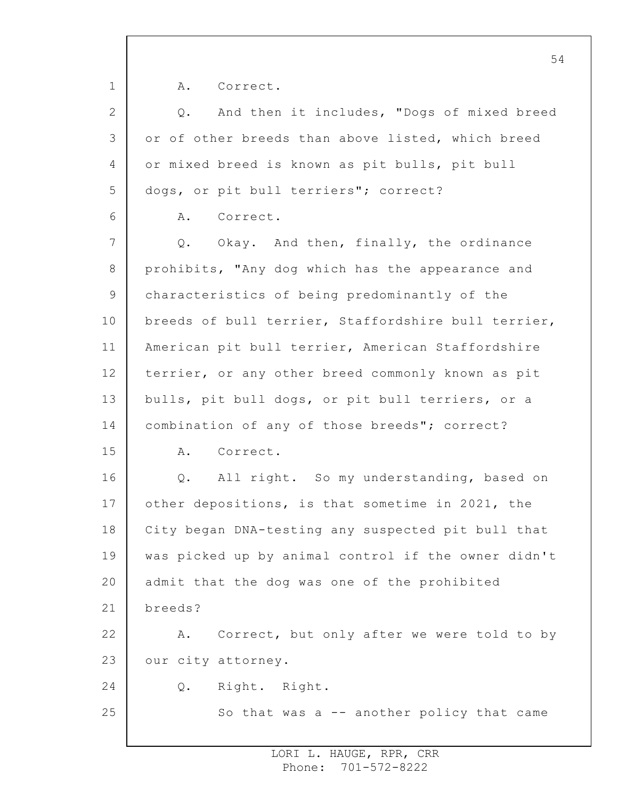1 2 3 4 5 6 7 8 9 10 11 12 13 14 15 16 17 18 19 20 21 22 23 24 25 A. Correct. Q. And then it includes, "Dogs of mixed breed or of other breeds than above listed, which breed or mixed breed is known as pit bulls, pit bull dogs, or pit bull terriers"; correct? A. Correct. Q. Okay. And then, finally, the ordinance prohibits, "Any dog which has the appearance and characteristics of being predominantly of the breeds of bull terrier, Staffordshire bull terrier, American pit bull terrier, American Staffordshire terrier, or any other breed commonly known as pit bulls, pit bull dogs, or pit bull terriers, or a combination of any of those breeds"; correct? A. Correct. Q. All right. So my understanding, based on other depositions, is that sometime in 2021, the City began DNA-testing any suspected pit bull that was picked up by animal control if the owner didn't admit that the dog was one of the prohibited breeds? A. Correct, but only after we were told to by our city attorney. Q. Right. Right. So that was a -- another policy that came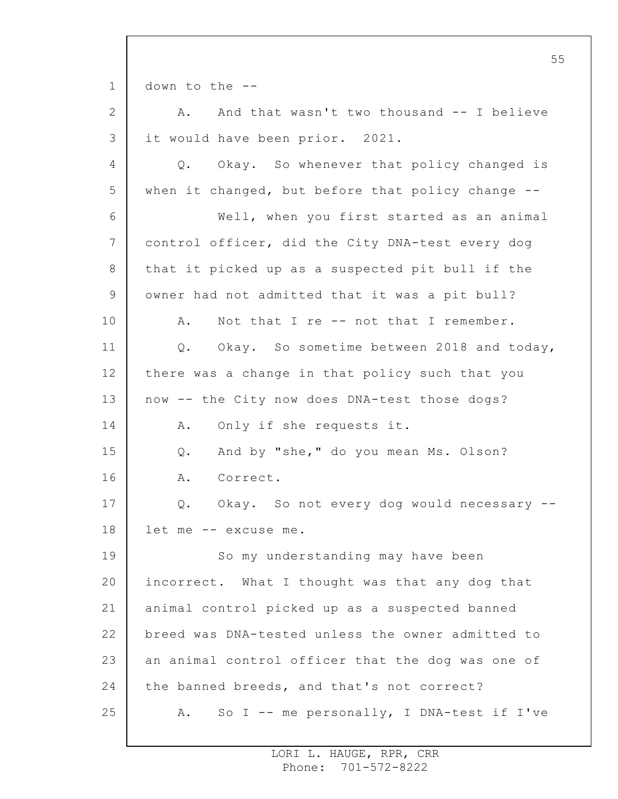1 2 3 4 5 6 7 8 9 10 11 12 13 14 15 16 17 18 19 20 21 22 23 24 25 55 down to the -- A. And that wasn't two thousand -- I believe it would have been prior. 2021. Q. Okay. So whenever that policy changed is when it changed, but before that policy change --Well, when you first started as an animal control officer, did the City DNA-test every dog that it picked up as a suspected pit bull if the owner had not admitted that it was a pit bull? A. Not that I re -- not that I remember. Q. Okay. So sometime between 2018 and today, there was a change in that policy such that you now -- the City now does DNA-test those dogs? A. Only if she requests it. Q. And by "she," do you mean Ms. Olson? A. Correct. Q. Okay. So not every dog would necessary - let me -- excuse me. So my understanding may have been incorrect. What I thought was that any dog that animal control picked up as a suspected banned breed was DNA-tested unless the owner admitted to an animal control officer that the dog was one of the banned breeds, and that's not correct? A. So I -- me personally, I DNA-test if I've

> LORI L. HAUGE, RPR, CRR Phone: 701-572-8222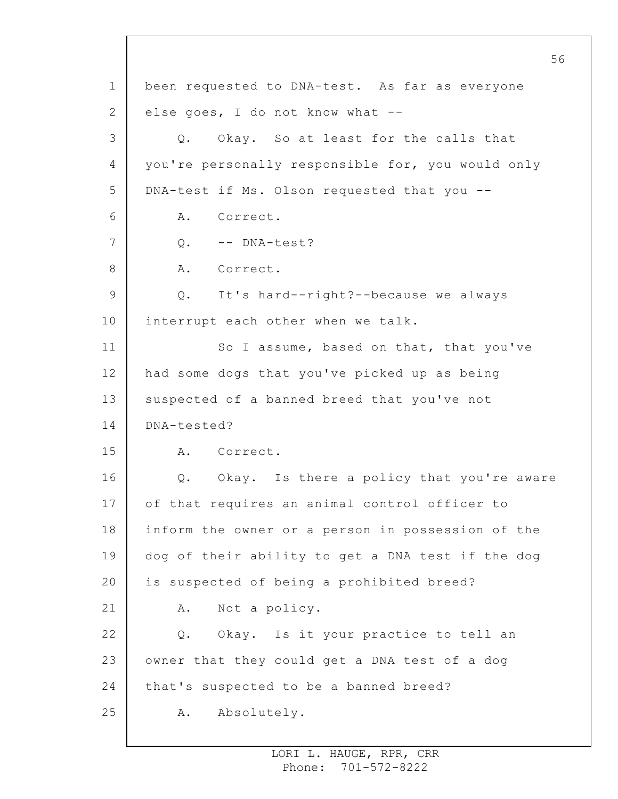1 2 3 4 5 6 7 8 9 10 11 12 13 14 15 16 17 18 19 20 21 22 23 24 25 been requested to DNA-test. As far as everyone else goes, I do not know what -- Q. Okay. So at least for the calls that you're personally responsible for, you would only DNA-test if Ms. Olson requested that you -- A. Correct. Q. -- DNA-test? A. Correct. Q. It's hard--right?--because we always interrupt each other when we talk. So I assume, based on that, that you've had some dogs that you've picked up as being suspected of a banned breed that you've not DNA-tested? A. Correct. Q. Okay. Is there a policy that you're aware of that requires an animal control officer to inform the owner or a person in possession of the dog of their ability to get a DNA test if the dog is suspected of being a prohibited breed? A. Not a policy. Q. Okay. Is it your practice to tell an owner that they could get a DNA test of a dog that's suspected to be a banned breed? A. Absolutely.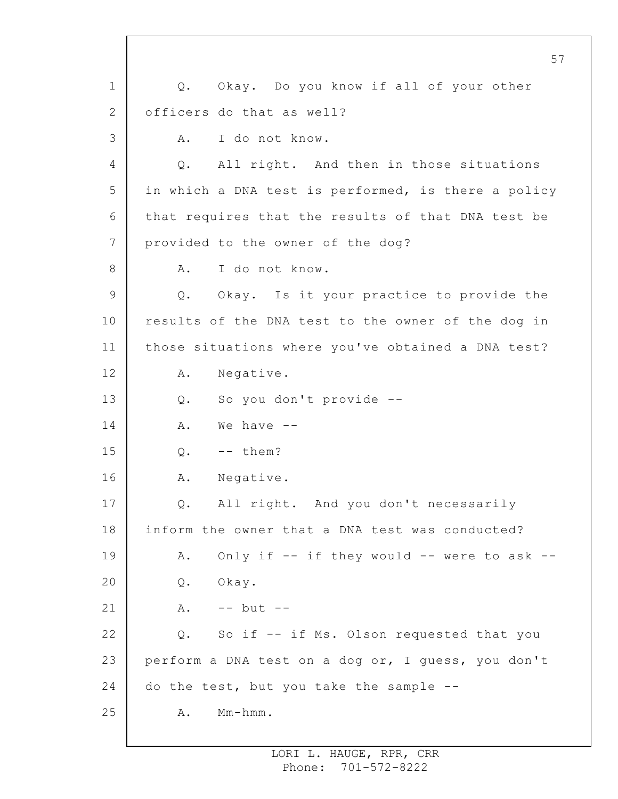1 2 3 4 5 6 7 8 9 10 11 12 13 14 15 16 17 18 19 20 21 22 23 24 25 Q. Okay. Do you know if all of your other officers do that as well? A. I do not know. Q. All right. And then in those situations in which a DNA test is performed, is there a policy that requires that the results of that DNA test be provided to the owner of the dog? A. I do not know. Q. Okay. Is it your practice to provide the results of the DNA test to the owner of the dog in those situations where you've obtained a DNA test? A. Negative. Q. So you don't provide --  $A.$  We have  $0. - -$  them? A. Negative. Q. All right. And you don't necessarily inform the owner that a DNA test was conducted? A. Only if -- if they would -- were to ask --Q. Okay.  $A. \t-- but --$ Q. So if -- if Ms. Olson requested that you perform a DNA test on a dog or, I guess, you don't do the test, but you take the sample -- A. Mm-hmm.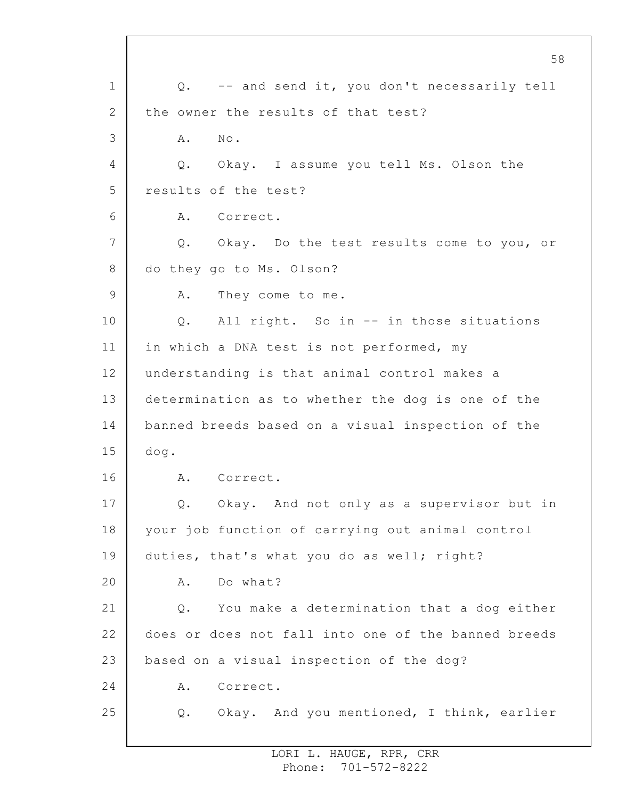1 2 3 4 5 6 7 8 9 10 11 12 13 14 15 16 17 18 19 20 21 22 23 24 25 Q. -- and send it, you don't necessarily tell the owner the results of that test? A. No. Q. Okay. I assume you tell Ms. Olson the results of the test? A. Correct. Q. Okay. Do the test results come to you, or do they go to Ms. Olson? A. They come to me. Q. All right. So in -- in those situations in which a DNA test is not performed, my understanding is that animal control makes a determination as to whether the dog is one of the banned breeds based on a visual inspection of the dog. A. Correct. Q. Okay. And not only as a supervisor but in your job function of carrying out animal control duties, that's what you do as well; right? A. Do what? Q. You make a determination that a dog either does or does not fall into one of the banned breeds based on a visual inspection of the dog? A. Correct. Q. Okay. And you mentioned, I think, earlier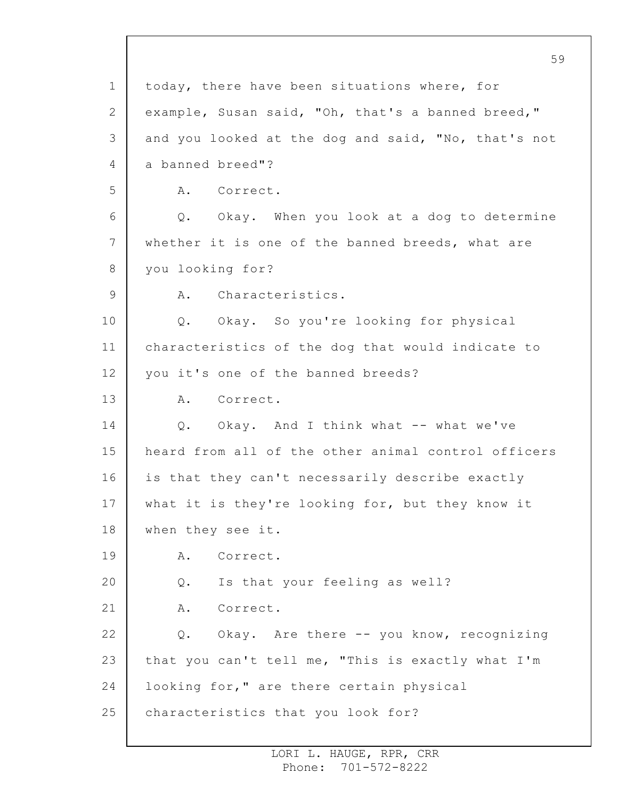1 2 3 4 5 6 7 8 9 10 11 12 13 14 15 16 17 18 19 20 21 22 23 24 25 today, there have been situations where, for example, Susan said, "Oh, that's a banned breed," and you looked at the dog and said, "No, that's not a banned breed"? A. Correct. Q. Okay. When you look at a dog to determine whether it is one of the banned breeds, what are you looking for? A. Characteristics. Q. Okay. So you're looking for physical characteristics of the dog that would indicate to you it's one of the banned breeds? A. Correct. Q. Okay. And I think what -- what we've heard from all of the other animal control officers is that they can't necessarily describe exactly what it is they're looking for, but they know it when they see it. A. Correct. Q. Is that your feeling as well? A. Correct. Q. Okay. Are there -- you know, recognizing that you can't tell me, "This is exactly what I'm looking for," are there certain physical characteristics that you look for?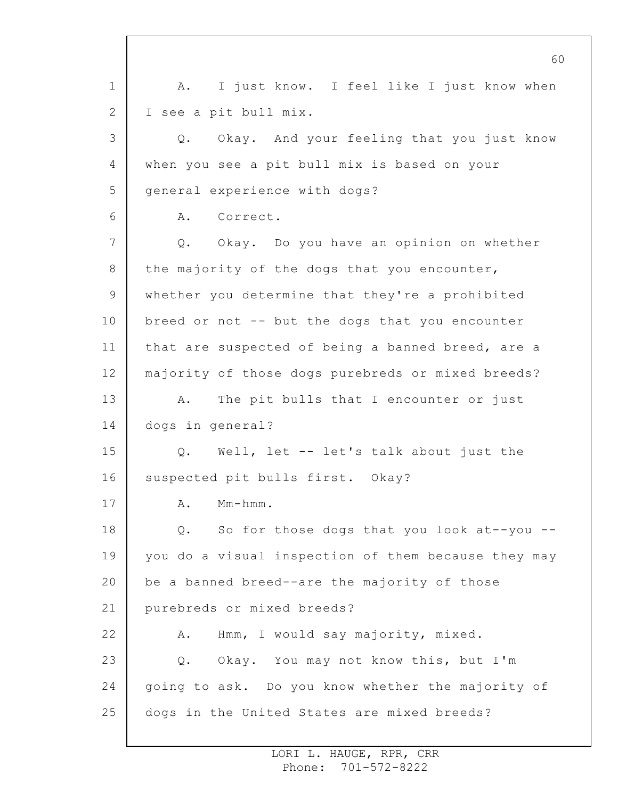1 2 3 4 5 6 7 8 9 10 11 12 13 14 15 16 17 18 19 20 21 22 23 24 25 A. I just know. I feel like I just know when I see a pit bull mix. Q. Okay. And your feeling that you just know when you see a pit bull mix is based on your general experience with dogs? A. Correct. Q. Okay. Do you have an opinion on whether the majority of the dogs that you encounter, whether you determine that they're a prohibited breed or not -- but the dogs that you encounter that are suspected of being a banned breed, are a majority of those dogs purebreds or mixed breeds? A. The pit bulls that I encounter or just dogs in general? Q. Well, let -- let's talk about just the suspected pit bulls first. Okay? A. Mm-hmm. Q. So for those dogs that you look at--you - you do a visual inspection of them because they may be a banned breed--are the majority of those purebreds or mixed breeds? A. Hmm, I would say majority, mixed. Q. Okay. You may not know this, but I'm going to ask. Do you know whether the majority of dogs in the United States are mixed breeds?

> LORI L. HAUGE, RPR, CRR Phone: 701-572-8222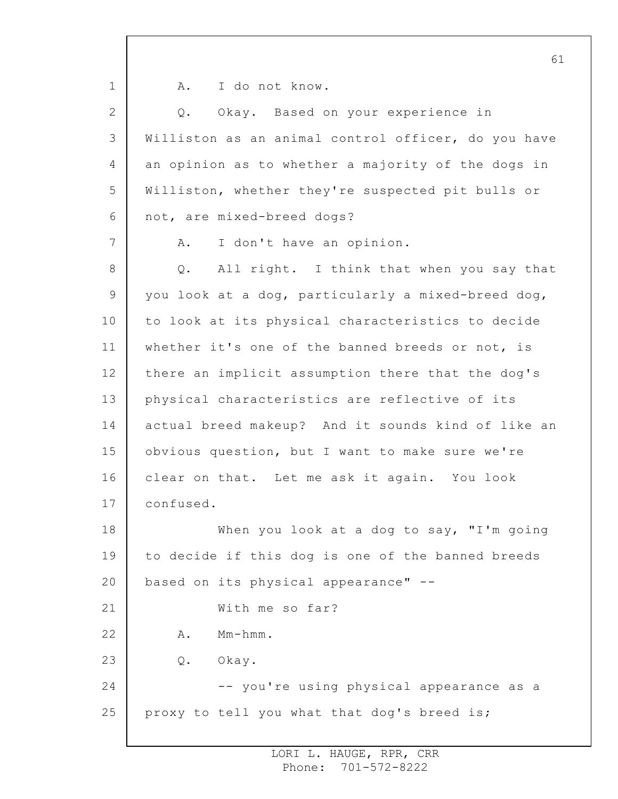1 2 3 4 5 6 7 8 9 10 11 12 13 14 15 16 17 18 19 20 21 22 23 24 25 61 A. I do not know. Q. Okay. Based on your experience in Williston as an animal control officer, do you have an opinion as to whether a majority of the dogs in Williston, whether they're suspected pit bulls or not, are mixed-breed dogs? A. I don't have an opinion. Q. All right. I think that when you say that you look at a dog, particularly a mixed-breed dog, to look at its physical characteristics to decide whether it's one of the banned breeds or not, is there an implicit assumption there that the dog's physical characteristics are reflective of its actual breed makeup? And it sounds kind of like an obvious question, but I want to make sure we're clear on that. Let me ask it again. You look confused. When you look at a dog to say, "I'm going to decide if this dog is one of the banned breeds based on its physical appearance" -- With me so far? A. Mm-hmm. Q. Okay. -- you're using physical appearance as a proxy to tell you what that dog's breed is;

> LORI L. HAUGE, RPR, CRR Phone: 701-572-8222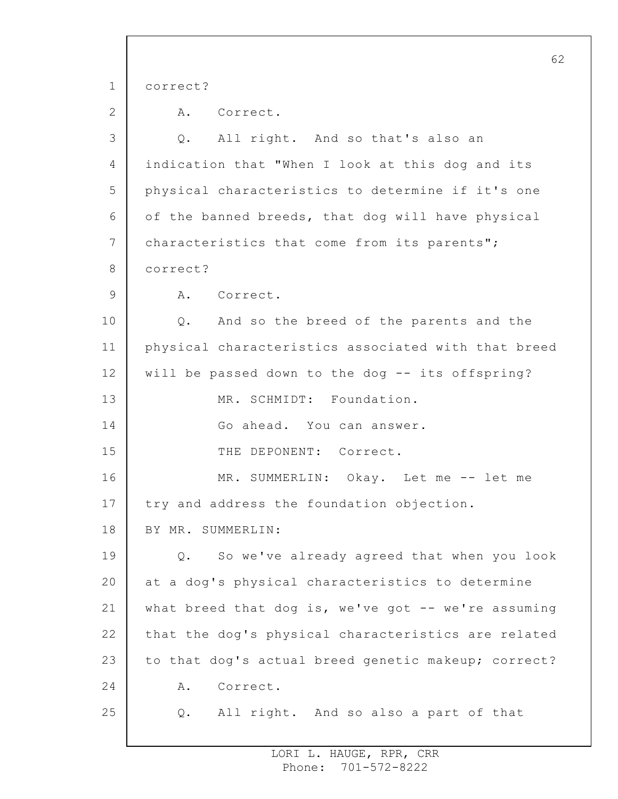1 2 3 4 5 6 7 8 9 10 11 12 13 14 15 16 17 18 19 20 21 22 23 24 25 62 correct? A. Correct. Q. All right. And so that's also an indication that "When I look at this dog and its physical characteristics to determine if it's one of the banned breeds, that dog will have physical characteristics that come from its parents"; correct? A. Correct. Q. And so the breed of the parents and the physical characteristics associated with that breed will be passed down to the dog -- its offspring? MR. SCHMIDT: Foundation. Go ahead. You can answer. THE DEPONENT: Correct. MR. SUMMERLIN: Okay. Let me -- let me try and address the foundation objection. BY MR. SUMMERLIN: Q. So we've already agreed that when you look at a dog's physical characteristics to determine what breed that dog is, we've got  $-$ - we're assuming that the dog's physical characteristics are related to that dog's actual breed genetic makeup; correct? A. Correct. Q. All right. And so also a part of that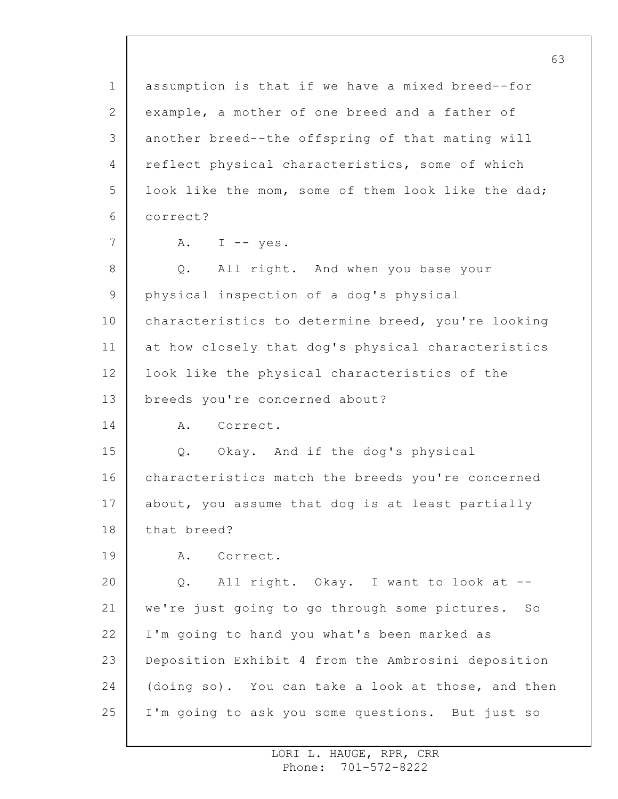1 2 3 4 5 6 7 8 9 10 11 12 13 14 15 16 17 18 19 20 21 22 23 24 25 assumption is that if we have a mixed breed--for example, a mother of one breed and a father of another breed--the offspring of that mating will reflect physical characteristics, some of which look like the mom, some of them look like the dad; correct? A. I  $-$  yes. Q. All right. And when you base your physical inspection of a dog's physical characteristics to determine breed, you're looking at how closely that dog's physical characteristics look like the physical characteristics of the breeds you're concerned about? A. Correct. Q. Okay. And if the dog's physical characteristics match the breeds you're concerned about, you assume that dog is at least partially that breed? A. Correct. Q. All right. Okay. I want to look at - we're just going to go through some pictures. So I'm going to hand you what's been marked as Deposition Exhibit 4 from the Ambrosini deposition (doing so). You can take a look at those, and then I'm going to ask you some questions. But just so

> LORI L. HAUGE, RPR, CRR Phone: 701-572-8222

63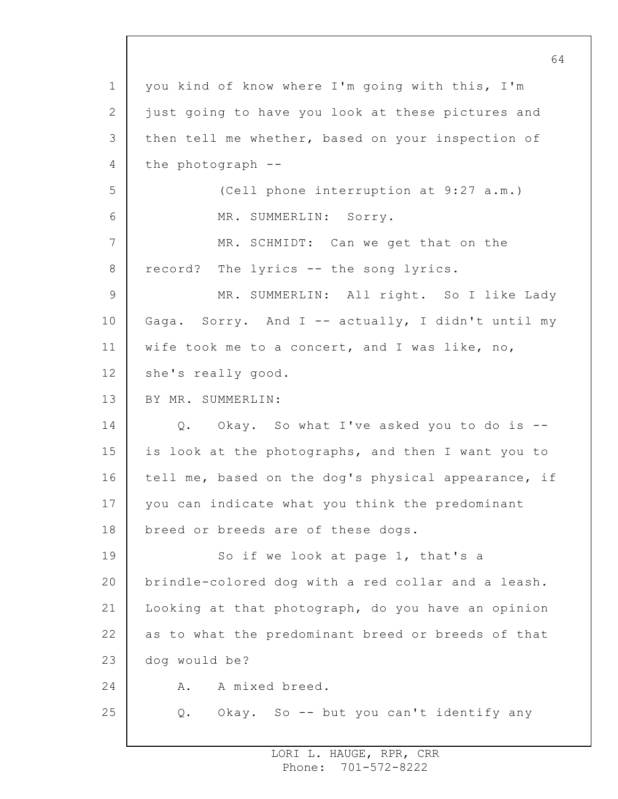1 2 3 4 5 6 7 8 9 10 11 12 13 14 15 16 17 18 19 20 21 22 23 24 25 64 you kind of know where I'm going with this, I'm just going to have you look at these pictures and then tell me whether, based on your inspection of the photograph -- (Cell phone interruption at 9:27 a.m.) MR. SUMMERLIN: Sorry. MR. SCHMIDT: Can we get that on the record? The lyrics -- the song lyrics. MR. SUMMERLIN: All right. So I like Lady Gaga. Sorry. And I -- actually, I didn't until my wife took me to a concert, and I was like, no, she's really good. BY MR. SUMMERLIN: Q. Okay. So what I've asked you to do is - is look at the photographs, and then I want you to tell me, based on the dog's physical appearance, if you can indicate what you think the predominant breed or breeds are of these dogs. So if we look at page 1, that's a brindle-colored dog with a red collar and a leash. Looking at that photograph, do you have an opinion as to what the predominant breed or breeds of that dog would be? A. A mixed breed. Q. Okay. So -- but you can't identify any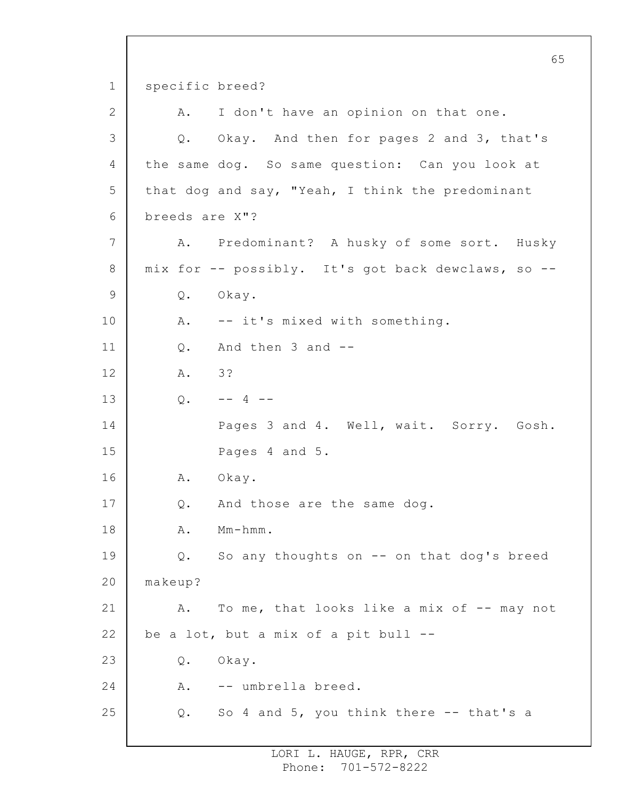1 2 3 4 5 6 7 8 9 10 11 12 13 14 15 16 17 18 19 20 21 22 23 24 25 65 specific breed? A. I don't have an opinion on that one. Q. Okay. And then for pages 2 and 3, that's the same dog. So same question: Can you look at that dog and say, "Yeah, I think the predominant breeds are X"? A. Predominant? A husky of some sort. Husky mix for -- possibly. It's got back dewclaws, so -- Q. Okay. A. -- it's mixed with something. Q. And then 3 and -- A. 3?  $Q_{\bullet}$  -- 4 --Pages 3 and 4. Well, wait. Sorry. Gosh. Pages 4 and 5. A. Okay. Q. And those are the same dog. A. Mm-hmm. Q. So any thoughts on -- on that dog's breed makeup? A. To me, that looks like a mix of -- may not be a lot, but a mix of a pit bull -- Q. Okay. A. -- umbrella breed. Q. So 4 and 5, you think there -- that's a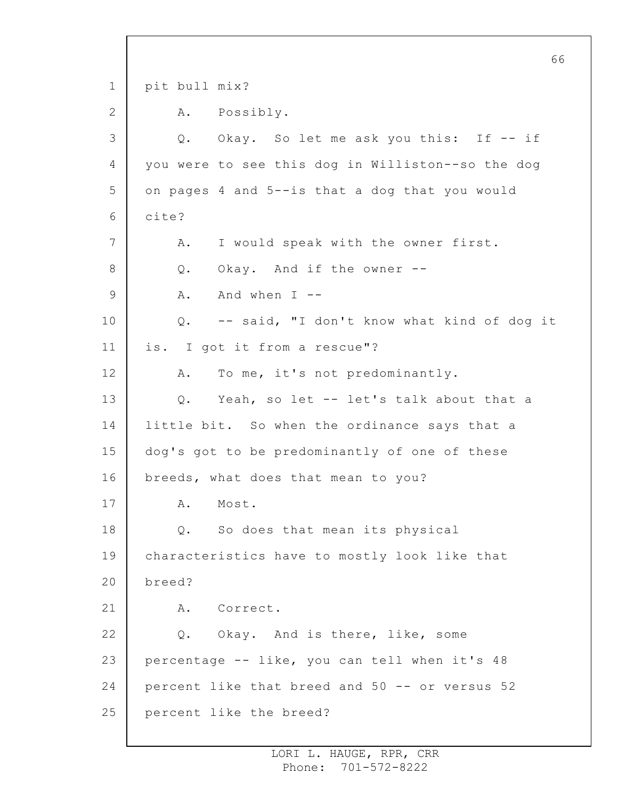1 2 3 4 5 6 7 8 9 10 11 12 13 14 15 16 17 18 19 20 21 22 23 24 25 66 pit bull mix? A. Possibly. Q. Okay. So let me ask you this: If -- if you were to see this dog in Williston--so the dog on pages 4 and 5--is that a dog that you would cite? A. I would speak with the owner first. Q. Okay. And if the owner -- A. And when I -- Q. -- said, "I don't know what kind of dog it is. I got it from a rescue"? A. To me, it's not predominantly. Q. Yeah, so let -- let's talk about that a little bit. So when the ordinance says that a dog's got to be predominantly of one of these breeds, what does that mean to you? A. Most. Q. So does that mean its physical characteristics have to mostly look like that breed? A. Correct. Q. Okay. And is there, like, some percentage -- like, you can tell when it's 48 percent like that breed and 50 -- or versus 52 percent like the breed?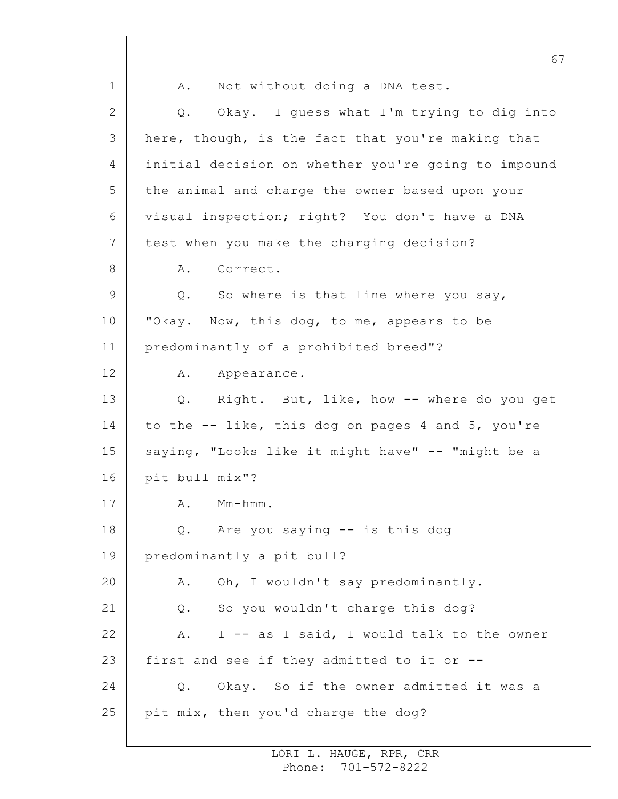1 2 3 4 5 6 7 8 9 10 11 12 13 14 15 16 17 18 19 20 21 22 23 24 25 67 A. Not without doing a DNA test. Q. Okay. I guess what I'm trying to dig into here, though, is the fact that you're making that initial decision on whether you're going to impound the animal and charge the owner based upon your visual inspection; right? You don't have a DNA test when you make the charging decision? A. Correct. Q. So where is that line where you say, "Okay. Now, this dog, to me, appears to be predominantly of a prohibited breed"? A. Appearance. Q. Right. But, like, how -- where do you get to the -- like, this dog on pages 4 and 5, you're saying, "Looks like it might have" -- "might be a pit bull mix"? A. Mm-hmm. Q. Are you saying -- is this dog predominantly a pit bull? A. Oh, I wouldn't say predominantly. Q. So you wouldn't charge this dog? A. I -- as I said, I would talk to the owner first and see if they admitted to it or -- Q. Okay. So if the owner admitted it was a pit mix, then you'd charge the dog?

> LORI L. HAUGE, RPR, CRR Phone: 701-572-8222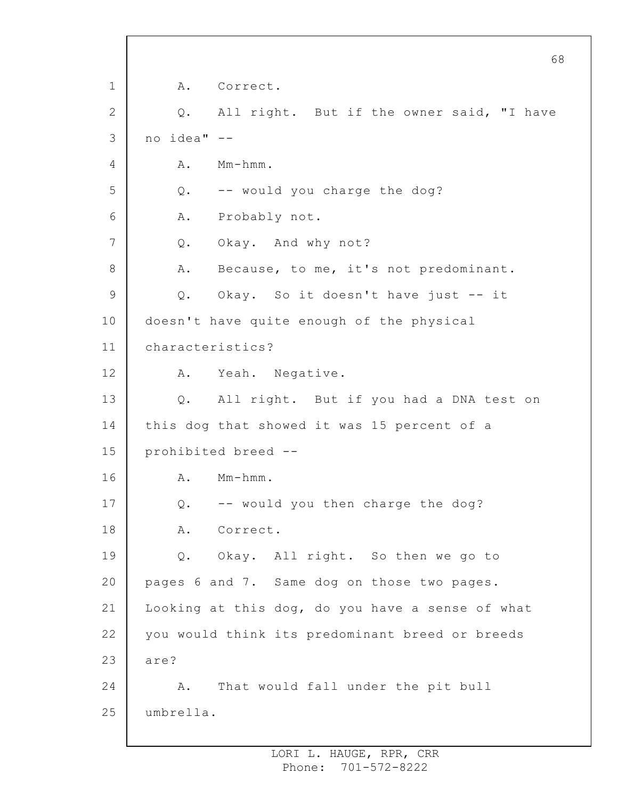1 2 3 4 5 6 7 8 9 10 11 12 13 14 15 16 17 18 19 20 21 22 23 24 25 A. Correct. Q. All right. But if the owner said, "I have no idea" -- A. Mm-hmm. Q. -- would you charge the dog? A. Probably not. Q. Okay. And why not? A. Because, to me, it's not predominant. Q. Okay. So it doesn't have just -- it doesn't have quite enough of the physical characteristics? A. Yeah. Negative. Q. All right. But if you had a DNA test on this dog that showed it was 15 percent of a prohibited breed -- A. Mm-hmm. Q. -- would you then charge the dog? A. Correct. Q. Okay. All right. So then we go to pages 6 and 7. Same dog on those two pages. Looking at this dog, do you have a sense of what you would think its predominant breed or breeds are? A. That would fall under the pit bull umbrella.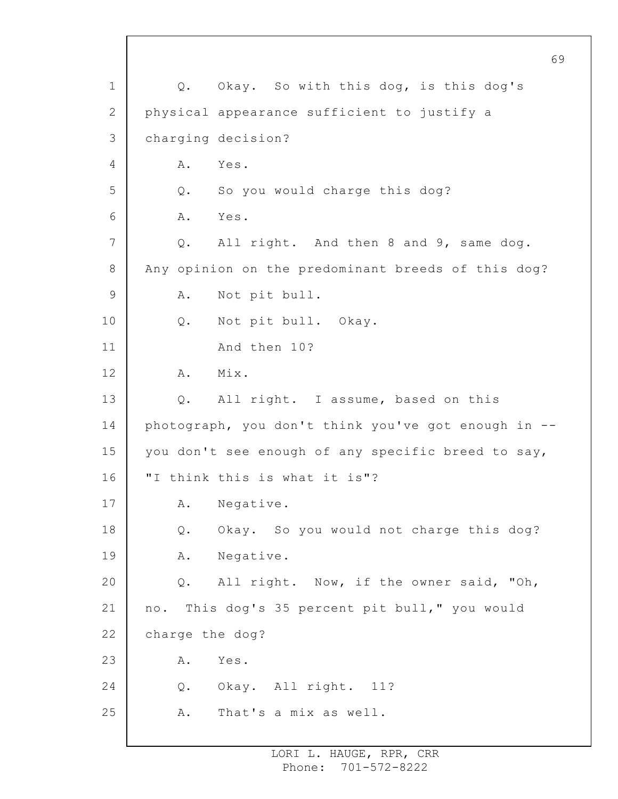1 2 3 4 5 6 7 8 9 10 11 12 13 14 15 16 17 18 19 20 21 22 23 24 25 Q. Okay. So with this dog, is this dog's physical appearance sufficient to justify a charging decision? A. Yes. Q. So you would charge this dog? A. Yes. Q. All right. And then 8 and 9, same dog. Any opinion on the predominant breeds of this dog? A. Not pit bull. Q. Not pit bull. Okay. And then 10? A. Mix. Q. All right. I assume, based on this photograph, you don't think you've got enough in - you don't see enough of any specific breed to say, "I think this is what it is"? A. Negative. Q. Okay. So you would not charge this dog? A. Negative. Q. All right. Now, if the owner said, "Oh, no. This dog's 35 percent pit bull," you would charge the dog? A. Yes. Q. Okay. All right. 11? A. That's a mix as well.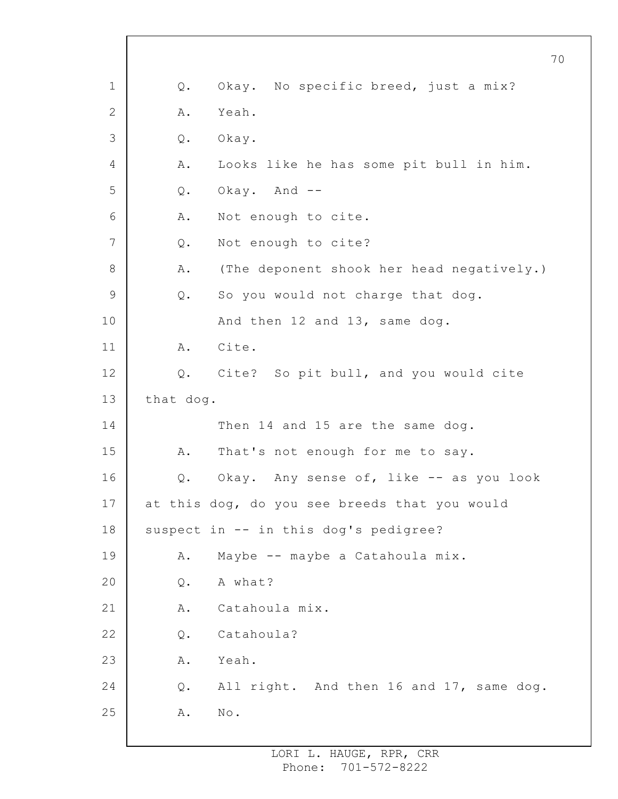|    |           | 70                                            |
|----|-----------|-----------------------------------------------|
| 1  | Q.        | Okay. No specific breed, just a mix?          |
| 2  | Α.        | Yeah.                                         |
| 3  | Q.        | Okay.                                         |
| 4  | Α.        | Looks like he has some pit bull in him.       |
| 5  | Q.        | Okay. And --                                  |
| 6  | Α.        | Not enough to cite.                           |
| 7  | $Q$ .     | Not enough to cite?                           |
| 8  | Α.        | (The deponent shook her head negatively.)     |
| 9  | Q.        | So you would not charge that dog.             |
| 10 |           | And then 12 and 13, same dog.                 |
| 11 | A.        | Cite.                                         |
| 12 | $Q$ .     | Cite? So pit bull, and you would cite         |
| 13 | that dog. |                                               |
| 14 |           | Then 14 and 15 are the same dog.              |
| 15 | Α.        | That's not enough for me to say.              |
| 16 | Q.        | Okay. Any sense of, like -- as you look       |
| 17 |           | at this dog, do you see breeds that you would |
| 18 |           | suspect in -- in this dog's pedigree?         |
| 19 | Α.        | Maybe -- maybe a Catahoula mix.               |
| 20 | Q.        | A what?                                       |
| 21 | Α.        | Catahoula mix.                                |
| 22 | Q.        | Catahoula?                                    |
| 23 | Α.        | Yeah.                                         |
| 24 | Q.        | All right. And then 16 and 17, same dog.      |
| 25 | Α.        | $\mbox{No}$ .                                 |

 $\Gamma$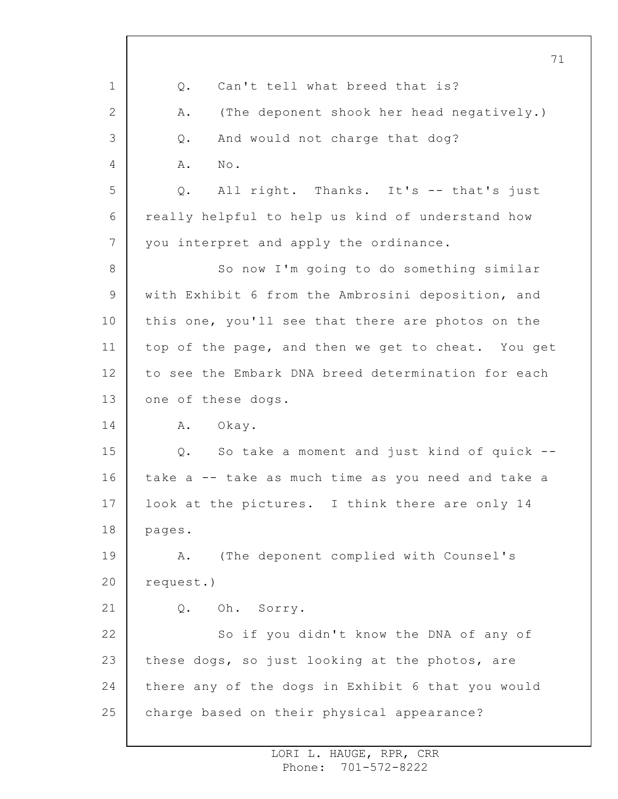1 2 3 4 5 6 7 8 9 10 11 12 13 14 15 16 17 18 19 20 21 22 23 24 25 71 Q. Can't tell what breed that is? A. (The deponent shook her head negatively.) Q. And would not charge that dog? A. No. Q. All right. Thanks. It's -- that's just really helpful to help us kind of understand how you interpret and apply the ordinance. So now I'm going to do something similar with Exhibit 6 from the Ambrosini deposition, and this one, you'll see that there are photos on the top of the page, and then we get to cheat. You get to see the Embark DNA breed determination for each one of these dogs. A. Okay. Q. So take a moment and just kind of quick - take a -- take as much time as you need and take a look at the pictures. I think there are only 14 pages. A. (The deponent complied with Counsel's request.) Q. Oh. Sorry. So if you didn't know the DNA of any of these dogs, so just looking at the photos, are there any of the dogs in Exhibit 6 that you would charge based on their physical appearance?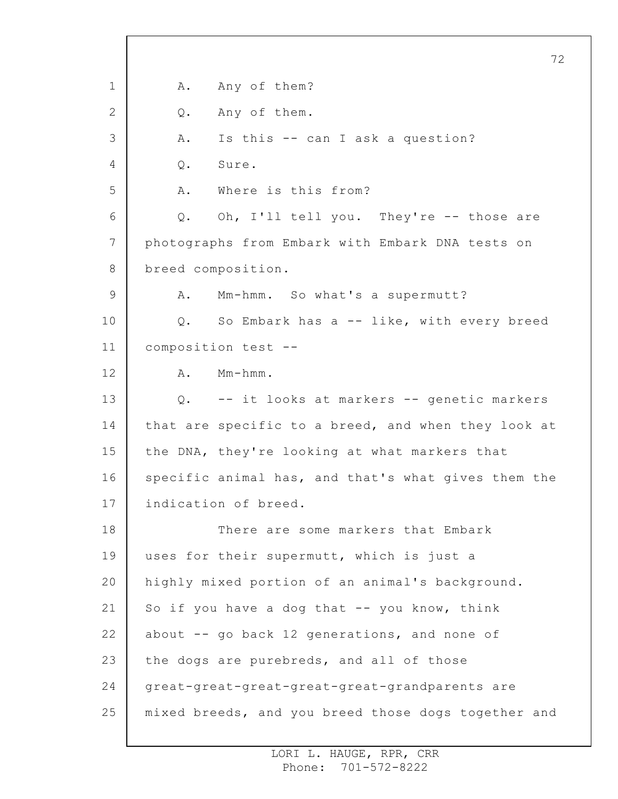1 2 3 4 5 6 7 8 9 10 11 12 13 14 15 16 17 18 19 20 21 22 23 24 25 72 A. Any of them? Q. Any of them. A. Is this -- can I ask a question? Q. Sure. A. Where is this from? Q. Oh, I'll tell you. They're -- those are photographs from Embark with Embark DNA tests on breed composition. A. Mm-hmm. So what's a supermutt? Q. So Embark has a -- like, with every breed composition test -- A. Mm-hmm. Q. -- it looks at markers -- genetic markers that are specific to a breed, and when they look at the DNA, they're looking at what markers that specific animal has, and that's what gives them the indication of breed. There are some markers that Embark uses for their supermutt, which is just a highly mixed portion of an animal's background. So if you have a dog that  $-$  you know, think about -- go back 12 generations, and none of the dogs are purebreds, and all of those great-great-great-great-great-grandparents are mixed breeds, and you breed those dogs together and

> LORI L. HAUGE, RPR, CRR Phone: 701-572-8222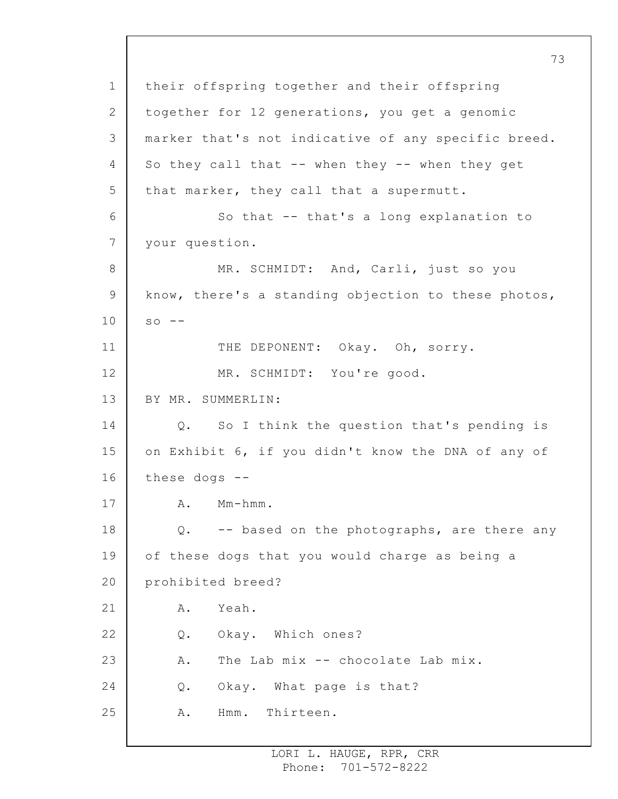1 2 3 4 5 6 7 8 9 10 11 12 13 14 15 16 17 18 19 20 21 22 23 24 25 their offspring together and their offspring together for 12 generations, you get a genomic marker that's not indicative of any specific breed. So they call that -- when they -- when they get that marker, they call that a supermutt. So that -- that's a long explanation to your question. MR. SCHMIDT: And, Carli, just so you know, there's a standing objection to these photos,  $SO = -$ THE DEPONENT: Okay. Oh, sorry. MR. SCHMIDT: You're good. BY MR. SUMMERLIN: Q. So I think the question that's pending is on Exhibit 6, if you didn't know the DNA of any of these dogs -- A. Mm-hmm. Q. -- based on the photographs, are there any of these dogs that you would charge as being a prohibited breed? A. Yeah. Q. Okay. Which ones? A. The Lab mix -- chocolate Lab mix. Q. Okay. What page is that? A. Hmm. Thirteen.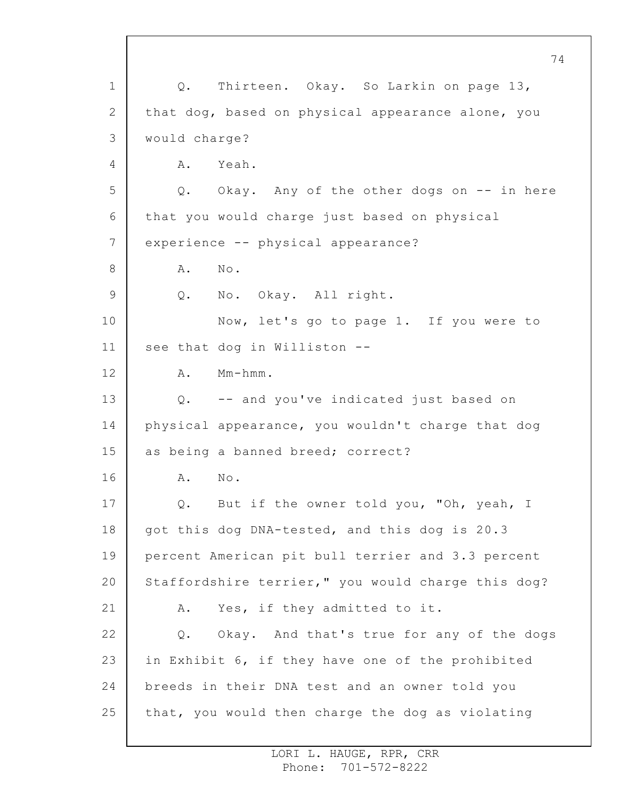1 2 3 4 5 6 7 8 9 10 11 12 13 14 15 16 17 18 19 20 21 22 23 24 25 74 Q. Thirteen. Okay. So Larkin on page 13, that dog, based on physical appearance alone, you would charge? A. Yeah. Q. Okay. Any of the other dogs on -- in here that you would charge just based on physical experience -- physical appearance? A. No. Q. No. Okay. All right. Now, let's go to page 1. If you were to see that dog in Williston -- A. Mm-hmm. Q. -- and you've indicated just based on physical appearance, you wouldn't charge that dog as being a banned breed; correct? A. No. Q. But if the owner told you, "Oh, yeah, I got this dog DNA-tested, and this dog is 20.3 percent American pit bull terrier and 3.3 percent Staffordshire terrier," you would charge this dog? A. Yes, if they admitted to it. Q. Okay. And that's true for any of the dogs in Exhibit 6, if they have one of the prohibited breeds in their DNA test and an owner told you that, you would then charge the dog as violating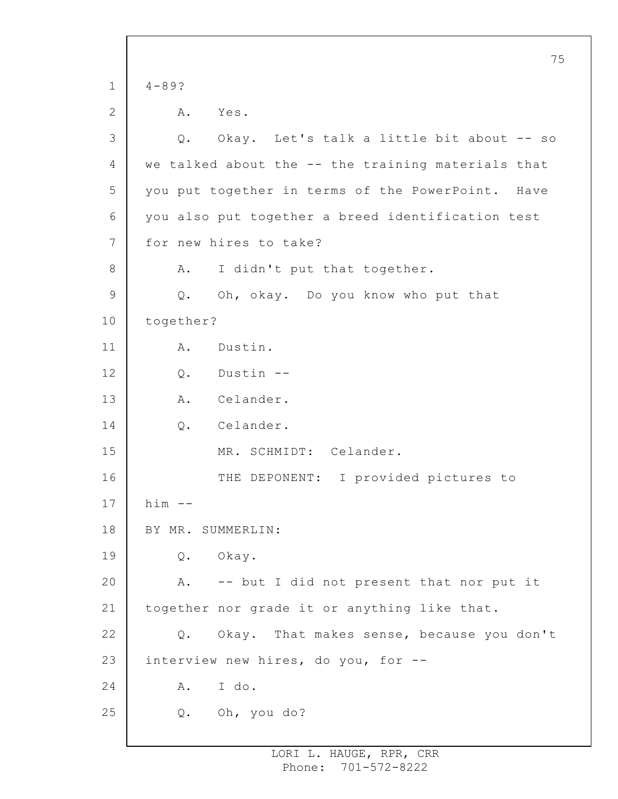1 2 3 4 5 6 7 8 9 10 11 12 13 14 15 16 17 18 19 20 21 22 23 24 25 75 4-89? A. Yes. Q. Okay. Let's talk a little bit about -- so we talked about the -- the training materials that you put together in terms of the PowerPoint. Have you also put together a breed identification test for new hires to take? A. I didn't put that together. Q. Oh, okay. Do you know who put that together? A. Dustin. Q. Dustin -- A. Celander. Q. Celander. MR. SCHMIDT: Celander. THE DEPONENT: I provided pictures to  $him$   $--$ BY MR. SUMMERLIN: Q. Okay. A. -- but I did not present that nor put it together nor grade it or anything like that. Q. Okay. That makes sense, because you don't interview new hires, do you, for -- A. I do. Q. Oh, you do?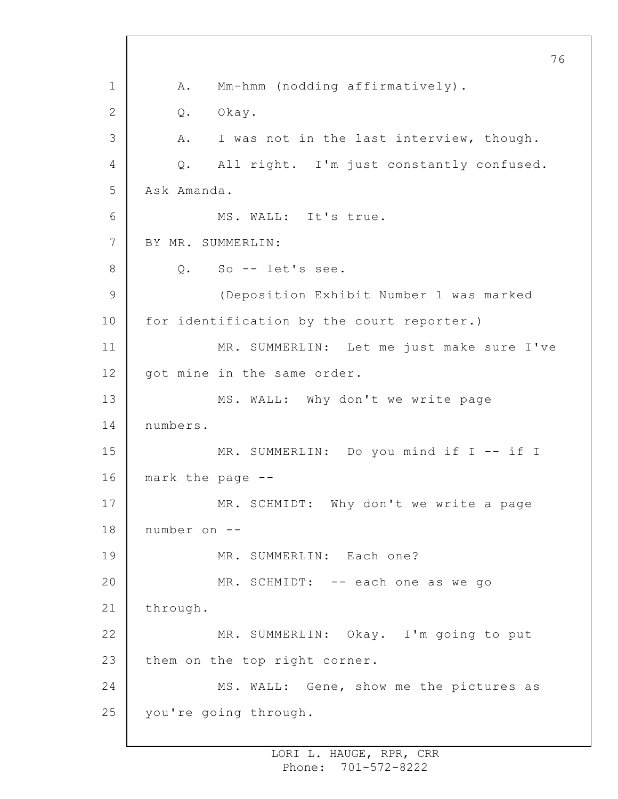1 2 3 4 5 6 7 8 9 10 11 12 13 14 15 16 17 18 19 20 21 22 23 24 25 A. Mm-hmm (nodding affirmatively). Q. Okay. A. I was not in the last interview, though. Q. All right. I'm just constantly confused. Ask Amanda. MS. WALL: It's true. BY MR. SUMMERLIN: Q. So -- let's see. (Deposition Exhibit Number 1 was marked for identification by the court reporter.) MR. SUMMERLIN: Let me just make sure I've got mine in the same order. MS. WALL: Why don't we write page numbers. MR. SUMMERLIN: Do you mind if I -- if I mark the page -- MR. SCHMIDT: Why don't we write a page number on -- MR. SUMMERLIN: Each one? MR. SCHMIDT: -- each one as we go through. MR. SUMMERLIN: Okay. I'm going to put them on the top right corner. MS. WALL: Gene, show me the pictures as you're going through.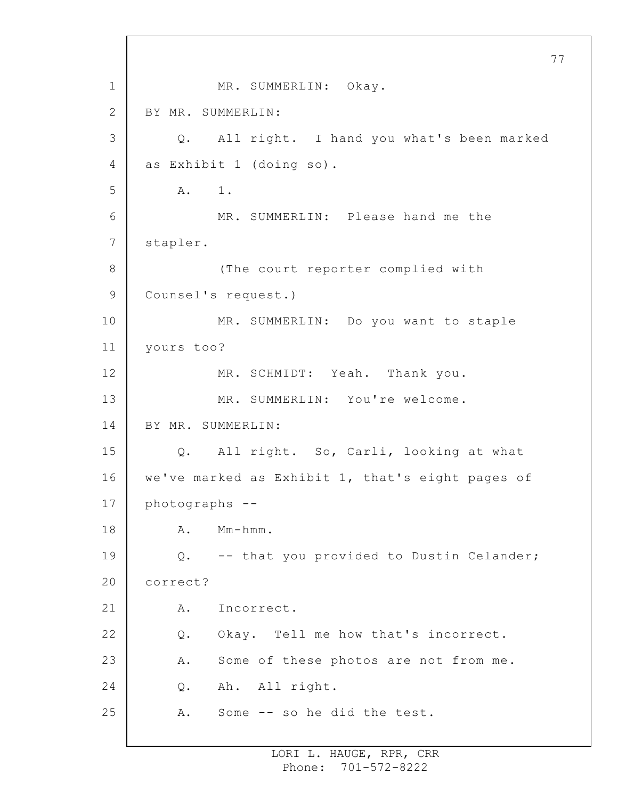1 2 3 4 5 6 7 8 9 10 11 12 13 14 15 16 17 18 19 20 21 22 23 24 25 77 MR. SUMMERLIN: Okay. BY MR. SUMMERLIN: Q. All right. I hand you what's been marked as Exhibit 1 (doing so). A. 1. MR. SUMMERLIN: Please hand me the stapler. (The court reporter complied with Counsel's request.) MR. SUMMERLIN: Do you want to staple yours too? MR. SCHMIDT: Yeah. Thank you. MR. SUMMERLIN: You're welcome. BY MR. SUMMERLIN: Q. All right. So, Carli, looking at what we've marked as Exhibit 1, that's eight pages of photographs -- A. Mm-hmm. Q. -- that you provided to Dustin Celander; correct? A. Incorrect. Q. Okay. Tell me how that's incorrect. A. Some of these photos are not from me. Q. Ah. All right. A. Some -- so he did the test.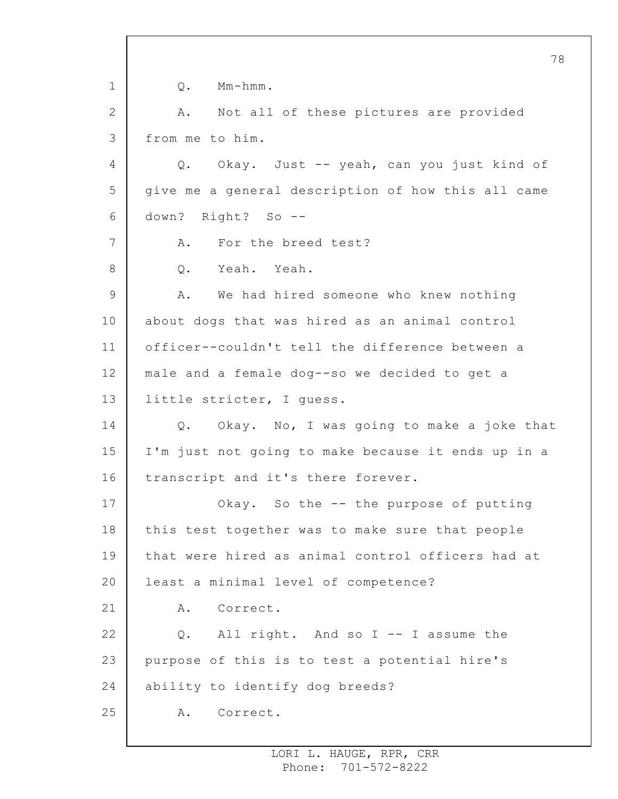1 2 3 4 5 6 7 8 9 10 11 12 13 14 15 16 17 18 19 20 21 22 23 24 25 78 Q. Mm-hmm. A. Not all of these pictures are provided from me to him. Q. Okay. Just -- yeah, can you just kind of give me a general description of how this all came down? Right? So -- A. For the breed test? Q. Yeah. Yeah. A. We had hired someone who knew nothing about dogs that was hired as an animal control officer--couldn't tell the difference between a male and a female dog--so we decided to get a little stricter, I guess. Q. Okay. No, I was going to make a joke that I'm just not going to make because it ends up in a transcript and it's there forever. Okay. So the -- the purpose of putting this test together was to make sure that people that were hired as animal control officers had at least a minimal level of competence? A. Correct. Q. All right. And so I -- I assume the purpose of this is to test a potential hire's ability to identify dog breeds? A. Correct.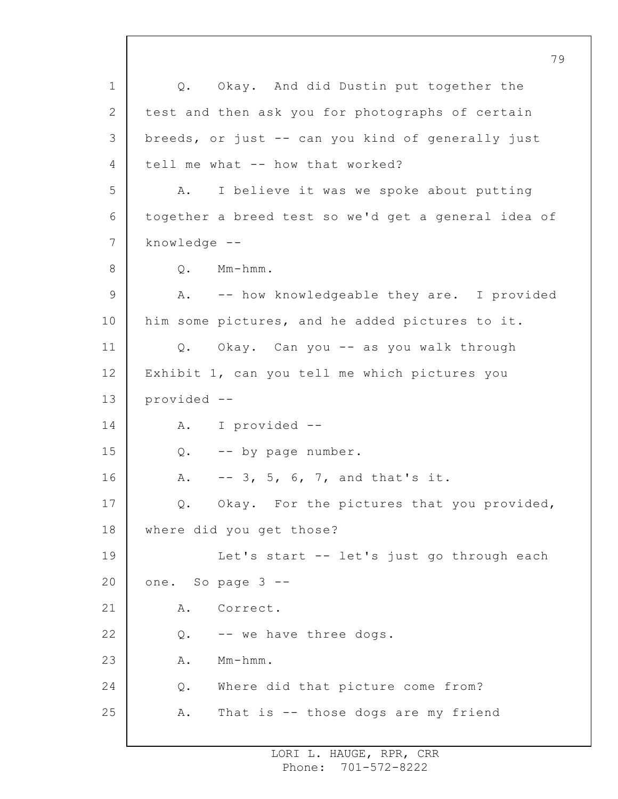1 2 3 4 5 6 7 8 9 10 11 12 13 14 15 16 17 18 19 20 21 22 23 24 25 79 Q. Okay. And did Dustin put together the test and then ask you for photographs of certain breeds, or just -- can you kind of generally just tell me what -- how that worked? A. I believe it was we spoke about putting together a breed test so we'd get a general idea of knowledge -- Q. Mm-hmm. A. -- how knowledgeable they are. I provided him some pictures, and he added pictures to it. Q. Okay. Can you -- as you walk through Exhibit 1, can you tell me which pictures you provided -- A. I provided -- Q. -- by page number. A. -- 3, 5, 6, 7, and that's it. Q. Okay. For the pictures that you provided, where did you get those? Let's start -- let's just go through each one. So page 3 -- A. Correct. Q. -- we have three dogs. A. Mm-hmm. Q. Where did that picture come from? A. That is -- those dogs are my friend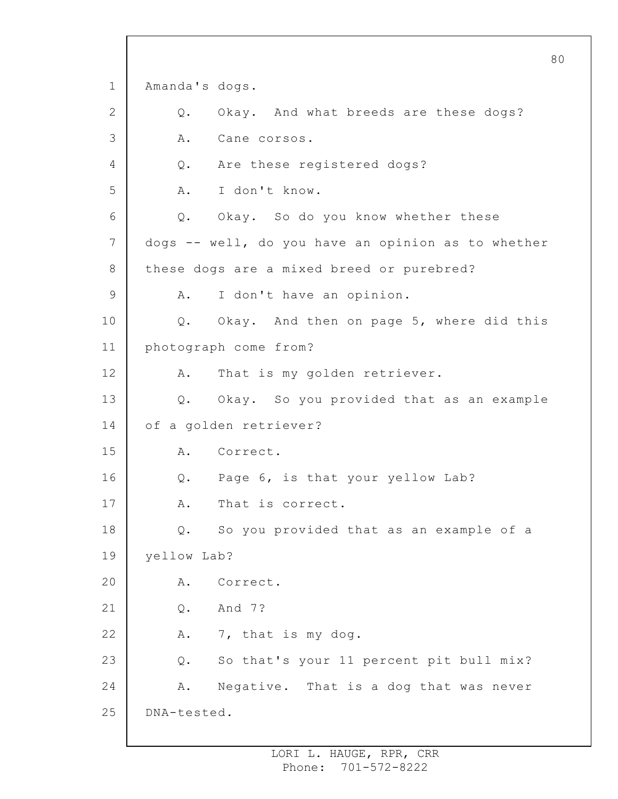1 2 3 4 5 6 7 8 9 10 11 12 13 14 15 16 17 18 19 20 21 22 23 24 25 80 Amanda's dogs. Q. Okay. And what breeds are these dogs? A. Cane corsos. Q. Are these registered dogs? A. I don't know. Q. Okay. So do you know whether these dogs -- well, do you have an opinion as to whether these dogs are a mixed breed or purebred? A. I don't have an opinion. Q. Okay. And then on page 5, where did this photograph come from? A. That is my golden retriever. Q. Okay. So you provided that as an example of a golden retriever? A. Correct. Q. Page 6, is that your yellow Lab? A. That is correct. Q. So you provided that as an example of a yellow Lab? A. Correct. Q. And 7? A. 7, that is my dog. Q. So that's your 11 percent pit bull mix? A. Negative. That is a dog that was never DNA-tested.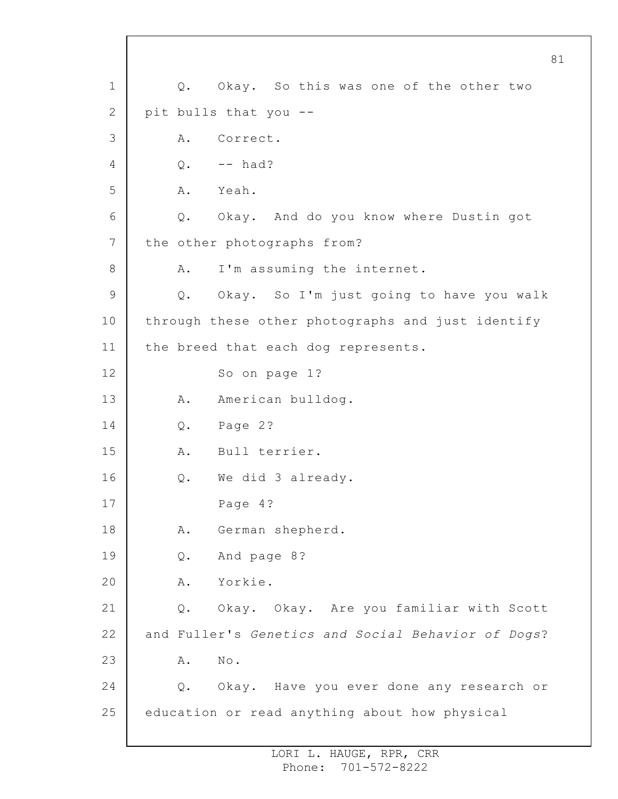1 2 3 4 5 6 7 8 9 10 11 12 13 14 15 16 17 18 19 20 21 22 23 24 25 81 Q. Okay. So this was one of the other two pit bulls that you -- A. Correct.  $Q.$  -- had? A. Yeah. Q. Okay. And do you know where Dustin got the other photographs from? A. I'm assuming the internet. Q. Okay. So I'm just going to have you walk through these other photographs and just identify the breed that each dog represents. So on page 1? A. American bulldog. Q. Page 2? A. Bull terrier. Q. We did 3 already. Page 4? A. German shepherd. Q. And page 8? A. Yorkie. Q. Okay. Okay. Are you familiar with Scott and Fuller's *Genetics and Social Behavior of Dogs*? A. No. Q. Okay. Have you ever done any research or education or read anything about how physical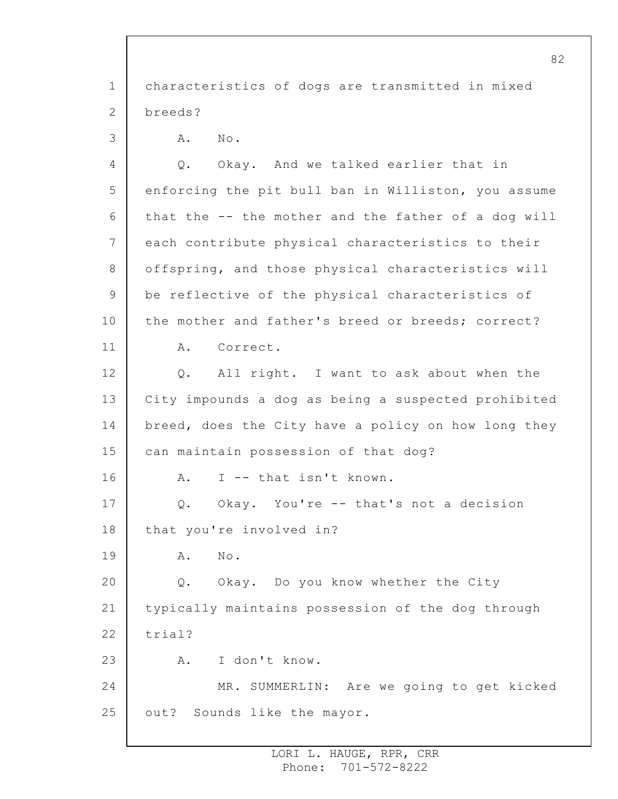1 2 3 4 5 6 7 8 9 10 11 12 13 14 15 16 17 18 19 20 21 22 23 24 25 characteristics of dogs are transmitted in mixed breeds? A. No. Q. Okay. And we talked earlier that in enforcing the pit bull ban in Williston, you assume that the -- the mother and the father of a dog will each contribute physical characteristics to their offspring, and those physical characteristics will be reflective of the physical characteristics of the mother and father's breed or breeds; correct? A. Correct. Q. All right. I want to ask about when the City impounds a dog as being a suspected prohibited breed, does the City have a policy on how long they can maintain possession of that dog? A. I -- that isn't known. Q. Okay. You're -- that's not a decision that you're involved in? A. No. Q. Okay. Do you know whether the City typically maintains possession of the dog through trial? A. I don't know. MR. SUMMERLIN: Are we going to get kicked out? Sounds like the mayor.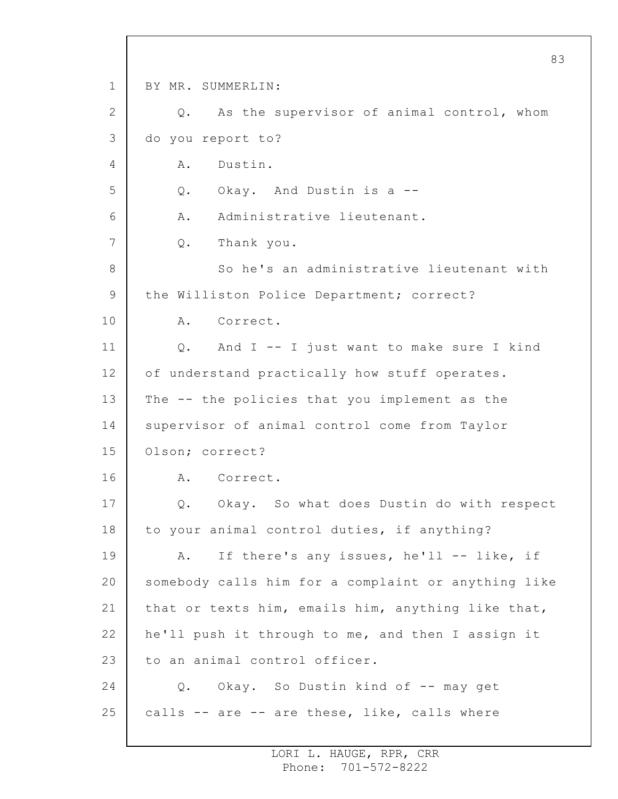1 2 3 4 5 6 7 8 9 10 11 12 13 14 15 16 17 18 19 20 21 22 23 24 25 BY MR. SUMMERLIN: Q. As the supervisor of animal control, whom do you report to? A. Dustin. Q. Okay. And Dustin is a -- A. Administrative lieutenant. Q. Thank you. So he's an administrative lieutenant with the Williston Police Department; correct? A. Correct. Q. And I -- I just want to make sure I kind of understand practically how stuff operates. The -- the policies that you implement as the supervisor of animal control come from Taylor Olson; correct? A. Correct. Q. Okay. So what does Dustin do with respect to your animal control duties, if anything? A. If there's any issues, he'll -- like, if somebody calls him for a complaint or anything like that or texts him, emails him, anything like that, he'll push it through to me, and then I assign it to an animal control officer. Q. Okay. So Dustin kind of -- may get calls -- are -- are these, like, calls where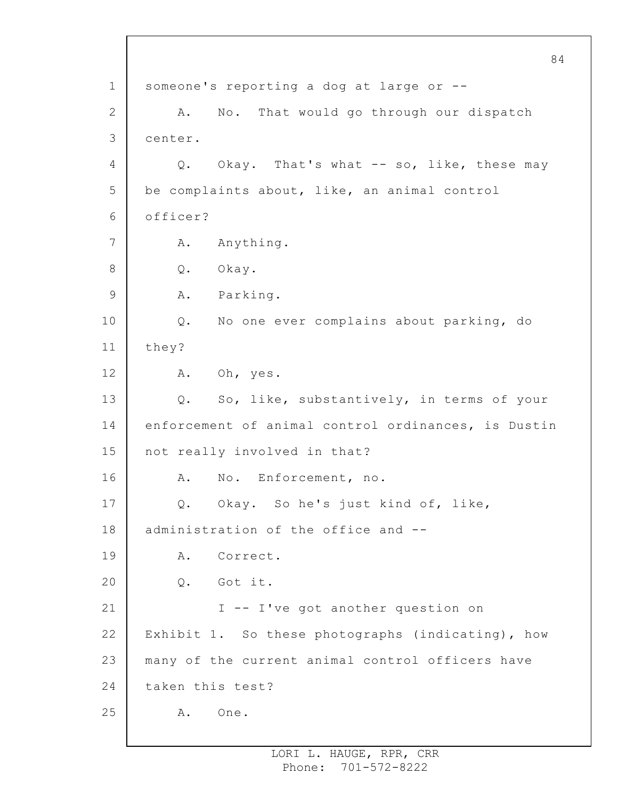1 2 3 4 5 6 7 8 9 10 11 12 13 14 15 16 17 18 19 20 21 22 23 24 25 84 someone's reporting a dog at large or -- A. No. That would go through our dispatch center. Q. Okay. That's what -- so, like, these may be complaints about, like, an animal control officer? A. Anything. Q. Okay. A. Parking. Q. No one ever complains about parking, do they? A. Oh, yes. Q. So, like, substantively, in terms of your enforcement of animal control ordinances, is Dustin not really involved in that? A. No. Enforcement, no. Q. Okay. So he's just kind of, like, administration of the office and -- A. Correct. Q. Got it. I -- I've got another question on Exhibit 1. So these photographs (indicating), how many of the current animal control officers have taken this test? A. One.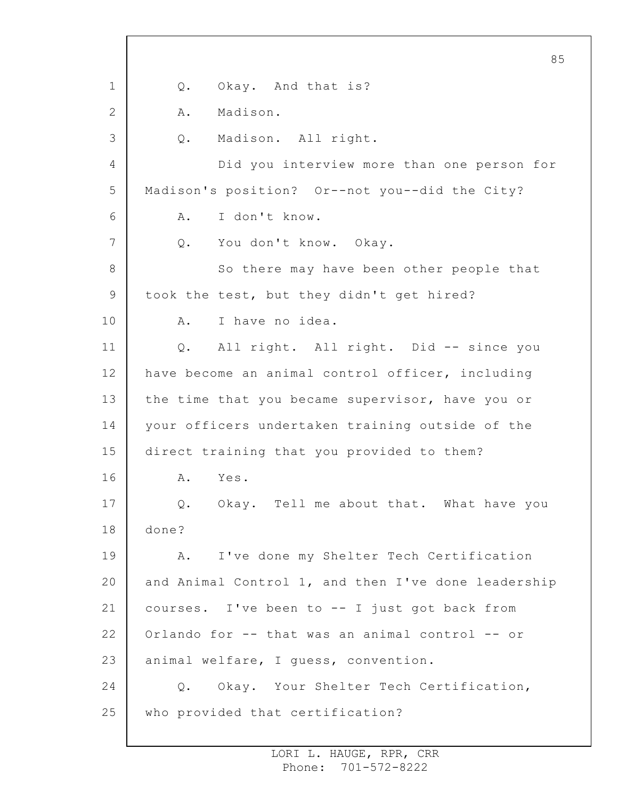1 2 3 4 5 6 7 8 9 10 11 12 13 14 15 16 17 18 19 20 21 22 23 24 25 85 Q. Okay. And that is? A. Madison. Q. Madison. All right. Did you interview more than one person for Madison's position? Or--not you--did the City? A. I don't know. Q. You don't know. Okay. So there may have been other people that took the test, but they didn't get hired? A. I have no idea. Q. All right. All right. Did -- since you have become an animal control officer, including the time that you became supervisor, have you or your officers undertaken training outside of the direct training that you provided to them? A. Yes. Q. Okay. Tell me about that. What have you done? A. I've done my Shelter Tech Certification and Animal Control 1, and then I've done leadership courses. I've been to -- I just got back from Orlando for -- that was an animal control -- or animal welfare, I guess, convention. Q. Okay. Your Shelter Tech Certification, who provided that certification?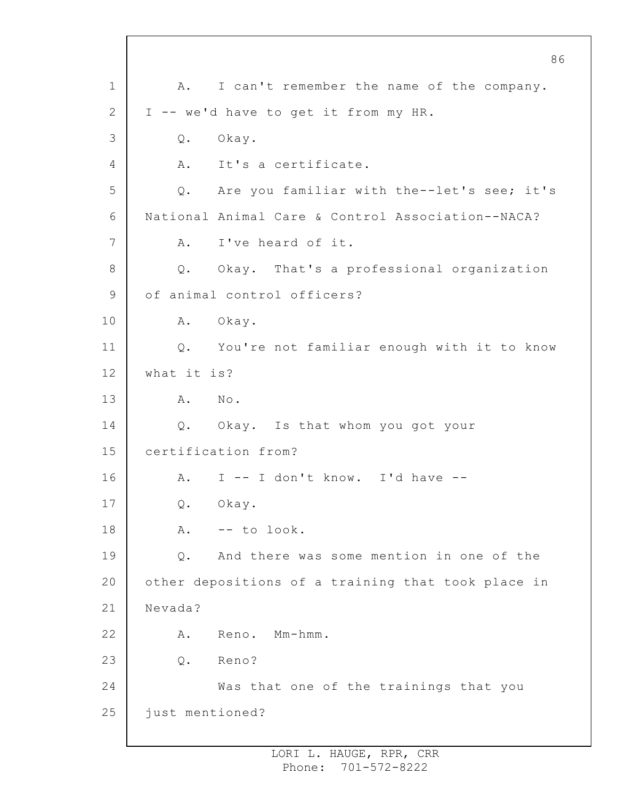1 2 3 4 5 6 7 8 9 10 11 12 13 14 15 16 17 18 19 20 21 22 23 24 25 86 A. I can't remember the name of the company. I -- we'd have to get it from my HR. Q. Okay. A. It's a certificate. Q. Are you familiar with the--let's see; it's National Animal Care & Control Association--NACA? A. I've heard of it. Q. Okay. That's a professional organization of animal control officers? A. Okay. Q. You're not familiar enough with it to know what it is? A. No. Q. Okay. Is that whom you got your certification from? A. I -- I don't know. I'd have -- Q. Okay.  $A.$  -- to look. Q. And there was some mention in one of the other depositions of a training that took place in Nevada? A. Reno. Mm-hmm. Q. Reno? Was that one of the trainings that you just mentioned?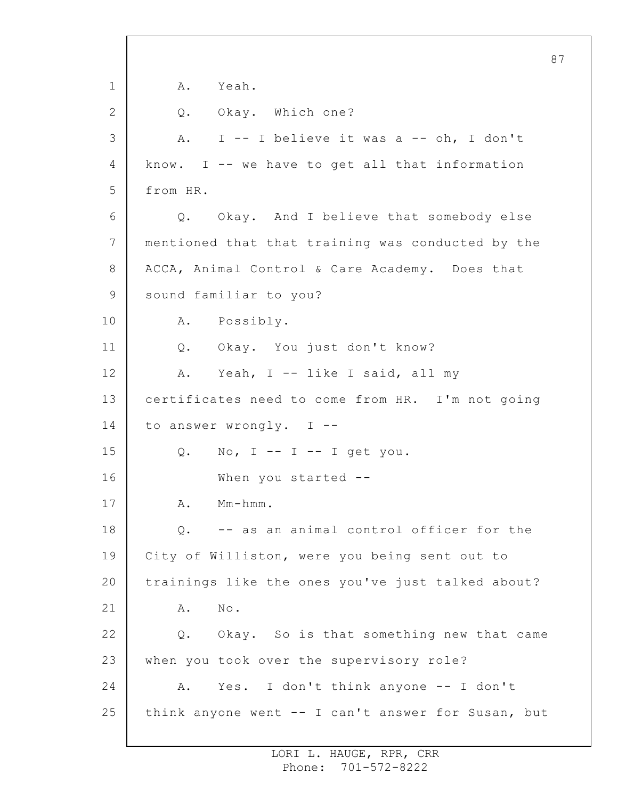1 2 3 4 5 6 7 8 9 10 11 12 13 14 15 16 17 18 19 20 21 22 23 24 25 87 A. Yeah. Q. Okay. Which one? A. I -- I believe it was a -- oh, I don't know. I -- we have to get all that information from HR. Q. Okay. And I believe that somebody else mentioned that that training was conducted by the ACCA, Animal Control & Care Academy. Does that sound familiar to you? A. Possibly. Q. Okay. You just don't know? A. Yeah, I -- like I said, all my certificates need to come from HR. I'm not going to answer wrongly. I -- Q. No,  $I$  --  $I$  --  $I$  get you. When you started --A. Mm-hmm. Q. -- as an animal control officer for the City of Williston, were you being sent out to trainings like the ones you've just talked about? A. No. Q. Okay. So is that something new that came when you took over the supervisory role? A. Yes. I don't think anyone -- I don't think anyone went -- I can't answer for Susan, but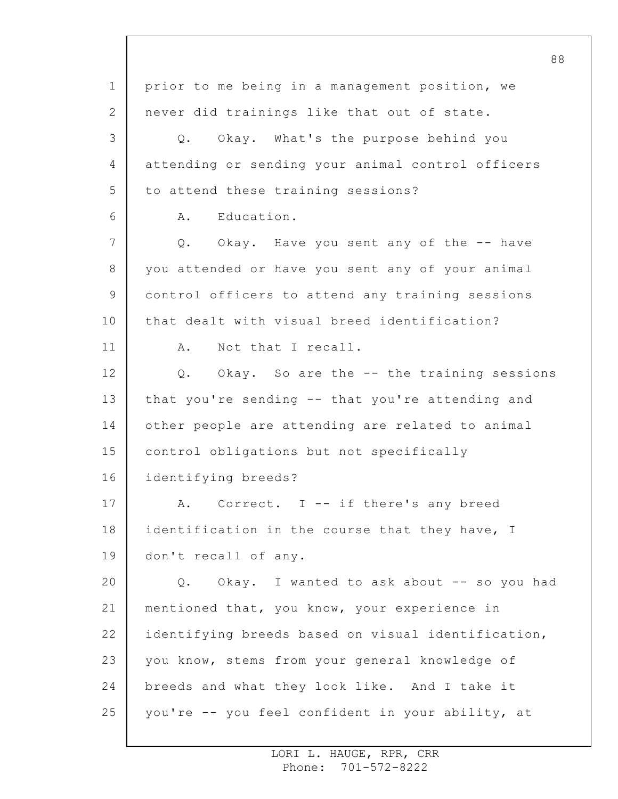1 2 3 4 5 6 7 8 9 10 11 12 13 14 15 16 17 18 19 20 21 22 23 24 25 prior to me being in a management position, we never did trainings like that out of state. Q. Okay. What's the purpose behind you attending or sending your animal control officers to attend these training sessions? A. Education. Q. Okay. Have you sent any of the -- have you attended or have you sent any of your animal control officers to attend any training sessions that dealt with visual breed identification? A. Not that I recall. Q. Okay. So are the -- the training sessions that you're sending -- that you're attending and other people are attending are related to animal control obligations but not specifically identifying breeds? A. Correct. I -- if there's any breed identification in the course that they have, I don't recall of any. Q. Okay. I wanted to ask about -- so you had mentioned that, you know, your experience in identifying breeds based on visual identification, you know, stems from your general knowledge of breeds and what they look like. And I take it you're -- you feel confident in your ability, at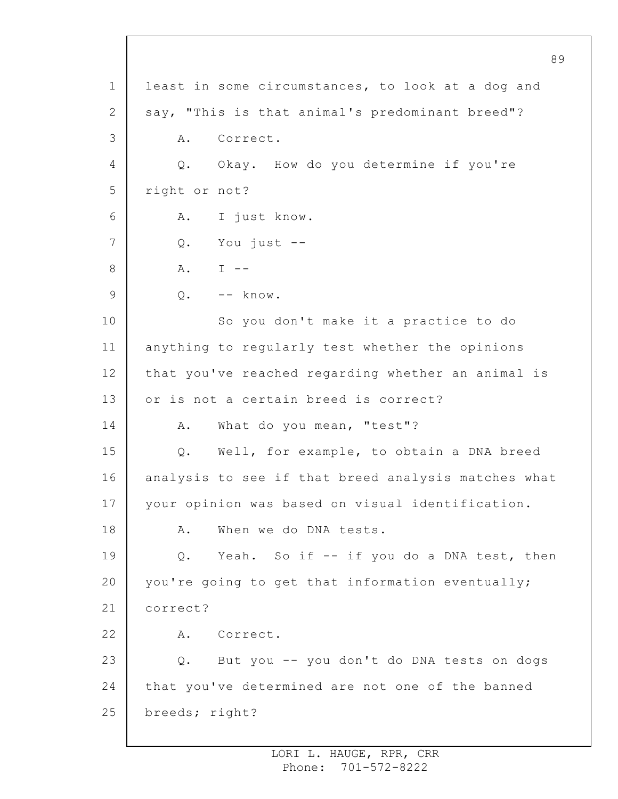1 2 3 4 5 6 7 8 9 10 11 12 13 14 15 16 17 18 19 20 21 22 23 24 25 least in some circumstances, to look at a dog and say, "This is that animal's predominant breed"? A. Correct. Q. Okay. How do you determine if you're right or not? A. I just know. Q. You just --  $A.$  I  $-$ Q. -- know. So you don't make it a practice to do anything to regularly test whether the opinions that you've reached regarding whether an animal is or is not a certain breed is correct? A. What do you mean, "test"? Q. Well, for example, to obtain a DNA breed analysis to see if that breed analysis matches what your opinion was based on visual identification. A. When we do DNA tests. Q. Yeah. So if -- if you do a DNA test, then you're going to get that information eventually; correct? A. Correct. Q. But you -- you don't do DNA tests on dogs that you've determined are not one of the banned breeds; right?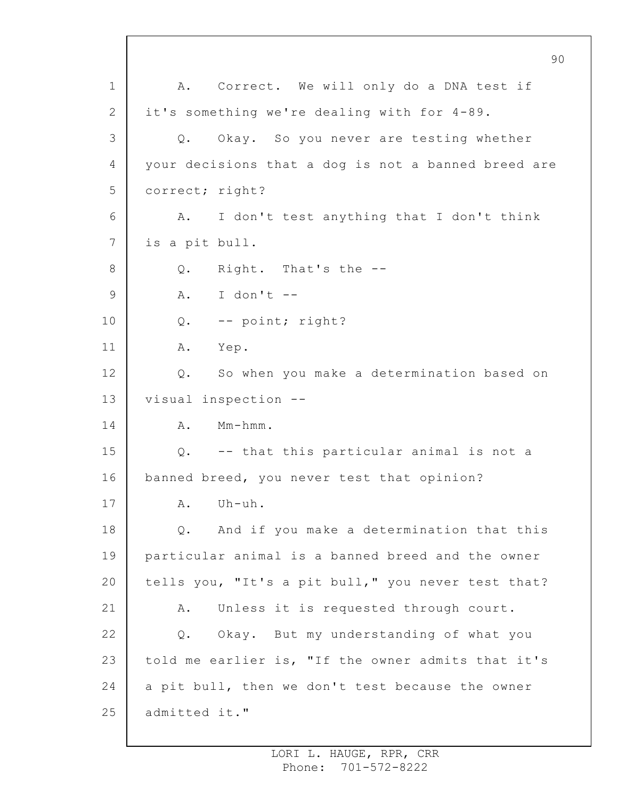1 2 3 4 5 6 7 8 9 10 11 12 13 14 15 16 17 18 19 20 21 22 23 24 25 90 A. Correct. We will only do a DNA test if it's something we're dealing with for 4-89. Q. Okay. So you never are testing whether your decisions that a dog is not a banned breed are correct; right? A. I don't test anything that I don't think is a pit bull. Q. Right. That's the --  $A.$  I don't  $-$ Q. -- point; right? A. Yep. Q. So when you make a determination based on visual inspection -- A. Mm-hmm. Q. -- that this particular animal is not a banned breed, you never test that opinion? A. Uh-uh. Q. And if you make a determination that this particular animal is a banned breed and the owner tells you, "It's a pit bull," you never test that? A. Unless it is requested through court. Q. Okay. But my understanding of what you told me earlier is, "If the owner admits that it's a pit bull, then we don't test because the owner admitted it."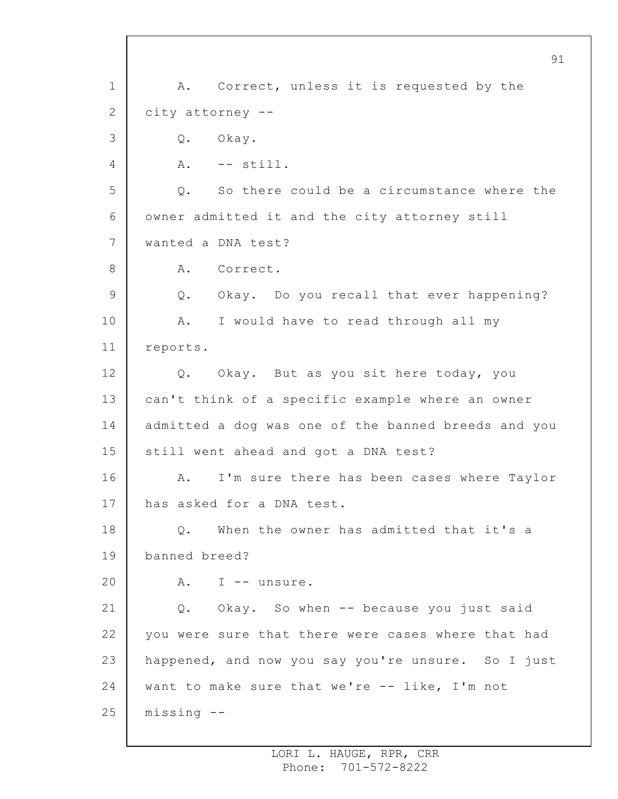1 2 3 4 5 6 7 8 9 10 11 12 13 14 15 16 17 18 19 20 21 22 23 24 25 91 A. Correct, unless it is requested by the city attorney -- Q. Okay. A. -- still. Q. So there could be a circumstance where the owner admitted it and the city attorney still wanted a DNA test? A. Correct. Q. Okay. Do you recall that ever happening? A. I would have to read through all my reports. Q. Okay. But as you sit here today, you can't think of a specific example where an owner admitted a dog was one of the banned breeds and you still went ahead and got a DNA test? A. I'm sure there has been cases where Taylor has asked for a DNA test. Q. When the owner has admitted that it's a banned breed? A. I -- unsure. Q. Okay. So when -- because you just said you were sure that there were cases where that had happened, and now you say you're unsure. So I just want to make sure that we're -- like, I'm not missing --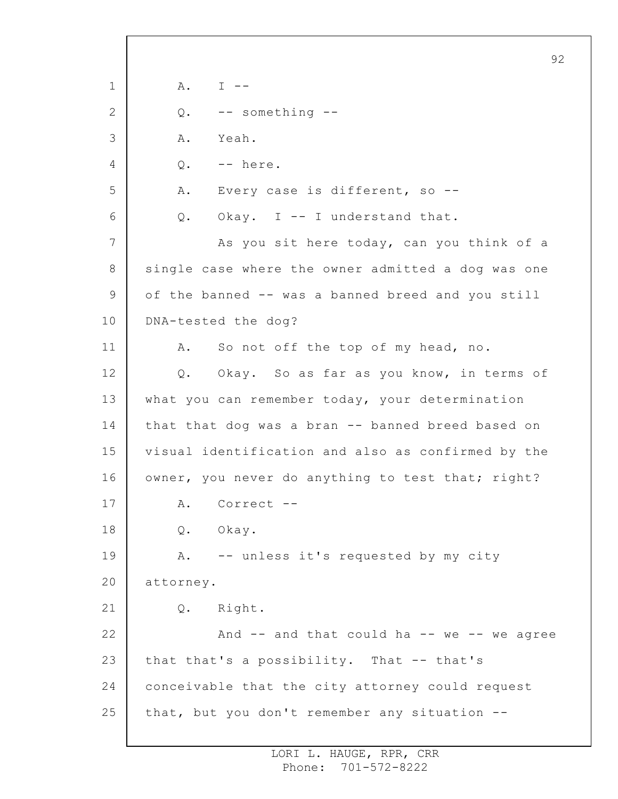1 2 3 4 5 6 7 8 9 10 11 12 13 14 15 16 17 18 19 20 21 22 23 24 25 92 A. I -- Q. -- something -- A. Yeah. Q. -- here. A. Every case is different, so -- Q. Okay. I -- I understand that. As you sit here today, can you think of a single case where the owner admitted a dog was one of the banned -- was a banned breed and you still DNA-tested the dog? A. So not off the top of my head, no. Q. Okay. So as far as you know, in terms of what you can remember today, your determination that that dog was a bran -- banned breed based on visual identification and also as confirmed by the owner, you never do anything to test that; right? A. Correct -- Q. Okay. A. -- unless it's requested by my city attorney. Q. Right. And  $--$  and that could ha  $--$  we  $--$  we agree that that's a possibility. That -- that's conceivable that the city attorney could request that, but you don't remember any situation --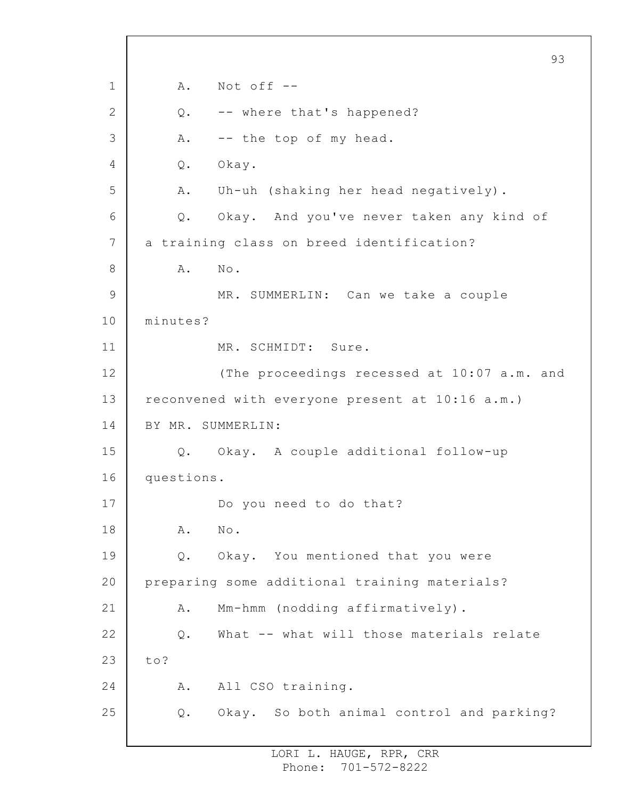1 2 3 4 5 6 7 8 9 10 11 12 13 14 15 16 17 18 19 20 21 22 23 24 25 93 A. Not off -- Q. -- where that's happened? A. -- the top of my head. Q. Okay. A. Uh-uh (shaking her head negatively). Q. Okay. And you've never taken any kind of a training class on breed identification? A. No. MR. SUMMERLIN: Can we take a couple minutes? MR. SCHMIDT: Sure. (The proceedings recessed at 10:07 a.m. and reconvened with everyone present at 10:16 a.m.) BY MR. SUMMERLIN: Q. Okay. A couple additional follow-up questions. Do you need to do that? A. No. Q. Okay. You mentioned that you were preparing some additional training materials? A. Mm-hmm (nodding affirmatively). Q. What -- what will those materials relate to? A. All CSO training. Q. Okay. So both animal control and parking?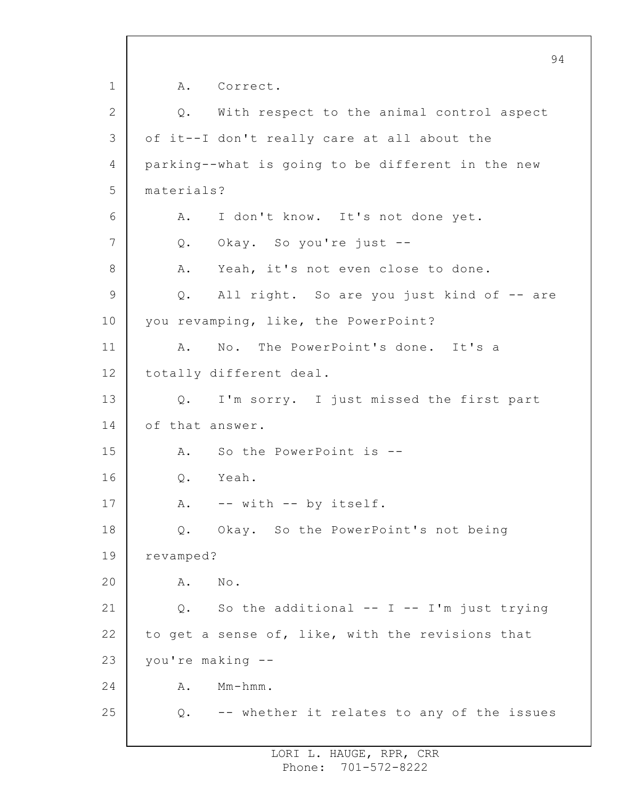1 2 3 4 5 6 7 8 9 10 11 12 13 14 15 16 17 18 19 20 21 22 23 24 25 94 A. Correct. Q. With respect to the animal control aspect of it--I don't really care at all about the parking--what is going to be different in the new materials? A. I don't know. It's not done yet. Q. Okay. So you're just -- A. Yeah, it's not even close to done. Q. All right. So are you just kind of -- are you revamping, like, the PowerPoint? A. No. The PowerPoint's done. It's a totally different deal. Q. I'm sorry. I just missed the first part of that answer. A. So the PowerPoint is -- Q. Yeah. A. -- with -- by itself. Q. Okay. So the PowerPoint's not being revamped? A. No. Q. So the additional  $-- I -- I'm$  just trying to get a sense of, like, with the revisions that you're making -- A. Mm-hmm. Q. -- whether it relates to any of the issues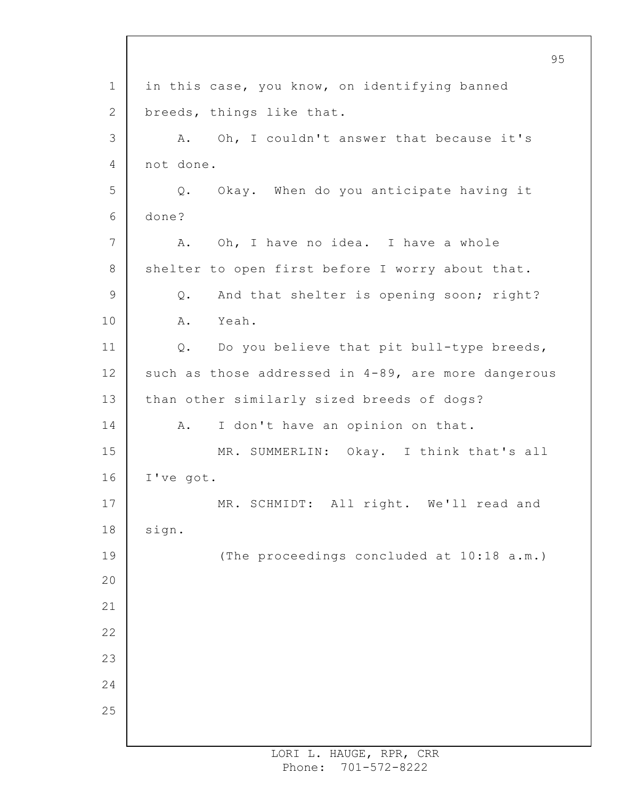1 2 3 4 5 6 7 8 9 10 11 12 13 14 15 16 17 18 19 20 21 22 23 24 25 in this case, you know, on identifying banned breeds, things like that. A. Oh, I couldn't answer that because it's not done. Q. Okay. When do you anticipate having it done? A. Oh, I have no idea. I have a whole shelter to open first before I worry about that. Q. And that shelter is opening soon; right? A. Yeah. Q. Do you believe that pit bull-type breeds, such as those addressed in 4-89, are more dangerous than other similarly sized breeds of dogs? A. I don't have an opinion on that. MR. SUMMERLIN: Okay. I think that's all I've got. MR. SCHMIDT: All right. We'll read and sign. (The proceedings concluded at 10:18 a.m.)

95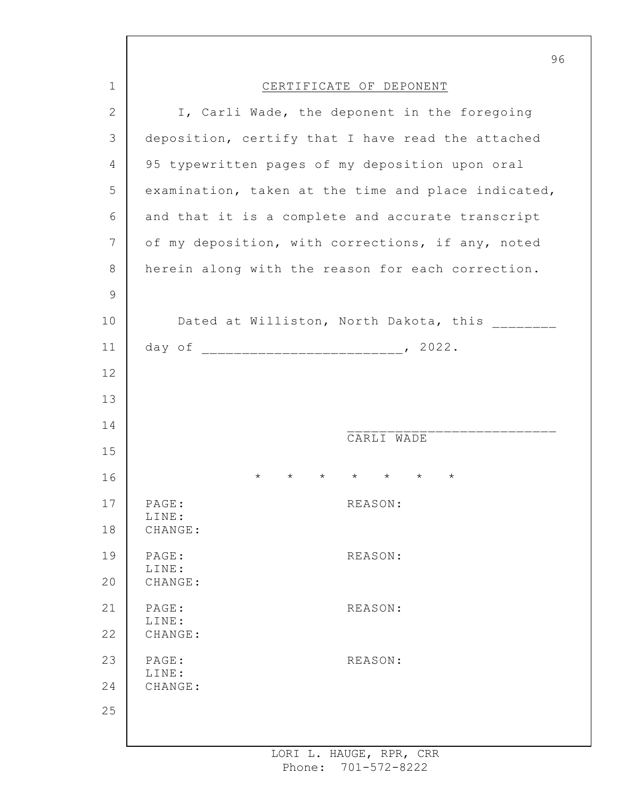|              | 96                                                                   |  |
|--------------|----------------------------------------------------------------------|--|
| 1            | CERTIFICATE OF DEPONENT                                              |  |
| $\mathbf{2}$ | I, Carli Wade, the deponent in the foregoing                         |  |
| 3            | deposition, certify that I have read the attached                    |  |
| 4            | 95 typewritten pages of my deposition upon oral                      |  |
| 5            | examination, taken at the time and place indicated,                  |  |
| 6            | and that it is a complete and accurate transcript                    |  |
| 7            | of my deposition, with corrections, if any, noted                    |  |
| $8\,$        | herein along with the reason for each correction.                    |  |
| $\mathsf 9$  |                                                                      |  |
| 10           | Dated at Williston, North Dakota, this                               |  |
| 11           |                                                                      |  |
| 12           |                                                                      |  |
| 13           |                                                                      |  |
| 14           | CARLI WADE                                                           |  |
| 15           |                                                                      |  |
| 16           | $\star$ $\star$ $\star$<br>$\star$<br>$^\star$<br>$\star$<br>$\star$ |  |
| 17           | PAGE:<br>REASON:<br>LINE:                                            |  |
| 18           | CHANGE:                                                              |  |
| 19           | PAGE:<br>REASON:<br>LINE:                                            |  |
| 20           | CHANGE:                                                              |  |
| 21           | PAGE:<br>REASON:<br>LINE:                                            |  |
| 22           | CHANGE:                                                              |  |
| 23           | PAGE:<br>REASON:<br>LINE:                                            |  |
| 24           | CHANGE:                                                              |  |
| 25           |                                                                      |  |
|              |                                                                      |  |

ı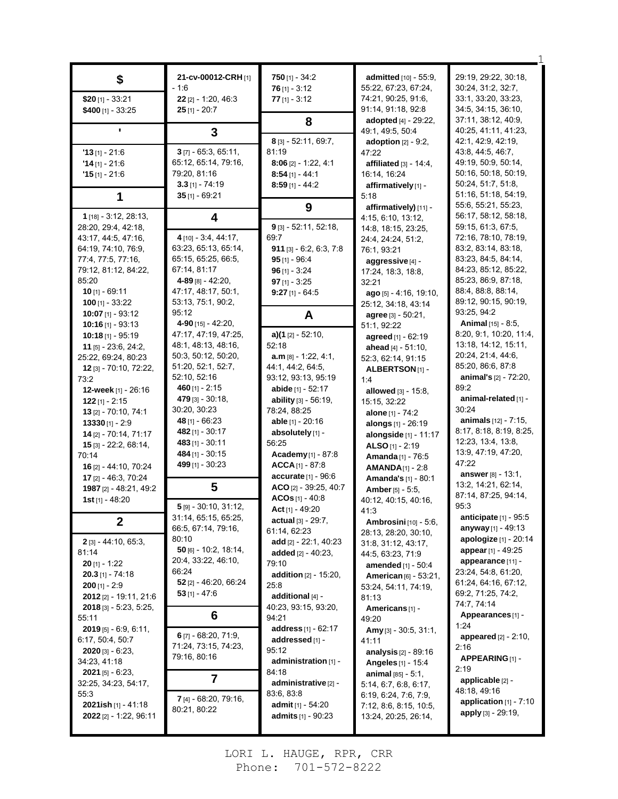| \$                                                                                                                                                                                                                                                                                                                                                                      | 21-cv-00012-CRH [1]<br>- 1:6                                                                                                                                                                                                                                                                                  | $750$ [1] - 34:2<br>$76$ [1] - 3:12                                                                                                                                                                                                                                                                                                                                                                  | admitted [10] - 55:9,<br>55:22, 67:23, 67:24,                                                                                                                                                                                                                                                                                                                                                                                             | 29:19, 29:22, 30:18,<br>30:24, 31:2, 32:7,                                                                                                                                                                                                                                                                                                                                                                   |
|-------------------------------------------------------------------------------------------------------------------------------------------------------------------------------------------------------------------------------------------------------------------------------------------------------------------------------------------------------------------------|---------------------------------------------------------------------------------------------------------------------------------------------------------------------------------------------------------------------------------------------------------------------------------------------------------------|------------------------------------------------------------------------------------------------------------------------------------------------------------------------------------------------------------------------------------------------------------------------------------------------------------------------------------------------------------------------------------------------------|-------------------------------------------------------------------------------------------------------------------------------------------------------------------------------------------------------------------------------------------------------------------------------------------------------------------------------------------------------------------------------------------------------------------------------------------|--------------------------------------------------------------------------------------------------------------------------------------------------------------------------------------------------------------------------------------------------------------------------------------------------------------------------------------------------------------------------------------------------------------|
| $$20$ [1] - 33:21<br>\$400 $[1] - 33:25$                                                                                                                                                                                                                                                                                                                                | $22$ [2] - 1:20, 46:3<br>$25$ [1] - 20:7                                                                                                                                                                                                                                                                      | $77$ [1] - 3:12                                                                                                                                                                                                                                                                                                                                                                                      | 74:21, 90:25, 91:6,<br>91:14, 91:18, 92:8                                                                                                                                                                                                                                                                                                                                                                                                 | 33:1, 33:20, 33:23,<br>34:5, 34:15, 36:10,                                                                                                                                                                                                                                                                                                                                                                   |
|                                                                                                                                                                                                                                                                                                                                                                         | 3                                                                                                                                                                                                                                                                                                             | 8                                                                                                                                                                                                                                                                                                                                                                                                    | adopted [4] - 29:22,<br>49:1, 49:5, 50:4                                                                                                                                                                                                                                                                                                                                                                                                  | 37:11, 38:12, 40:9,<br>40:25, 41:11, 41:23,                                                                                                                                                                                                                                                                                                                                                                  |
| $'13$ [1] - 21:6<br>$'14$ [1] - 21:6<br>$'15$ [1] - 21:6<br>1                                                                                                                                                                                                                                                                                                           | $3$ [7] - 65:3, 65:11,<br>65:12, 65:14, 79:16,<br>79:20, 81:16<br>$3.3$ [1] - 74:19<br>$35$ [1] - 69:21                                                                                                                                                                                                       | 8 [3] - 52:11, 69:7,<br>81:19<br>$8:06$ [2] - 1:22, 4:1<br>$8:54$ [1] - 44:1<br>$8:59$ [1] - 44:2                                                                                                                                                                                                                                                                                                    | adoption $[2] - 9:2$ ,<br>47:22<br>affiliated $[3] - 14.4$ ,<br>16:14, 16:24<br>affirmatively [1] -<br>5:18                                                                                                                                                                                                                                                                                                                               | 42:1, 42:9, 42:19,<br>43:8, 44:5, 46:7,<br>49:19, 50:9, 50:14,<br>50:16, 50:18, 50:19,<br>50:24, 51:7, 51:8,<br>51:16, 51:18, 54:19,                                                                                                                                                                                                                                                                         |
| $1$ [18] - 3:12, 28:13,                                                                                                                                                                                                                                                                                                                                                 | 4                                                                                                                                                                                                                                                                                                             | 9                                                                                                                                                                                                                                                                                                                                                                                                    | affirmatively) [11] -<br>4:15, 6:10, 13:12,                                                                                                                                                                                                                                                                                                                                                                                               | 55:6, 55:21, 55:23,<br>56:17, 58:12, 58:18,                                                                                                                                                                                                                                                                                                                                                                  |
| 28:20, 29:4, 42:18,<br>43.17, 44:5, 47:16,<br>64.19, 74:10, 76.9,<br>77:4, 77:5, 77:16,<br>79:12, 81:12, 84:22,<br>85:20<br>$10$ [1] - 69:11<br>$100$ [1] - 33:22                                                                                                                                                                                                       | 4 [10] - 3:4, 44:17,<br>63:23, 65:13, 65:14,<br>65:15, 65:25, 66:5,<br>67:14, 81:17<br>$4 - 89$ [8] - 42:20,<br>47:17, 48:17, 50:1,<br>53:13, 75:1, 90:2,<br>95:12                                                                                                                                            | 9 [3] - 52:11, 52:18,<br>69:7<br>$911$ [3] - 6:2, 6:3, 7:8<br>$95$ [1] - 96:4<br>$96$ [1] - 3:24<br>$97$ [1] - 3:25<br>$9:27$ [1] - 64:5                                                                                                                                                                                                                                                             | 14:8, 18:15, 23:25,<br>24:4, 24:24, 51:2,<br>76:1, 93:21<br>aggressive [4] -<br>17:24, 18:3, 18:8,<br>32:21<br>$ago$ [5] - 4:16, 19:10,<br>25:12, 34:18, 43:14                                                                                                                                                                                                                                                                            | 59:15, 61:3, 67:5,<br>72:16, 78:10, 78:19,<br>83:2, 83:14, 83:18,<br>83:23, 84:5, 84:14,<br>84:23, 85:12, 85:22,<br>85:23, 86:9, 87:18,<br>88.4, 88.8, 88.14,<br>89:12, 90:15, 90:19,<br>93:25, 94:2                                                                                                                                                                                                         |
| 10:07 $[1] - 93:12$<br>$10:16$ [1] - 93:13                                                                                                                                                                                                                                                                                                                              | 4-90 $[15] - 42:20$ ,                                                                                                                                                                                                                                                                                         | A                                                                                                                                                                                                                                                                                                                                                                                                    | $agree$ [3] $-50:21$ ,<br>51:1, 92:22                                                                                                                                                                                                                                                                                                                                                                                                     | <b>Animal</b> $[15] - 8.5$ ,                                                                                                                                                                                                                                                                                                                                                                                 |
| $10:18$ [1] - 95:19<br>$11$ [5] - 23:6, 24:2,<br>25:22, 69:24, 80:23<br>12 [3] - 70:10, 72:22,<br>73:2<br>12-week [1] - 26:16<br>$122$ [1] - 2:15<br>13 [2] - 70:10, 74:1<br>$13330$ [1] - 2:9<br>14 [2] - 70:14, 71:17<br>$15$ [3] - 22:2, 68:14,<br>70:14<br>16 [2] - 44:10, 70:24<br>17 [2] - 46:3, 70:24                                                            | 47:17, 47:19, 47:25,<br>48:1, 48:13, 48:16,<br>50:3, 50:12, 50:20,<br>51:20, 52:1, 52:7,<br>52:10, 52:16<br>460 $[1] - 2:15$<br><b>479</b> [3] - 30:18,<br>30:20, 30:23<br>48 [1] - 66:23<br>482 [1] - 30:17<br>483 [1] - 30:11<br><b>484</b> [1] - 30:15<br>499 [1] - 30:23                                  | $a)(1$ [2] - 52:10,<br>52:18<br>$a.m_{[8]} - 1:22, 4:1,$<br>44:1, 44:2, 64:5,<br>93:12, 93:13, 95:19<br><b>abide</b> $[1] - 52:17$<br><b>ability</b> $[3] - 56:19$ ,<br>78:24, 88:25<br>able $[1] - 20.16$<br>absolutely [1] -<br>56:25<br><b>Academy</b> $[1]$ - 87:8<br>$ACCA_{[1]} - 87.8$<br>accurate [1] - 96:6                                                                                 | agreed [1] - 62:19<br>ahead $[4] - 51:10$ ,<br>52:3, 62:14, 91:15<br>ALBERTSON <sub>[1]</sub> -<br>1.4<br>allowed $[3] - 15.8$ ,<br>15:15, 32:22<br><b>alone</b> [1] - 74:2<br><b>alongs</b> $[1]$ - 26:19<br>alongside [1] - 11:17<br>ALSO $[1] - 2:19$<br>Amanda [1] - 76:5<br>$AMANDA_{[1]} - 2:8$<br><b>Amanda's [1] - 80:1</b>                                                                                                       | 8.20, 9.1, 10.20, 11.4,<br>13:18, 14:12, 15:11,<br>20:24, 21:4, 44:6,<br>85.20, 86.6, 87.8<br><b>animal's</b> $[2] - 72:20$ ,<br>89:2<br>animal-related [1] -<br>30.24<br><b>animals</b> $[12] - 7:15$ ,<br>8:17, 8:18, 8:19, 8:25,<br>12:23, 13:4, 13:8,<br>13:9, 47:19, 47:20,<br>47:22<br>answer [8] - 13:1,                                                                                              |
| 1987 [2] - 48:21, 49:2<br>1st [1] - 48:20                                                                                                                                                                                                                                                                                                                               | 5                                                                                                                                                                                                                                                                                                             | ACO [2] - 39:25, 40:7<br>ACOs $[1] - 40.8$                                                                                                                                                                                                                                                                                                                                                           | <b>Amber</b> [5] $-$ 5:5,<br>40:12, 40:15, 40:16,                                                                                                                                                                                                                                                                                                                                                                                         | 13:2, 14:21, 62:14,<br>87:14, 87:25, 94:14,                                                                                                                                                                                                                                                                                                                                                                  |
| $\mathbf{2}$<br>2 [3] - 44:10, 65:3,<br>81:14<br>$20$ [1] - 1:22<br>$20.3$ [1] - 74:18<br><b>200</b> [1] - 2:9<br>2012 [2] - 19:11, 21:6<br>2018 [3] - 5:23, 5:25,<br>55:11<br>$2019$ [5] - 6:9, 6:11,<br>6:17, 50:4, 50:7<br>$2020$ [3] - 6:23,<br>34:23, 41:18<br>$2021$ [5] - 6:23,<br>32:25, 34:23, 54:17,<br>55:3<br>2021ish [1] - 41:18<br>2022 [2] - 1:22, 96:11 | $5$ [9] - 30:10, 31:12,<br>31:14, 65:15, 65:25,<br>66:5, 67:14, 79:16,<br>80:10<br>$50$ [6] - 10:2, 18:14,<br>20:4, 33:22, 46:10,<br>66:24<br>52 $[2] - 46:20, 66:24$<br>$53$ [1] - 47:6<br>6<br>$6$ [7] - 68:20, 71:9,<br>71:24, 73:15, 74:23,<br>79:16, 80:16<br>7<br>7 [4] - 68:20, 79:16,<br>80:21, 80:22 | Act [1] - 49:20<br>actual [3] - 29:7,<br>61:14, 62:23<br>add $[2] - 22:1, 40:23$<br><b>added</b> $[2] - 40:23$<br>79:10<br>addition [2] - 15:20,<br>25:8<br>additional [4] -<br>40.23, 93:15, 93:20,<br>94:21<br>address [1] - 62:17<br>addressed [1] -<br>95:12<br>administration [1] -<br>84:18<br>administrative [2] -<br>83:6, 83:8<br><b>admit</b> $[1] - 54:20$<br><b>admits</b> $[1] - 90:23$ | 41:3<br><b>Ambrosini</b> [10] - 5:6,<br>28:13, 28:20, 30:10,<br>31:8, 31:12, 43:17,<br>44:5, 63:23, 71:9<br>amended [1] - 50:4<br>American [6] - 53:21,<br>53:24, 54:11, 74:19,<br>81:13<br>Americans[1] -<br>49:20<br>Amy [3] - 30:5, 31:1,<br>41:11<br>analysis $[2] - 89:16$<br>Angeles [1] - 15:4<br><b>animal</b> $[85] - 5:1$ ,<br>5:14, 6:7, 6:8, 6:17,<br>6:19, 6.24, 7.6, 7.9,<br>7:12, 8:6, 8:15, 10:5,<br>13:24, 20:25, 26:14, | 95:3<br>anticipate $[1]$ - $95:5$<br>anyway [1] - 49:13<br>apologize [1] - 20:14<br>appear [1] - 49:25<br>appearance [11] -<br>23:24, 54:8, 61:20,<br>61:24, 64:16, 67:12,<br>69.2, 71.25, 74.2,<br>74:7, 74:14<br>Appearances [1] -<br>1:24<br><b>appeared</b> $[2] - 2:10$ ,<br>2:16<br>APPEARING [1] -<br>2:19<br>applicable [2] -<br>48:18, 49:16<br>application [1] - 7:10<br><b>apply</b> [3] - 29:19, |

1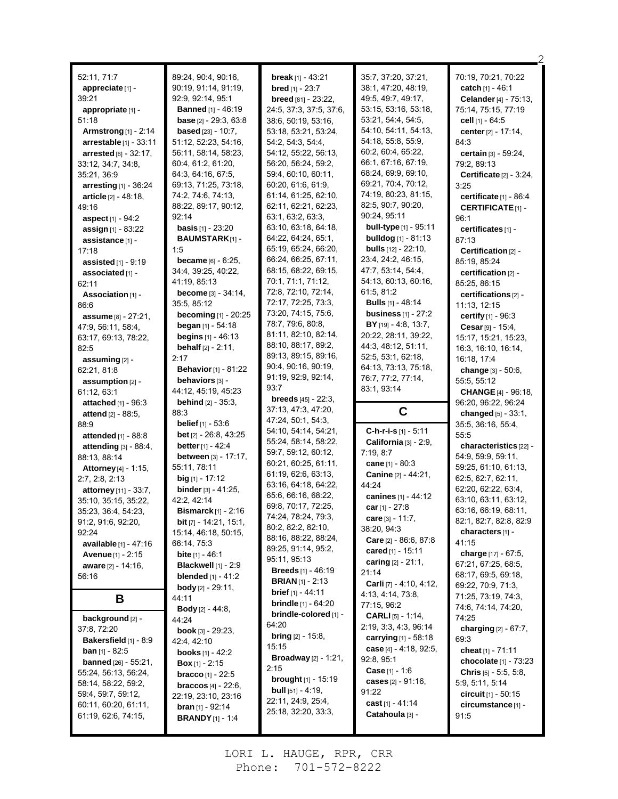| 52:11, 71:7                     | 89:24, 90:4, 90:16,                 | break [1] - $43:21$                        | 35:7, 37:20, 37:21,                | 70:19, 70:21, 70:22                       |
|---------------------------------|-------------------------------------|--------------------------------------------|------------------------------------|-------------------------------------------|
| appreciate [1] -                | 90:19, 91:14, 91:19,                | <b>bred</b> [1] - $23:7$                   | 38:1, 47:20, 48:19,                | catch [1] - 46:1                          |
| 39:21                           | 92:9, 92:14, 95:1                   | <b>breed</b> [81] - 23:22,                 | 49:5, 49:7, 49:17,                 | Celander [4] - 75:13,                     |
| appropriate [1] -               | <b>Banned</b> [1] - 46:19           | 24:5, 37:3, 37:5, 37:6,                    | 53:15, 53:16, 53:18,               | 75:14, 75:15, 77:19                       |
| 51:18                           | <b>base</b> $[2] - 29:3, 63:8$      | 38.6, 50.19, 53.16,                        | 53.21, 54.4, 54.5,                 | cell $[1]$ - 64:5                         |
| Armstrong $[1]$ - 2:14          | <b>based</b> $[23] - 10:7$ ,        | 53:18, 53:21, 53:24,                       | 54:10, 54:11, 54:13,               | center [2] - 17:14,                       |
| <b>arrestable</b> $[1] - 33:11$ | 51:12, 52:23, 54:16,                | 54:2, 54:3, 54:4,                          | 54:18, 55:8, 55:9,                 | 84:3                                      |
| arrested [6] - 32:17.           | 56:11, 58:14, 58:23,                | 54:12, 55:22, 56:13,                       | 60.2, 60.4, 65.22,                 | certain [3] - 59:24,                      |
| 33:12, 34:7, 34:8,              | 60:4, 61:2, 61:20,                  | 56:20, 56:24, 59:2,                        | 66:1, 67:16, 67:19,                | 79:2, 89:13                               |
| 35:21, 36:9                     | 64:3, 64:16, 67:5,                  | 59:4, 60:10, 60:11,                        | 68.24, 69.9, 69.10,                | <b>Certificate</b> $[2] - 3:24$ ,         |
| arresting $[1]$ - 36:24         | 69:13, 71:25, 73:18,                | 60:20, 61:6, 61:9,                         | 69:21, 70:4, 70:12,                | 3:25                                      |
| article [2] - 48:18,            | 74.2, 74.6, 74.13,                  | 61:14, 61:25, 62:10,                       | 74:19, 80:23, 81:15,               | certificate $[1]$ - 86:4                  |
| 49:16                           | 88:22, 89:17, 90:12,                | 62:11, 62:21, 62:23,                       | 82.5, 90.7, 90.20,                 | <b>CERTIFICATE</b> [1]-                   |
| aspect [1] - 94:2               | 92:14                               | 63:1, 63:2, 63:3,                          | 90:24, 95:11                       | 96:1                                      |
| assign [1] - 83:22              | <b>basis</b> $[1] - 23:20$          | 63:10, 63:18, 64:18,                       | <b>bull-type</b> [1] - 95:11       | certificates [1] -                        |
| assistance [1] -                | <b>BAUMSTARK[1]-</b>                | 64.22, 64:24, 65:1,                        | <b>bulldog</b> [1] - 81:13         | 87:13                                     |
| 17:18                           | 1:5                                 | 65:19, 65:24, 66:20,                       | <b>bulls</b> $[12] - 22:10$ ,      | Certification [2] -                       |
| assisted $[1]$ - $9:19$         | <b>became</b> $[6] - 6:25$ ,        | 66:24, 66:25, 67:11,                       | 23:4, 24:2, 46:15,                 | 85:19, 85:24                              |
| associated [1] -                | 34:4, 39:25, 40:22,                 | 68:15, 68:22, 69:15,                       | 47:7, 53:14, 54:4,                 | certification [2] -                       |
| 62:11                           | 41:19, 85:13                        | 70.1, 71.1, 71.12,                         | 54:13, 60:13, 60:16,               | 85:25, 86:15                              |
| Association [1] -               | <b>become</b> $[3] - 34.14$ ,       | 72:8, 72:10, 72:14,                        | 61:5, 81:2                         | certifications [2] -                      |
| 86:6                            | 35:5, 85:12                         | 72:17, 72:25, 73:3,                        | <b>Bulls</b> [1] - 48:14           | 11:13, 12:15                              |
| assume $[8] - 27:21$ ,          | becoming [1] - 20:25                | 73:20, 74:15, 75:6,                        | <b>business</b> [1] - 27:2         | certify [1] - 96:3                        |
| 47:9, 56:11, 58:4,              | began $[1] - 54:18$                 | 78:7, 79:6, 80:8,                          | BY [19] - 4:8, 13:7,               | Cesar [9] - 15:4,                         |
| 63:17, 69:13, 78:22,            | <b>begins</b> $[1] - 46:13$         | 81:11, 82:10, 82:14,                       | 20:22, 28:11, 39:22,               | 15:17, 15:21, 15:23,                      |
| 82.5                            | <b>behalf</b> $[2] - 2:11$ ,        | 88:10, 88:17, 89:2,                        | 44.3, 48.12, 51:11,                | 16:3, 16:10, 16:14,                       |
| assuming [2] -                  | 2:17                                | 89:13, 89:15, 89:16,                       | 52:5, 53:1, 62:18,                 | 16:18, 17:4                               |
| 62:21, 81:8                     | <b>Behavior</b> [1] - 81:22         | 90:4, 90:16, 90:19,                        | 64:13, 73:13, 75:18,               | change $[3] - 50.6$ ,                     |
| assumption [2] -                | behaviors [3] -                     | 91:19, 92:9, 92:14,                        | 76:7, 77:2, 77:14,                 | 55:5, 55:12                               |
| 61:12, 63:1                     | 44:12, 45:19, 45:23                 | 93:7                                       | 83:1, 93:14                        | <b>CHANGE</b> [4] - 96:18,                |
|                                 |                                     |                                            |                                    |                                           |
| attached $[1]$ - 96:3           | <b>behind</b> $[2] - 35:3$          | <b>breeds</b> $[45] - 22:3$ ,              |                                    | 96:20, 96:22, 96:24                       |
| <b>attend</b> $[2] - 88:5$ ,    | 88:3                                | 37:13, 47:3, 47:20,                        | C                                  | changed $[5] - 33.1$ ,                    |
| 88.9                            | <b>belief</b> $[1] - 53.6$          | 47:24, 50:1, 54:3,                         |                                    | 35:5, 36:16, 55:4,                        |
| attended [1] - 88:8             | bet [2] - 26:8, 43:25               | 54:10, 54:14, 54:21,                       | C-h-r-i-s [1] - 5:11               | 55:5                                      |
| attending [3] - 88:4,           | <b>better</b> $[1] - 42:4$          | 55:24, 58:14, 58:22,                       | California [3] - 2:9,              | characteristics [22] -                    |
| 88:13, 88:14                    | between [3] - 17:17,                | 59:7, 59:12, 60:12,                        | 7:19, 8:7                          | 54:9, 59:9, 59:11,                        |
| Attorney [4] - 1:15,            | 55:11, 78:11                        | 60:21, 60:25, 61:11,                       | cane $[1] - 80.3$                  | 59:25, 61:10, 61:13,                      |
| 2:7, 2:8, 2:13                  | <b>big</b> $[1]$ - 17:12            | 61:19, 62:6, 63:13,                        | Canine [2] - 44:21,                | 62:5, 62:7, 62:11,                        |
| attorney [11] - 33:7,           | <b>binder</b> $[3] - 41:25$ ,       | 63.16, 64.18, 64.22,                       | 44:24                              | 62:20, 62:22, 63:4,                       |
| 35:10, 35:15, 35:22,            | 42:2, 42:14                         | 65:6, 66:16, 68:22,                        | canines [1] - 44:12                | 63:10, 63:11, 63:12,                      |
| 35:23, 36:4, 54:23,             | <b>Bismarck</b> $[1]$ - 2:16        | 69:8, 70:17, 72:25,<br>74:24, 78:24, 79:3, | car [1] - 27:8<br>care [3] - 11:7, | 63:16, 66:19, 68:11,                      |
| 91:2, 91:6, 92:20,              | <b>bit</b> $[7]$ - 14:21, 15:1,     | 80:2, 82:2, 82:10,                         | 38:20, 94:3                        | 82:1, 82:7, 82:8, 82:9                    |
| 92:24                           | 15:14, 46:18, 50:15,                | 88:16, 88:22, 88:24,                       | <b>Care</b> $[2] - 86.6, 87.8$     | characters [1] -                          |
| available [1] - 47:16           | 66:14, 75:3                         | 89:25, 91:14, 95:2,                        | cared $[1]$ - 15:11                | 41:15                                     |
| Avenue [1] - 2:15               | bite [1] - 46:1                     | 95:11, 95:13                               | caring $[2] - 21:1$ ,              | charge [17] - 67:5,                       |
| aware [2] - 14:16,              | <b>Blackwell</b> $[1]$ - 2:9        | <b>Breeds</b> $[1] - 46:19$                | 21:14                              | 67:21, 67:25, 68:5,                       |
| 56:16                           | <b>blended</b> $[1] - 41:2$         | <b>BRIAN</b> $[1]$ - 2:13                  | Carli [7] - 4:10, 4:12,            | 68:17, 69:5, 69:18,<br>69:22, 70:9, 71:3, |
|                                 | <b>body</b> $[2] - 29:11$ ,         | <b>brief</b> $[1] - 44:11$                 | 4:13, 4:14, 73:8,                  | 71:25, 73:19, 74:3,                       |
| В                               | 44:11                               | <b>brindle</b> $[1] - 64:20$               | 77:15, 96:2                        | 74:6, 74:14, 74:20,                       |
| <b>background</b> [2] -         | <b>Body</b> $[2] - 44:8$ ,<br>44:24 | brindle-colored [1] -                      | <b>CARLI</b> $[5] - 1:14$ ,        | 74:25                                     |
| 37:8, 72:20                     | <b>book</b> [3] $- 29.23$ ,         | 64:20                                      | 2:19, 3:3, 4:3, 96:14              | charging $[2] - 67:7$ ,                   |
| <b>Bakersfield</b> $[1]$ - 8:9  | 42.4, 42.10                         | <b>bring</b> $[2] - 15:8$ ,                | carrying $[1] - 58.18$             | 69:3                                      |
| <b>ban</b> $[1]$ - 82:5         | <b>books</b> $[1] - 42:2$           | 15:15                                      | case [4] - 4:18, 92:5,             | cheat $[1] - 71:11$                       |
| <b>banned</b> $[26] - 55:21$ ,  | <b>Box</b> [1] - 2:15               | <b>Broadway</b> [2] - 1:21,                | 92:8, 95:1                         | chocolate [1] - 73:23                     |
| 55:24, 56:13, 56:24,            | <b>bracco</b> $[1] - 22:5$          | 2:15                                       | <b>Case</b> $[1] - 1.6$            | <b>Chris</b> $[5]$ - 5:5, 5:8,            |
| 58:14, 58:22, 59:2,             | <b>braccos</b> $[4] - 22:6$ ,       | <b>brought</b> $[1]$ - 15:19               | cases [2] - 91:16,                 | 5.9, 5.11, 5.14                           |
| 59.4, 59.7, 59.12,              | 22:19, 23:10, 23:16                 | <b>bull</b> $[51] - 4:19$ ,                | 91:22                              | circuit $[1] - 50:15$                     |
| 60:11, 60:20, 61:11,            | <b>bran</b> $[1]$ - 92:14           | 22:11, 24:9, 25:4,                         | cast $[1] - 41:14$                 | circumstance [1] -                        |
| 61:19, 62:6, 74:15,             | <b>BRANDY</b> $[1] - 1.4$           | 25:18, 32:20, 33:3,                        | Catahoula [3] -                    | 91:5                                      |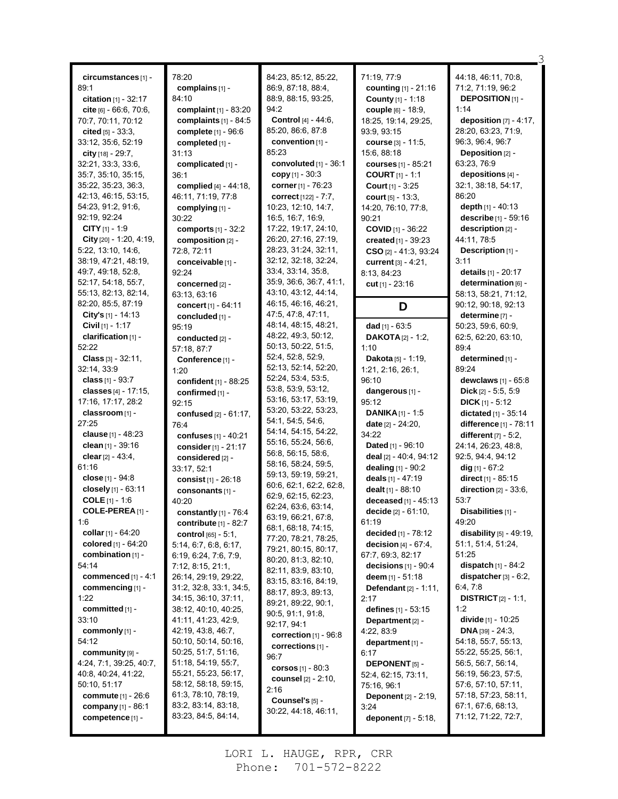|                              | 78:20                         | 84:23, 85:12, 85:22,                      | 71:19, 77:9                     | 44:18, 46:11, 70:8,            |
|------------------------------|-------------------------------|-------------------------------------------|---------------------------------|--------------------------------|
| circumstances [1] -<br>89:1  | complains $[1]$ -             | 86.9, 87:18, 88.4,                        | counting [1] - 21:16            | 71:2, 71:19, 96:2              |
|                              |                               | 88:9, 88:15, 93:25,                       |                                 | <b>DEPOSITION [1] -</b>        |
| citation $[1] - 32:17$       | 84:10                         | 94:2                                      | County [1] - 1:18               |                                |
| $cite [6] - 66.6, 70.6,$     | complaint [1] - 83:20         |                                           | <b>couple</b> [6] - 18:9,       | 1:14                           |
| 70:7, 70:11, 70:12           | complaints $[1]$ - 84:5       | Control [4] - 44:6,                       | 18:25, 19:14, 29:25,            | deposition $[7] - 4:17$ ,      |
| cited $[5] - 33.3$ ,         | complete [1] - 96:6           | 85:20, 86:6, 87:8                         | 93:9, 93:15                     | 28:20, 63:23, 71:9,            |
| 33:12, 35:6, 52:19           | completed [1] -               | convention $[1]$ -                        | course [3] - 11:5,              | 96:3, 96:4, 96:7               |
| city [18] - 29:7.            | 31:13                         | 85:23                                     | 15:6, 88:18                     | Deposition [2] -<br>63:23.76:9 |
| 32:21, 33:3, 33:6,           | complicated [1] -             | convoluted [1] - 36:1                     | <b>courses</b> [1] - 85:21      | depositions [4] -              |
| 35:7, 35:10, 35:15,          | 36:1                          | copy $[1] - 30.3$                         | <b>COURT</b> $[1] - 1:1$        |                                |
| 35:22, 35:23, 36:3,          | complied [4] - 44:18,         | corner [1] - 76:23                        | <b>Court</b> $[1] - 3.25$       | 32:1, 38:18, 54:17,<br>86:20   |
| 42:13, 46:15, 53:15,         | 46:11, 71:19, 77:8            | correct [122] - 7:7,                      | court $[5] - 13:3$ ,            |                                |
| 54.23, 91.2, 91.6,           | complying [1] -               | 10:23, 12:10, 14:7,                       | 14:20, 76:10, 77:8,             | depth $[1] - 40:13$            |
| 92:19, 92:24                 | 30:22                         | 16:5, 16:7, 16:9,                         | 90:21                           | describe [1] - 59:16           |
| <b>CITY</b> $[1]$ - 1:9      | <b>comports</b> $[1] - 32:2$  | 17:22, 19:17, 24:10,                      | <b>COVID</b> [1] - 36:22        | description [2] -              |
| City $[20] - 1.20, 4.19,$    | composition [2] -             | 26:20, 27:16, 27:19,                      | created [1] - 39:23             | 44:11, 78:5                    |
| 5:22, 13:10, 14:6,           | 72:8, 72:11                   | 28:23, 31:24, 32:11,                      | $CSO$ [2] - 41:3, 93:24         | Description [1] -              |
| 38:19, 47:21, 48:19,         | conceivable [1] -             | 32:12, 32:18, 32:24,                      | current [3] - 4:21,             | 3:11                           |
| 49.7, 49.18, 52.8,           | 92:24                         | 33:4, 33:14, 35:8,                        | 8:13, 84:23                     | details [1] - 20:17            |
| 52:17, 54:18, 55:7,          | concerned [2] -               | 35.9, 36.6, 36.7, 41.1,                   | cut $[1] - 23.16$               | determination [6] -            |
| 55:13, 82:13, 82:14,         | 63:13, 63:16                  | 43:10, 43:12, 44:14,                      |                                 | 58:13, 58:21, 71:12,           |
| 82.20, 85.5, 87.19           | concert [1] - 64:11           | 46:15, 46:16, 46:21,                      | D                               | 90:12, 90:18, 92:13            |
| <b>City's</b> $[1]$ - 14:13  | concluded [1] -               | 47.5, 47.8, 47.11,                        |                                 | determine [7] -                |
| Civil [1] - 1:17             | 95:19                         | 48:14, 48:15, 48:21,                      | dad [1] - 63:5                  | 50:23, 59:6, 60:9,             |
| clarification [1] -          | conducted [2] -               | 48:22, 49:3, 50:12,                       | <b>DAKOTA</b> $[2] - 1:2$       | 62:5, 62:20, 63:10,            |
| 52:22                        | 57:18, 87:7                   | 50:13, 50:22, 51:5,                       | 1:10                            | 89:4                           |
| <b>Class</b> $[3] - 32:11$ , | Conference <sup>[1]</sup> -   | 52:4, 52:8, 52:9,                         | Dakota [5] - 1:19,              | determined [1] -               |
| 32:14, 33.9                  | 1:20                          | 52:13, 52:14, 52:20,                      | 1:21, 2:16, 26:1,               | 89:24                          |
| class $[1] - 93.7$           | confident [1] - 88:25         | 52:24, 53:4, 53:5,                        | 96:10                           | <b>dewclaws</b> $[1] - 65:8$   |
| classes $[4] - 17:15$ ,      | confirmed [1] -               | 53.8, 53.9, 53.12,                        | dangerous [1] -                 | <b>Dick</b> $[2] - 5.5, 5.9$   |
| 17:16, 17:17, 28:2           | 92:15                         | 53:16, 53:17, 53:19,                      | 95:12                           | $DICK[1] - 5:12$               |
| classroom [1] -              | confused [2] - 61:17,         | 53:20, 53:22, 53:23,<br>54:1, 54:5, 54:6, | <b>DANIKA</b> $[1]$ - 1:5       | dictated [1] - 35:14           |
| 27:25                        | 76:4                          | 54:14, 54:15, 54:22,                      | <b>date</b> $[2] - 24:20$ ,     | difference [1] - 78:11         |
| clause [1] - 48:23           | confuses [1] - 40:21          | 55:16, 55:24, 56:6,                       | 34:22                           | different $[7] - 5.2$ ,        |
| clean [1] - 39:16            | consider [1] - 21:17          | 56.8, 56.15, 58.6,                        | <b>Dated</b> [1] - 96:10        | 24:14, 26:23, 48:8,            |
| clear [2] - 43:4,            | considered [2] -              | 58:16, 58:24, 59:5,                       | deal [2] - 40:4, 94:12          | 92:5, 94:4, 94:12              |
| 61:16                        | 33:17, 52:1                   | 59:13, 59:19, 59:21,                      | dealing $[1] - 90.2$            | $dig$ [1] - 67:2               |
| close [1] - 94:8             | consist $[1] - 26:18$         | 60.6, 62.1, 62.2, 62.8,                   | deals $[1] - 47:19$             | direct [1] - 85:15             |
| closely [1] - 63:11          | consonants [1] -              | 62:9, 62:15, 62:23,                       | dealt [1] - 88:10               | direction $[2] - 33:6$ ,       |
| <b>COLE</b> $[1] - 1.6$      | 40:20                         | 62:24, 63:6, 63:14,                       | deceased $[1] - 45:13$          | 53:7                           |
| COLE-PEREA $[1]$ -           | constantly $[1]$ - 76:4       | 63:19, 66:21, 67:8,                       | decide [2] - 61:10,             | Disabilities [1] -             |
| 1:6                          | contribute [1] - 82:7         | 68:1, 68:18, 74:15,                       | 61:19                           | 49:20                          |
| collar $[1] - 64:20$         | <b>control</b> $[65] - 5:1$ , | 77:20, 78:21, 78:25,                      | decided [1] - 78:12             | disability $[5]$ - 49:19,      |
| colored [1] - 64:20          | 5:14, 6:7, 6:8, 6:17,         | 79:21, 80:15, 80:17,                      | decision [4] - 67:4,            | 51:1, 51:4, 51:24,             |
| combination [1] -            | 6.19, 6.24, 7.6, 7.9,         | 80:20, 81:3, 82:10,                       | 67:7, 69:3, 82:17               | 51:25                          |
| 54:14                        | 7:12, 8:15, 21:1,             | 82:11, 83:9, 83:10,                       | decisions $[1]$ - 90:4          | <b>dispatch</b> $[1] - 84.2$   |
| commenced $[1] - 4:1$        | 26:14, 29:19, 29:22,          | 83:15, 83:16, 84:19,                      | deem $[1] - 51:18$              | dispatcher [3] - 6:2,          |
| commencing [1] -             | 31:2, 32:8, 33:1, 34:5,       | 88:17, 89:3, 89:13,                       | <b>Defendant</b> $[2] - 1.11$ , | 6.4, 7.8                       |
| 1:22                         | 34:15, 36:10, 37:11,          | 89.21, 89.22, 90.1,                       | 2:17                            | <b>DISTRICT</b> $[2] - 1:1$ ,  |
| committed [1] -              | 38:12, 40:10, 40:25,          | 90:5, 91:1, 91:8,                         | defines $[1] - 53:15$           | 1:2                            |
| 33:10                        | 41:11, 41:23, 42:9,           | 92:17, 94:1                               | Department $[2]$ -              | divide [1] - 10:25             |
| commonly [1] -               | 42:19, 43:8, 46:7,            | correction $[1]$ - $96:8$                 | 4:22, 83:9                      | <b>DNA</b> [39] - 24:3,        |
| 54:12                        | 50:10, 50:14, 50:16,          | corrections $[1]$ -                       | department [1] -                | 54:18, 55:7, 55:13,            |
| community [9] -              | 50:25, 51:7, 51:16,           | 96:7                                      | 6:17                            | 55:22, 55:25, 56:1,            |
| 4:24, 7:1, 39:25, 40:7,      | 51:18, 54:19, 55:7,           | corsos $[1] - 80:3$                       | <b>DEPONENT</b> [5] -           | 56:5, 56:7, 56:14,             |
| 40.8, 40.24, 41.22,          | 55:21, 55:23, 56:17,          | <b>counsel</b> [2] - 2:10,                | 52:4, 62:15, 73:11,             | 56:19, 56:23, 57:5,            |
| 50:10, 51:17                 | 58:12, 58:18, 59:15,          | 2:16                                      | 75:16, 96:1                     | 57:6, 57:10, 57:11,            |
| <b>commute</b> [1] - 26:6    | 61:3, 78:10, 78:19,           | Counsel's [5] -                           | <b>Deponent</b> [2] - 2:19,     | 57:18, 57:23, 58:11,           |
| company $[1] - 86:1$         | 83:2, 83:14, 83:18,           | 30:22, 44:18, 46:11,                      | 3:24                            | 67:1, 67:6, 68:13,             |
| competence [1] -             | 83:23, 84:5, 84:14,           |                                           | deponent [7] - 5:18,            | 71:12, 71:22, 72:7,            |
|                              |                               |                                           |                                 |                                |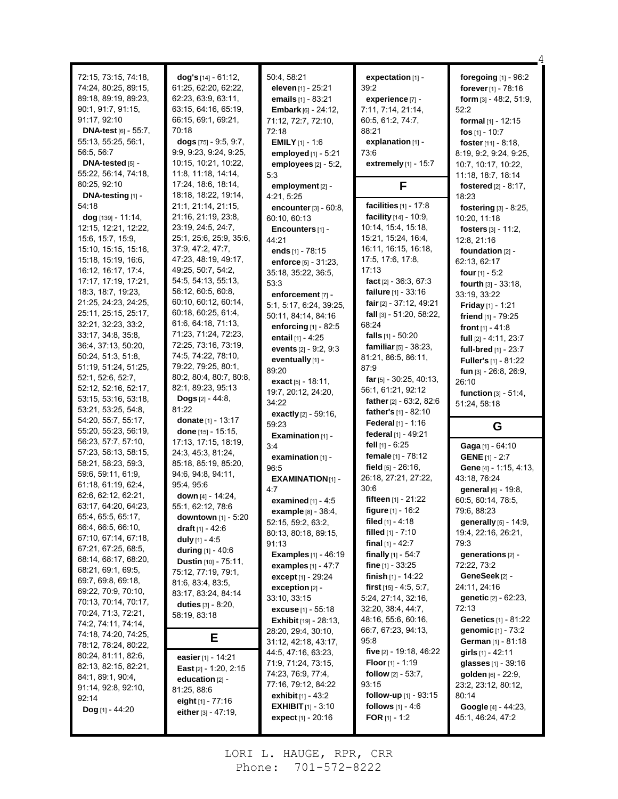| 72:15, 73:15, 74:18,<br>74:24, 80:25, 89:15,<br>89:18, 89:19, 89:23,<br>90.1, 91.7, 91.15,<br>91:17, 92:10<br><b>DNA-test</b> [6] - 55:7,<br>55:13, 55:25, 56:1,<br>56:5, 56:7<br>DNA-tested $[5]$ -<br>55:22, 56:14, 74:18, | $dog's$ [14] - 61:12,<br>61:25, 62:20, 62:22,<br>62:23, 63:9, 63:11,<br>63:15, 64:16, 65:19,<br>66:15, 69:1, 69:21,<br>70:18<br>dogs $[75] - 9.5, 9.7,$<br>9:9, 9:23, 9:24, 9:25,<br>10:15, 10:21, 10:22,<br>11:8, 11:18, 14:14, | 50:4, 58:21<br>eleven [1] - 25:21<br>emails [1] - 83:21<br><b>Embark</b> [6] - 24:12,<br>71:12, 72:7, 72:10,<br>72:18<br><b>EMILY</b> $[1] - 1.6$<br>employed [1] - 5:21<br>employees [2] - 5:2,<br>5:3 | expectation [1] -<br>39:2<br>experience [7] -<br>7:11, 7:14, 21:14,<br>60.5, 61.2, 74.7,<br>88:21<br>explanation $[1]$ -<br>73:6<br>extremely [1] - 15:7 | foregoing $[1]$ - $96:2$<br>forever [1] - 78:16<br>form [3] - 48:2, 51:9,<br>52:2<br>formal [1] - 12:15<br>fos $[1] - 10:7$<br>foster [11] - 8:18,<br>8:19, 9:2, 9:24, 9:25,<br>10:7, 10:17, 10:22,<br>11:18, 18:7, 18:14 |
|------------------------------------------------------------------------------------------------------------------------------------------------------------------------------------------------------------------------------|----------------------------------------------------------------------------------------------------------------------------------------------------------------------------------------------------------------------------------|---------------------------------------------------------------------------------------------------------------------------------------------------------------------------------------------------------|----------------------------------------------------------------------------------------------------------------------------------------------------------|---------------------------------------------------------------------------------------------------------------------------------------------------------------------------------------------------------------------------|
| 80.25, 92.10                                                                                                                                                                                                                 | 17:24, 18:6, 18:14,                                                                                                                                                                                                              | employment [2] -                                                                                                                                                                                        | F                                                                                                                                                        | fostered [2] - 8:17,                                                                                                                                                                                                      |
| DNA-testing [1] -                                                                                                                                                                                                            | 18:18, 18:22, 19:14,                                                                                                                                                                                                             | 4:21, 5:25                                                                                                                                                                                              |                                                                                                                                                          | 18:23                                                                                                                                                                                                                     |
| 54:18                                                                                                                                                                                                                        | 21:1, 21:14, 21:15,                                                                                                                                                                                                              | encounter [3] - 60:8,                                                                                                                                                                                   | facilities $[1] - 17:8$                                                                                                                                  | fostering [3] - 8:25,                                                                                                                                                                                                     |
| dog [139] - 11:14,                                                                                                                                                                                                           | 21:16, 21:19, 23:8,<br>23:19, 24:5, 24:7,                                                                                                                                                                                        | 60:10, 60:13                                                                                                                                                                                            | facility [14] - 10:9,<br>10:14, 15:4, 15:18,                                                                                                             | 10:20, 11:18                                                                                                                                                                                                              |
| 12.15, 12.21, 12.22,<br>15.6, 15.7, 15.9,                                                                                                                                                                                    | 25:1, 25:6, 25:9, 35:6,                                                                                                                                                                                                          | Encounters [1] -                                                                                                                                                                                        | 15:21, 15:24, 16:4,                                                                                                                                      | fosters $[3] - 11.2$ ,                                                                                                                                                                                                    |
| 15:10, 15:15, 15:16,                                                                                                                                                                                                         | 37:9, 47:2, 47:7,                                                                                                                                                                                                                | 44:21<br>ends [1] - 78:15                                                                                                                                                                               | 16:11, 16:15, 16:18,                                                                                                                                     | 12:8, 21:16<br>foundation $[2]$ -                                                                                                                                                                                         |
| 15:18, 15:19, 16:6,                                                                                                                                                                                                          | 47:23, 48:19, 49:17,                                                                                                                                                                                                             | enforce [5] - 31:23,                                                                                                                                                                                    | 17:5, 17:6, 17:8,                                                                                                                                        | 62:13, 62:17                                                                                                                                                                                                              |
| 16:12, 16:17, 17:4,                                                                                                                                                                                                          | 49:25, 50:7, 54:2,                                                                                                                                                                                                               | 35:18, 35:22, 36:5,                                                                                                                                                                                     | 17:13                                                                                                                                                    | four [1] - 5:2                                                                                                                                                                                                            |
| 17:17, 17:19, 17:21,                                                                                                                                                                                                         | 54:5, 54:13, 55:13,                                                                                                                                                                                                              | 53:3                                                                                                                                                                                                    | fact $[2] - 36:3, 67:3$                                                                                                                                  | fourth [3] - 33:18,                                                                                                                                                                                                       |
| 18:3, 18:7, 19:23,                                                                                                                                                                                                           | 56:12, 60:5, 60:8,                                                                                                                                                                                                               | enforcement [7] -                                                                                                                                                                                       | <b>failure</b> $[1] - 33.16$                                                                                                                             | 33:19, 33:22                                                                                                                                                                                                              |
| 21:25, 24:23, 24:25,                                                                                                                                                                                                         | 60:10, 60:12, 60:14,                                                                                                                                                                                                             | 5:1, 5:17, 6:24, 39:25,                                                                                                                                                                                 | fair [2] - 37:12, 49:21                                                                                                                                  | <b>Friday</b> $[1]$ - 1:21                                                                                                                                                                                                |
| 25:11, 25:15, 25:17,                                                                                                                                                                                                         | 60:18, 60:25, 61:4,                                                                                                                                                                                                              | 50:11, 84:14, 84:16                                                                                                                                                                                     | fall [3] - 51:20, 58:22,                                                                                                                                 | friend $[1]$ - 79:25                                                                                                                                                                                                      |
| 32.21, 32.23, 33.2,                                                                                                                                                                                                          | 61.6, 64.18, 71.13,                                                                                                                                                                                                              | enforcing [1] - 82:5                                                                                                                                                                                    | 68:24                                                                                                                                                    | front $[1] - 41.8$                                                                                                                                                                                                        |
| 33:17, 34:8, 35:8,                                                                                                                                                                                                           | 71:23, 71:24, 72:23,<br>72:25, 73:16, 73:19,                                                                                                                                                                                     | entail [1] - 4:25                                                                                                                                                                                       | falls $[1] - 50:20$                                                                                                                                      | full [2] - 4:11, 23:7                                                                                                                                                                                                     |
| 36:4, 37:13, 50:20,<br>50:24, 51:3, 51:8,                                                                                                                                                                                    | 74:5, 74:22, 78:10,                                                                                                                                                                                                              | events [2] - 9:2, 9:3                                                                                                                                                                                   | familiar [5] - 38:23.                                                                                                                                    | full-bred [1] - 23:7                                                                                                                                                                                                      |
| 51:19, 51:24, 51:25,                                                                                                                                                                                                         | 79:22, 79:25, 80:1,                                                                                                                                                                                                              | eventually [1] -                                                                                                                                                                                        | 81:21, 86:5, 86:11,<br>87:9                                                                                                                              | Fuller's [1] - 81:22                                                                                                                                                                                                      |
| 52:1, 52:6, 52:7,                                                                                                                                                                                                            | 80:2, 80:4, 80:7, 80:8,                                                                                                                                                                                                          | 89:20                                                                                                                                                                                                   | far $[5]$ - 30:25, 40:13,                                                                                                                                | fun [3] - 26:8, 26:9,                                                                                                                                                                                                     |
| 52:12, 52:16, 52:17,                                                                                                                                                                                                         | 82:1, 89:23, 95:13                                                                                                                                                                                                               | exact $[5] - 18.11$ ,                                                                                                                                                                                   | 56:1, 61:21, 92:12                                                                                                                                       | 26:10                                                                                                                                                                                                                     |
| 53:15, 53:16, 53:18,                                                                                                                                                                                                         | <b>Dogs</b> $[2] - 44.8$ ,                                                                                                                                                                                                       | 19:7, 20:12, 24:20,<br>34:22                                                                                                                                                                            | <b>father</b> $[2] - 63:2, 82:6$                                                                                                                         | <b>function</b> $[3] - 51:4$ ,                                                                                                                                                                                            |
| 53.21, 53:25, 54:8,                                                                                                                                                                                                          | 81:22                                                                                                                                                                                                                            | exactly [2] - 59:16,                                                                                                                                                                                    | father's [1] - 82:10                                                                                                                                     | 51:24, 58:18                                                                                                                                                                                                              |
| 54:20, 55:7, 55:17,                                                                                                                                                                                                          | <b>donate</b> [1] - 13:17                                                                                                                                                                                                        |                                                                                                                                                                                                         |                                                                                                                                                          |                                                                                                                                                                                                                           |
|                                                                                                                                                                                                                              |                                                                                                                                                                                                                                  |                                                                                                                                                                                                         |                                                                                                                                                          |                                                                                                                                                                                                                           |
| 55:20, 55:23, 56:19,                                                                                                                                                                                                         | done $[15] - 15:15$ ,                                                                                                                                                                                                            | 59:23                                                                                                                                                                                                   | Federal [1] - 1:16<br>federal [1] - 49:21                                                                                                                | G                                                                                                                                                                                                                         |
| 56:23, 57:7, 57:10,                                                                                                                                                                                                          | 17:13, 17:15, 18:19,                                                                                                                                                                                                             | Examination $[1]$ -<br>3:4                                                                                                                                                                              | fell $[1]$ - $6:25$                                                                                                                                      | Gaga [1] - 64:10                                                                                                                                                                                                          |
| 57:23, 58:13, 58:15,                                                                                                                                                                                                         | 24:3, 45:3, 81:24,                                                                                                                                                                                                               | examination [1] -                                                                                                                                                                                       | female [1] - 78:12                                                                                                                                       | <b>GENE</b> $[1] - 2:7$                                                                                                                                                                                                   |
| 58.21, 58.23, 59.3,                                                                                                                                                                                                          | 85:18, 85:19, 85:20,                                                                                                                                                                                                             | 96:5                                                                                                                                                                                                    | field $[5] - 26.16$ ,                                                                                                                                    | Gene [4] - 1:15, 4:13,                                                                                                                                                                                                    |
| 59.6, 59.11, 61.9,                                                                                                                                                                                                           | 94.6, 94.8, 94.11,                                                                                                                                                                                                               | $EXAMPLE$ XAMINATION $[1]$ -                                                                                                                                                                            | 26:18, 27:21, 27:22,                                                                                                                                     | 43:18, 76:24                                                                                                                                                                                                              |
| 61:18, 61:19, 62:4,                                                                                                                                                                                                          | 95:4, 95:6                                                                                                                                                                                                                       | 4:7                                                                                                                                                                                                     | 30:6                                                                                                                                                     | general [6] - 19:8,                                                                                                                                                                                                       |
| 62:6, 62:12, 62:21,                                                                                                                                                                                                          | down $[4] - 14.24$ ,                                                                                                                                                                                                             | <b>examined</b> $[1] - 4.5$                                                                                                                                                                             | <b>fifteen</b> $[1] - 21.22$                                                                                                                             | 60:5, 60:14, 78:5,                                                                                                                                                                                                        |
| 63:17, 64:20, 64:23,                                                                                                                                                                                                         | 55:1, 62:12, 78:6                                                                                                                                                                                                                | example [8] - 38:4,                                                                                                                                                                                     | figure [1] - 16:2                                                                                                                                        | 79.6, 88.23                                                                                                                                                                                                               |
| 65:4, 65:5, 65:17,<br>66.4, 66.5, 66.10,                                                                                                                                                                                     | downtown [1] - 5:20<br><b>draft</b> $[1] - 42.6$                                                                                                                                                                                 | 52:15, 59:2, 63:2,                                                                                                                                                                                      | filed $[1] - 4.18$                                                                                                                                       | generally [5] - 14:9,                                                                                                                                                                                                     |
| 67:10, 67:14, 67:18,                                                                                                                                                                                                         | duly $[1] - 4:5$                                                                                                                                                                                                                 | 80:13, 80:18, 89:15,                                                                                                                                                                                    | <b>filled</b> $[1] - 7:10$                                                                                                                               | 19:4, 22:16, 26:21,                                                                                                                                                                                                       |
| 67:21, 67:25, 68:5,                                                                                                                                                                                                          | during [1] - 40:6                                                                                                                                                                                                                | 91:13                                                                                                                                                                                                   | final $[1] - 42.7$                                                                                                                                       | 79:3                                                                                                                                                                                                                      |
| 68:14, 68:17, 68:20,                                                                                                                                                                                                         | Dustin [10] - 75:11,                                                                                                                                                                                                             | <b>Examples</b> $[1] - 46:19$                                                                                                                                                                           | finally $[1] - 54.7$                                                                                                                                     | generations $[2]$ -                                                                                                                                                                                                       |
| 68.21, 69.1, 69.5,                                                                                                                                                                                                           | 75:12, 77:19, 79:1,                                                                                                                                                                                                              | <b>examples</b> $[1] - 47:7$                                                                                                                                                                            | fine $[1]$ - 33:25                                                                                                                                       | 72:22, 73:2<br>GeneSeek [2] -                                                                                                                                                                                             |
| 69.7, 69.8, 69.18,                                                                                                                                                                                                           | 81:6, 83:4, 83:5,                                                                                                                                                                                                                | <b>except</b> $[1]$ - 29:24<br>exception [2] -                                                                                                                                                          | finish $[1]$ - 14:22<br>first $[15] - 4.5, 5.7$ ,                                                                                                        | 24:11, 24:16                                                                                                                                                                                                              |
| 69:22, 70:9, 70:10,                                                                                                                                                                                                          | 83:17, 83:24, 84:14                                                                                                                                                                                                              | 33:10, 33:15                                                                                                                                                                                            | 5:24, 27:14, 32:16,                                                                                                                                      | genetic [2] - 62:23,                                                                                                                                                                                                      |
| 70:13, 70:14, 70:17,                                                                                                                                                                                                         | duties [3] - 8:20,                                                                                                                                                                                                               | excuse $[1] - 55:18$                                                                                                                                                                                    | 32:20, 38:4, 44:7,                                                                                                                                       | 72:13                                                                                                                                                                                                                     |
| 70:24, 71:3, 72:21,                                                                                                                                                                                                          | 58:19, 83:18                                                                                                                                                                                                                     | <b>Exhibit</b> $[19] - 28:13$ ,                                                                                                                                                                         | 48:16, 55:6, 60:16,                                                                                                                                      | <b>Genetics</b> [1] - 81:22                                                                                                                                                                                               |
| 74:2, 74:11, 74:14,<br>74:18, 74:20, 74:25,                                                                                                                                                                                  |                                                                                                                                                                                                                                  | 28:20, 29:4, 30:10,                                                                                                                                                                                     | 66:7, 67:23, 94:13,                                                                                                                                      | genomic [1] - 73:2                                                                                                                                                                                                        |
| 78:12, 78:24, 80:22,                                                                                                                                                                                                         | Е                                                                                                                                                                                                                                | 31:12, 42:18, 43:17,                                                                                                                                                                                    | 95.8                                                                                                                                                     | German [1] - 81:18                                                                                                                                                                                                        |
| 80:24, 81:11, 82:6,                                                                                                                                                                                                          | easier [1] - 14:21                                                                                                                                                                                                               | 44.5, 47.16, 63.23,                                                                                                                                                                                     | five $[2]$ - 19:18, 46:22                                                                                                                                | girls $[1] - 42:11$                                                                                                                                                                                                       |
| 82:13, 82:15, 82:21,                                                                                                                                                                                                         | <b>East</b> $[2] - 1:20, 2:15$                                                                                                                                                                                                   | 71.9, 71.24, 73.15,                                                                                                                                                                                     | <b>Floor</b> [1] - 1:19                                                                                                                                  | glasses [1] - 39:16                                                                                                                                                                                                       |
| 84:1, 89:1, 90:4,                                                                                                                                                                                                            | education $[2]$ -                                                                                                                                                                                                                | 74.23, 76.9, 77.4,                                                                                                                                                                                      | <b>follow</b> $[2] - 53:7$ ,                                                                                                                             | golden [6] - 22:9,                                                                                                                                                                                                        |
| 91:14, 92:8, 92:10,                                                                                                                                                                                                          | 81:25, 88:6                                                                                                                                                                                                                      | 77:16, 79:12, 84:22                                                                                                                                                                                     | 93:15                                                                                                                                                    | 23:2, 23:12, 80:12,                                                                                                                                                                                                       |
| 92:14                                                                                                                                                                                                                        | eight $[1]$ - 77:16                                                                                                                                                                                                              | <b>exhibit</b> $[1] - 43.2$<br><b>EXHIBIT</b> $[1] - 3:10$                                                                                                                                              | follow-up [1] - 93:15                                                                                                                                    | 80:14                                                                                                                                                                                                                     |
| $\log$ [1] - 44:20                                                                                                                                                                                                           | either $[3] - 47.19$ ,                                                                                                                                                                                                           | expect [1] - 20:16                                                                                                                                                                                      | <b>follows</b> $[1] - 4.6$<br><b>FOR</b> [1] - 1:2                                                                                                       | Google [4] - 44:23,<br>45:1, 46:24, 47:2                                                                                                                                                                                  |

4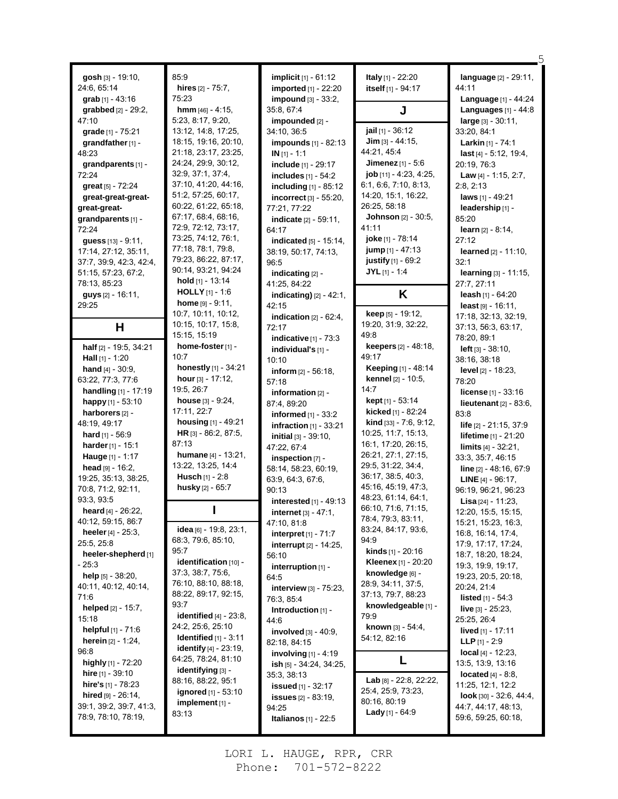| gosh [3] - 19:10,<br>24:6, 65:14<br>grab $[1] - 43:16$ | 85:9<br>hires $[2] - 75:7$ ,<br>75:23                  | implicit [1] - 61:12<br><b>imported</b> [1] - 22:20<br>impound $[3] - 33:2$ , | Italy [1] - 22:20<br>itself [1] - 94:17         | language [2] - 29:11,<br>44:11<br>Language [1] - 44:24 |
|--------------------------------------------------------|--------------------------------------------------------|-------------------------------------------------------------------------------|-------------------------------------------------|--------------------------------------------------------|
| grabbed [2] - 29:2,                                    | <b>hmm</b> $[46] - 4:15$ ,                             | 35:8, 67:4                                                                    | J                                               | Languages $[1] - 44.8$                                 |
| 47:10                                                  | 5:23, 8:17, 9:20,                                      | impounded [2] -                                                               | jail [1] - 36:12                                | large [3] - 30:11,                                     |
| grade [1] - 75:21<br>grandfather [1] -                 | 13:12, 14:8, 17:25,<br>18:15, 19:16, 20:10,            | 34:10, 36:5<br>impounds [1] - 82:13                                           | $Jim$ [3] - 44:15,                              | 33:20, 84:1<br>Larkin [1] - 74:1                       |
| 48:23                                                  | 21:18, 23:17, 23:25,                                   | $IN[1] - 1:1$                                                                 | 44:21, 45.4                                     | last [4] - 5:12, 19:4,                                 |
| grandparents [1] -                                     | 24:24, 29:9, 30:12,                                    | include [1] - 29:17                                                           | Jimenez [1] - 5:6                               | 20:19, 76:3                                            |
| 72:24                                                  | 32:9, 37:1, 37:4,<br>37:10, 41:20, 44:16,              | includes [1] - 54:2                                                           | job [11] - 4:23, 4:25,                          | Law $[4] - 1.15, 2.7,$                                 |
| great [5] - 72:24<br>great-great-great-                | 51:2, 57:25, 60:17,                                    | including [1] - 85:12                                                         | 6:1, 6:6, 7:10, 8:13,<br>14:20, 15:1, 16:22,    | 2:8, 2:13<br>laws [1] - 49:21                          |
| qreat-great-                                           | 60:22, 61:22, 65:18,                                   | incorrect [3] - 55:20,<br>77:21, 77:22                                        | 26:25, 58:18                                    | leadership [1] -                                       |
| grandparents [1] -                                     | 67:17, 68:4, 68:16,                                    | indicate [2] - 59.11,                                                         | Johnson [2] - 30:5,                             | 85:20                                                  |
| 72:24                                                  | 72:9, 72:12, 73:17,                                    | 64:17                                                                         | 41:11                                           | <b>learn</b> $[2] - 8.14$ ,                            |
| <b>guess</b> $[13] - 9.11$ ,                           | 73:25, 74:12, 76:1,<br>77:18, 78:1, 79:8,              | indicated [5] - 15:14,                                                        | joke [1] - 78:14                                | 27:12                                                  |
| 17:14, 27:12, 35:11,                                   | 79:23, 86:22, 87:17,                                   | 38:19, 50:17, 74:13,<br>96:5                                                  | jump [1] - 47:13<br>justify [1] - 69:2          | <b>learned</b> $[2] - 11:10$ ,<br>32:1                 |
| 37:7, 39:9, 42:3, 42:4,<br>51:15, 57:23, 67:2,         | 90:14, 93:21, 94:24                                    | indicating [2] -                                                              | $JYL$ <sub>[1]</sub> - 1:4                      | learning [3] - 11:15,                                  |
| 78:13, 85:23                                           | hold [1] - 13:14                                       | 41:25, 84:22                                                                  |                                                 | 27:7, 27:11                                            |
| <b>guys</b> [2] - 16:11,                               | <b>HOLLY</b> $[1]$ - 1:6                               | <b>indicating)</b> $[2] - 42:1$ ,                                             | K                                               | leash $[1] - 64:20$                                    |
| 29:25                                                  | <b>home</b> $[9] - 9:11$ ,                             | 42:15                                                                         |                                                 | least [9] - 16:11.                                     |
|                                                        | 10:7, 10:11, 10:12,<br>10:15, 10:17, 15:8,             | indication $[2] - 62.4$ ,                                                     | keep [5] - 19:12,<br>19:20, 31:9, 32:22,        | 17:18, 32:13, 32:19,                                   |
| н                                                      | 15:15, 15:19                                           | 72:17<br>indicative $[1]$ - 73:3                                              | 49.8                                            | 37:13, 56:3, 63:17,<br>78:20, 89:1                     |
| half [2] - 19:5, 34:21                                 | home-foster [1] -                                      | individual's [1] -                                                            | <b>keepers</b> $[2] - 48:18$ ,                  | $left [3] - 38:10,$                                    |
| <b>Hall</b> $[1]$ - 1:20                               | 10:7                                                   | 10:10                                                                         | 49:17                                           | 38:16, 38:18                                           |
| <b>hand</b> $[4] - 30.9$ ,                             | honestly [1] - 34:21                                   | <b>inform</b> $[2] - 56:18$ ,                                                 | Keeping [1] - 48:14                             | <b>level</b> $[2] - 18:23$ ,                           |
| 63.22, 77:3, 77:6                                      | hour $[3] - 17:12$ ,<br>19:5, 26:7                     | 57:18                                                                         | <b>kennel</b> [2] - 10:5,<br>14:7               | 78:20                                                  |
| handling [1] - 17:19<br>happy [1] - 53:10              | <b>house</b> $[3] - 9:24$ ,                            | information $[2]$ -                                                           | kept [1] - 53:14                                | license $[1] - 33:16$                                  |
| harborers <sup>[2]</sup> -                             | 17:11, 22:7                                            | 87:4, 89:20<br>informed $[1]$ - 33:2                                          | kicked [1] - 82:24                              | lieutenant $[2] - 83.6$ ,<br>83:8                      |
| 48:19, 49:17                                           | housing [1] - 49:21                                    | infraction $[1]$ - 33:21                                                      | kind [33] - 7:6, 9:12,                          | life [2] - 21:15, 37:9                                 |
| hard [1] - 56:9                                        | HR [3] - 86:2, 87:5,                                   | <b>initial</b> $[3] - 39:10$ ,                                                | 10:25, 11:7, 15:13,                             | lifetime [1] - 21:20                                   |
| harder $[1] - 15:1$                                    | 87:13                                                  | 47:22, 67:4                                                                   | 16:1, 17:20, 26:15,                             | <b>limits</b> $[4] - 32:21$ ,                          |
| Hauge [1] - 1:17                                       | <b>humane</b> $[4] - 13:21$ ,                          | inspection [7] -                                                              | 26:21, 27:1, 27:15,                             | 33:3, 35:7, 46:15                                      |
| head $[9] - 16:2$ ,                                    | 13:22, 13:25, 14:4                                     | 58:14, 58:23, 60:19,                                                          | 29:5, 31:22, 34:4,<br>36:17, 38:5, 40:3,        | line [2] - 48:16, 67:9                                 |
| 19:25, 35:13, 38:25,                                   | <b>Husch</b> $[1] - 2:8$<br>husky [2] - 65:7           | 63.9, 64.3, 67.6,                                                             | 45:16, 45:19, 47:3,                             | <b>LINE</b> $[4]$ - 96:17,                             |
| 70:8, 71:2, 92:11,<br>93:3, 93:5                       |                                                        | 90:13                                                                         | 48:23, 61:14, 64:1,                             | 96:19, 96:21, 96:23                                    |
| <b>heard</b> [4] - 26:22,                              |                                                        | interested [1] - 49:13<br><b>internet</b> $[3] - 47.1$ ,                      | 66:10, 71:6, 71:15,                             | Lisa [24] - 11:23,<br>12:20, 15:5, 15:15,              |
| 40:12, 59:15, 86:7                                     |                                                        | 47:10, 81:8                                                                   | 78:4, 79:3, 83:11,                              | 15:21, 15:23, 16:3,                                    |
| <b>heeler</b> $[4] - 25:3$ ,                           | idea [6] - 19:8, 23:1,                                 | <b>interpret</b> $[1] - 71:7$                                                 | 83.24, 84:17, 93:6,                             | 16:8, 16:14, 17:4,                                     |
| 25:5, 25:8                                             | 68:3, 79:6, 85:10,                                     | <b>interrupt</b> $[2] - 14:25$ ,                                              | 94:9                                            | 17:9, 17:17, 17:24,                                    |
| heeler-shepherd [1]                                    | 95:7<br>identification [10] -                          | 56:10                                                                         | <b>kinds</b> [1] - 20:16<br>Kleenex [1] - 20:20 | 18:7, 18:20, 18:24,                                    |
| - 25:3                                                 | 37:3, 38:7, 75:6,                                      | interruption [1] -                                                            | knowledge [6] -                                 | 19:3, 19:9, 19:17,                                     |
| help [5] - 38:20,<br>40:11, 40:12, 40:14,              | 76:10, 88:10, 88:18,                                   | 64:5                                                                          | 28.9, 34.11, 37.5,                              | 19:23, 20:5, 20:18,<br>20:24, 21:4                     |
| 71:6                                                   | 88:22, 89:17, 92:15,                                   | <b>interview</b> $[3] - 75:23$ ,<br>76:3, 85:4                                | 37:13, 79:7, 88:23                              | <b>listed</b> $[1] - 54:3$                             |
| helped [2] - 15:7,                                     | 93:7                                                   | Introduction [1] -                                                            | knowledgeable [1] -                             | <b>live</b> $[3] - 25:23$ ,                            |
| 15:18                                                  | identified $[4]$ - 23:8,                               | 44.6                                                                          | 79:9                                            | 25:25, 26:4                                            |
| helpful [1] - 71:6                                     | 24:2, 25:6, 25:10                                      | involved $[3] - 40.9$ ,                                                       | known [3] - 54:4,                               | <b>lived</b> $[1] - 17:11$                             |
| herein [2] - 1:24,                                     | <b>Identified</b> $[1] - 3.11$                         | 82:18, 84:15                                                                  | 54:12, 82:16                                    | <b>LLP</b> $[1] - 2:9$                                 |
| 96:8                                                   | <b>identify</b> $[4] - 23:19$ ,<br>64:25, 78:24, 81:10 | <b>involving</b> $[1] - 4.19$                                                 | L                                               | $local [4] - 12:23,$                                   |
| highly $[1]$ - 72:20                                   |                                                        | ish [5] - 34:24, 34:25,                                                       |                                                 | 13:5, 13:9, 13:16                                      |
| <b>hire</b> $[1]$ - 39:10                              | identifying [3] -                                      |                                                                               |                                                 |                                                        |
|                                                        | 88:16, 88:22, 95:1                                     | 35:3, 38:13                                                                   | Lab [8] - 22:8, 22:22,                          | <b>located</b> $[4] - 8:8$ ,                           |
| hire's $[1]$ - 78:23                                   | <b>ignored</b> [1] - 53:10                             | <b>issued</b> [1] - 32:17                                                     | 25:4, 25:9, 73:23,                              | 11:25, 12:1, 12:2                                      |
| hired [9] - 26:14,<br>39:1, 39:2, 39:7, 41:3,          | $implement[1] -$                                       | <b>issues</b> $[2] - 83:19$                                                   | 80:16, 80:19                                    | look $[30] - 32.6, 44.4,$<br>44:7, 44:17, 48:13,       |
| 78:9, 78:10, 78:19,                                    | 83:13                                                  | 94:25<br><b>Italianos</b> [1] - 22:5                                          | <b>Lady</b> [1] - $64.9$                        | 59:6, 59:25, 60:18,                                    |

5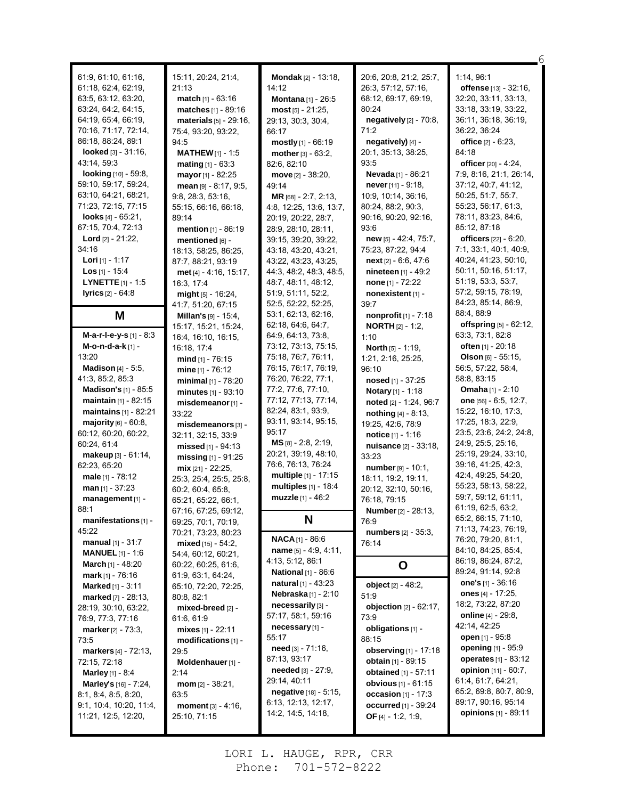61:9, 61:10, 61:16, 61:18, 62:4, 62:19, 63:5, 63:12, 63:20, 63:24, 64:2, 64:15, 64:19, 65:4, 66:19, 70:16, 71:17, 72:14, 86:18, 88:24, 89:1 **looked** [3] - 31:16, 43:14, 59:3 **looking** [10] - 59:8, 59:10, 59:17, 59:24, 63:10, 64:21, 68:21, 71:23, 72:15, 77:15 **looks** [4] - 65:21, 67:15, 70:4, 72:13 **Lord** [2] - 21:22, 34:16 **Lori** [1] - 1:17 **Los** [1] - 15:4 **LYNETTE**[1] - 1:5 **lyrics** [2] - 64:8 **M M-a-r-l-e-y-s** [1] - 8:3 **M-o-n-d-a-k** [1] - 13:20 **Madison** [4] - 5:5, 41:3, 85:2, 85:3 **Madison's** [1] - 85:5 **maintain** [1] - 82:15 **maintains** [1] - 82:21 **majority** [6] - 60:8, 60:12, 60:20, 60:22, 60:24, 61:4 **makeup** [3] - 61:14, 62:23, 65:20 **male** [1] - 78:12 **man** [1] - 37:23 **management** [1] - 88:1 **manifestations** [1] - 45:22 **manual** [1] - 31:7 **MANUEL** [1] - 1:6 **March** [1] - 48:20 **mark** [1] - 76:16 **Marked** [1] - 3:11 **marked** [7] - 28:13, 28:19, 30:10, 63:22, 76:9, 77:3, 77:16 **marker**[2] - 73:3, 73:5 **markers** [4] - 72:13, 72:15, 72:18 **Marley** [1] - 8:4 **Marley's** [16] - 7:24, 8:1, 8:4, 8:5, 8:20, 9:1, 10:4, 10:20, 11:4, 11:21, 12:5, 12:20,

15:11, 20:24, 21:4, 21:13 **match** [1] - 63:16 **matches** [1] - 89:16 **materials** [5] - 29:16, 75:4, 93:20, 93:22, 94:5 **MATHEW**[1] - 1:5 **mating** [1] - 63:3 **mayor**[1] - 82:25 **mean** [9] - 8:17, 9:5, 9:8, 28:3, 53:16, 55:15, 66:16, 66:18, 89:14 **mention** [1] - 86:19 **mentioned** [6] - 18:13, 58:25, 86:25, 87:7, 88:21, 93:19 **met** [4] - 4:16, 15:17, 16:3, 17:4 **might** [5] - 16:24, 41:7, 51:20, 67:15 **Millan's** [9] - 15:4, 15:17, 15:21, 15:24, 16:4, 16:10, 16:15, 16:18, 17:4 **mind** [1] - 76:15 **mine** [1] - 76:12 **minimal** [1] - 78:20 **minutes** [1] - 93:10 **misdemeanor**[1] - 33:22 **misdemeanors** [3] - 32:11, 32:15, 33:9 **missed** [1] - 94:13 **missing** [1] - 91:25 **mix** [21] - 22:25, 25:3, 25:4, 25:5, 25:8, 60:2, 60:4, 65:8, 65:21, 65:22, 66:1, 67:16, 67:25, 69:12, 69:25, 70:1, 70:19, 70:21, 73:23, 80:23 **mixed** [15] - 54:2, 54:4, 60:12, 60:21, 60:22, 60:25, 61:6, 61:9, 63:1, 64:24, 65:10, 72:20, 72:25, 80:8, 82:1 **mixed-breed** [2] - 61:6, 61:9 **mixes** [1] - 22:11 **modifications** [1] - 29:5 **Moldenhauer**[1] - 2:14 **mom** [2] - 38:21, 63:5 **moment** [3] - 4:16, 25:10, 71:15

**Mondak** [2] - 13:18, 14:12 **Montana** [1] - 26:5 **most** [5] - 21:25, 29:13, 30:3, 30:4, 66:17 **mostly** [1] - 66:19 **mother**[3] - 63:2, 82:6, 82:10 **move** [2] - 38:20, 49:14 **MR** [68] - 2:7, 2:13, 4:8, 12:25, 13:6, 13:7, 20:19, 20:22, 28:7, 28:9, 28:10, 28:11, 39:15, 39:20, 39:22, 43:18, 43:20, 43:21, 43:22, 43:23, 43:25, 44:3, 48:2, 48:3, 48:5, 48:7, 48:11, 48:12, 51:9, 51:11, 52:2, 52:5, 52:22, 52:25, 53:1, 62:13, 62:16, 62:18, 64:6, 64:7, 64:9, 64:13, 73:8, 73:12, 73:13, 75:15, 75:18, 76:7, 76:11, 76:15, 76:17, 76:19, 76:20, 76:22, 77:1, 77:2, 77:6, 77:10, 77:12, 77:13, 77:14, 82:24, 83:1, 93:9, 93:11, 93:14, 95:15, 95:17 **MS** [8] - 2:8, 2:19, 20:21, 39:19, 48:10, 76:6, 76:13, 76:24 **multiple** [1] - 17:15 **multiples** [1] - 18:4 **muzzle** [1] - 46:2 **N NACA**[1] - 86:6 **name** [5] - 4:9, 4:11, 4:13, 5:12, 86:1 **National** [1] - 86:6 **natural** [1] - 43:23 **Nebraska** [1] - 2:10 **necessarily** [3] - 57:17, 58:1, 59:16 **necessary** [1] - 55:17 **need** [3] - 71:16, 87:13, 93:17 **needed** [3] - 27:9, 29:14, 40:11 **negative** [18] - 5:15, 6:13, 12:13, 12:17, 14:2, 14:5, 14:18,

20:6, 20:8, 21:2, 25:7, 26:3, 57:12, 57:16, 68:12, 69:17, 69:19, 80:24 **negatively** [2] - 70:8, 71:2 **negatively)** [4] - 20:1, 35:13, 38:25, 93:5 **Nevada** [1] - 86:21 **never**[11] - 9:18, 10:9, 10:14, 36:16, 80:24, 88:2, 90:3, 90:16, 90:20, 92:16, 93:6 **new** [5] - 42:4, 75:7, 75:23, 87:22, 94:4 **next** [2] - 6:6, 47:6 **nineteen** [1] - 49:2 **none** [1] - 72:22 **nonexistent** [1] - 39:7 **nonprofit** [1] - 7:18 **NORTH** [2] - 1:2, 1:10 **North** [5] - 1:19, 1:21, 2:16, 25:25, 96:10 **nosed** [1] - 37:25 **Notary** [1] - 1:18 **noted** [2] - 1:24, 96:7 **nothing** [4] - 8:13, 19:25, 42:6, 78:9 **notice** [1] - 1:16 **nuisance** [2] - 33:18, 33:23 **number** [9] - 10:1, 18:11, 19:2, 19:11, 20:12, 32:10, 50:16, 76:18, 79:15 **Number**[2] - 28:13, 76:9 **numbers** [2] - 35:3, 76:14 **O object** [2] - 48:2, 51:9 **objection** [2] - 62:17, 73:9 **obligations** [1] - 88:15 **observing** [1] - 17:18 **obtain** [1] - 89:15 **obtained** [1] - 57:11 **obvious** [1] - 61:15 **occasion** [1] - 17:3 **occurred** [1] - 39:24 **OF** [4] - 1:2, 1:9,

1:14, 96:1 **offense** [13] - 32:16, 32:20, 33:11, 33:13, 33:18, 33:19, 33:22, 36:11, 36:18, 36:19, 36:22, 36:24 **office** [2] - 6:23, 84:18 **officer**[20] - 4:24, 7:9, 8:16, 21:1, 26:14, 37:12, 40:7, 41:12, 50:25, 51:7, 55:7, 55:23, 56:17, 61:3, 78:11, 83:23, 84:6, 85:12, 87:18 **officers** [22] - 6:20, 7:1, 33:1, 40:1, 40:9, 40:24, 41:23, 50:10, 50:11, 50:16, 51:17, 51:19, 53:3, 53:7, 57:2, 59:15, 78:19, 84:23, 85:14, 86:9, 88:4, 88:9 **offspring** [5] - 62:12, 63:3, 73:1, 82:8 **often** [1] - 20:18 **Olson** [6] - 55:15, 56:5, 57:22, 58:4, 58:8, 83:15 **Omaha** [1] - 2:10 **one** [56] - 6:5, 12:7, 15:22, 16:10, 17:3, 17:25, 18:3, 22:9, 23:5, 23:6, 24:2, 24:8, 24:9, 25:5, 25:16, 25:19, 29:24, 33:10, 39:16, 41:25, 42:3, 42:4, 49:25, 54:20, 55:23, 58:13, 58:22, 59:7, 59:12, 61:11, 61:19, 62:5, 63:2, 65:2, 66:15, 71:10, 71:13, 74:23, 76:19, 76:20, 79:20, 81:1, 84:10, 84:25, 85:4, 86:19, 86:24, 87:2, 89:24, 91:14, 92:8 **one's** [1] - 36:16 **ones** [4] - 17:25, 18:2, 73:22, 87:20 **online** [4] - 29:8, 42:14, 42:25 **open** [1] - 95:8 **opening** [1] - 95:9 **operates** [1] - 83:12 **opinion** [11] - 60:7, 61:4, 61:7, 64:21, 65:2, 69:8, 80:7, 80:9, 89:17, 90:16, 95:14 **opinions** [1] - 89:11

6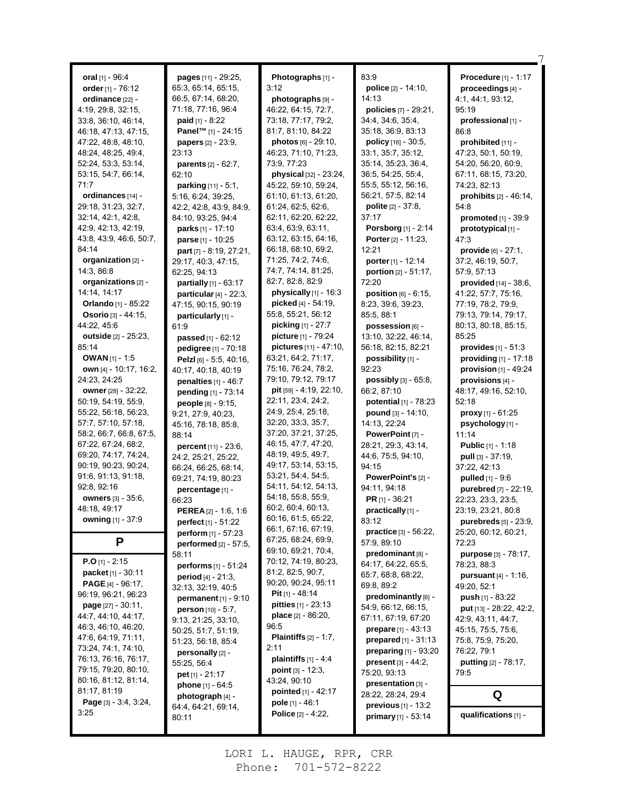|                                            |                                                     | Photographs [1] -                          | 83.9                                      | Procedure [1] - 1:17                       |
|--------------------------------------------|-----------------------------------------------------|--------------------------------------------|-------------------------------------------|--------------------------------------------|
| oral $[1]$ - 96:4                          | pages [11] - 29:25,<br>65:3, 65:14, 65:15,          | 3:12                                       | police [2] - 14:10,                       |                                            |
| order [1] - 76:12                          |                                                     |                                            | 14:13                                     | proceedings [4] -                          |
| ordinance [22] -                           | 66:5, 67:14, 68:20,                                 | photographs [9] -                          | policies [7] - 29:21,                     | 4:1, 44:1, 93:12,<br>95:19                 |
| 4:19, 29:8, 32:15,                         | 71:18, 77:16, 96:4                                  | 46.22, 64:15, 72.7,<br>73:18, 77:17, 79:2, | 34:4, 34:6, 35:4,                         |                                            |
| 33.8, 36.10, 46.14,                        | <b>paid</b> $[1] - 8:22$                            |                                            | 35:18, 36:9, 83:13                        | professional [1] -<br>86.8                 |
| 46:18, 47:13, 47:15,                       | Panel <sup>™</sup> [1] - 24:15                      | 81:7, 81:10, 84:22<br>photos [6] - 29:10,  |                                           |                                            |
| 47:22, 48:8, 48:10,<br>48:24, 48:25, 49:4, | papers [2] - 23:9,<br>23:13                         | 46:23, 71:10, 71:23,                       | policy [16] - 30:5,<br>33:1, 35:7, 35:12, | prohibited $[11]$ -<br>47:23, 50:1, 50:19, |
| 52:24, 53:3, 53:14,                        |                                                     | 73:9, 77:23                                | 35:14, 35:23, 36:4,                       | 54:20, 56:20, 60:9,                        |
| 53:15, 54:7, 66:14,                        | <b>parents</b> $[2] - 62:7$ ,<br>62:10              | physical [32] - 23:24,                     | 36:5, 54:25, 55:4,                        | 67:11, 68:15, 73:20,                       |
| 71:7                                       | parking [11] - 5:1,                                 | 45:22, 59:10, 59:24,                       | 55:5, 55:12, 56:16,                       | 74:23, 82:13                               |
| ordinances [14] -                          | 5:16, 6:24, 39:25,                                  | 61:10, 61:13, 61:20,                       | 56:21, 57:5, 82:14                        | prohibits $[2] - 46.14$ ,                  |
| 29:18, 31:23, 32:7,                        | 42.2, 42.8, 43.9, 84.9,                             | 61:24, 62:5, 62:6,                         | polite [2] - 37:8,                        | 54:8                                       |
| 32:14, 42:1, 42:8,                         | 84:10, 93:25, 94:4                                  | 62:11, 62:20, 62:22,                       | 37:17                                     | promoted [1] - 39:9                        |
| 42:9, 42:13, 42:19,                        | parks [1] - 17:10                                   | 63:4, 63:9, 63:11,                         | Porsborg [1] - 2:14                       | prototypical [1] -                         |
| 43.8, 43.9, 46.6, 50.7,                    | parse [1] - 10:25                                   | 63:12, 63:15, 64:16,                       | Porter [2] - 11:23,                       | 47:3                                       |
| 84:14                                      | part [7] - 8:19, 27:21,                             | 66.18, 68.10, 69.2,                        | 12:21                                     | provide [6] - 27:1,                        |
| organization [2] -                         | 29:17, 40:3, 47:15,                                 | 71:25, 74:2, 74:6,                         | porter [1] - 12:14                        | 37:2, 46:19, 50:7,                         |
| 14:3, 86:8                                 | 62:25, 94:13                                        | 74:7, 74:14, 81:25,                        | portion [2] - 51:17,                      | 57:9, 57:13                                |
| organizations [2] -                        |                                                     | 82:7, 82:8, 82:9                           | 72:20                                     | provided [14] - 38:6,                      |
| 14:14, 14:17                               | partially [1] - 63:17                               | physically [1] - 16:3                      | position $[6]$ - $6:15$ .                 | 41:22, 57:7, 75:16,                        |
| <b>Orlando</b> [1] - 85:22                 | particular $[4]$ - 22:3,<br>47:15, 90:15, 90:19     | picked [4] - 54:19,                        | 8:23, 39:6, 39:23,                        | 77:19, 78:2, 79:9,                         |
| <b>Osorio</b> $[3] - 44:15$ ,              |                                                     | 55:8, 55:21, 56:12                         | 85:5, 88:1                                | 79:13, 79:14, 79:17,                       |
| 44:22, 45:6                                | particularly [1] -<br>61:9                          | picking [1] - 27:7                         | possession [6] -                          | 80:13, 80:18, 85:15,                       |
| <b>outside</b> [2] - 25:23,                |                                                     | picture [1] - 79:24                        | 13:10, 32:22, 46:14,                      | 85:25                                      |
| 85:14                                      | <b>passed</b> [1] - $62:12$<br>pedigree [1] - 70:18 | pictures [11] - 47:10,                     | 56:18, 82:15, 82:21                       | <b>provides</b> $[1] - 51:3$               |
| <b>OWAN</b> [1] - 1:5                      | Pelzl [6] - 5:5, 40:16,                             | 63.21, 64.2, 71.17,                        | possibility [1] -                         | providing $[1]$ - 17:18                    |
| own [4] - 10:17, 16:2,                     | 40:17, 40:18, 40:19                                 | 75:16, 76:24, 78:2,                        | 92:23                                     | provision $[1]$ - 49:24                    |
| 24:23, 24:25                               | penalties $[1] - 46:7$                              | 79:10, 79:12, 79:17                        | <b>possibly</b> $[3] - 65.8$ ,            | provisions [4] -                           |
| owner [28] - 32:22,                        |                                                     | pit [59] - 4:19, 22:10,                    | 66:2, 87:10                               | 48:17, 49:16, 52:10,                       |
| 50:19, 54:19, 55:9,                        | pending [1] - 73:14<br>people [8] - 9:15,           | 22:11, 23:4, 24:2,                         | potential [1] - 78:23                     | 52:18                                      |
| 55:22, 56:18, 56:23,                       | 9:21, 27:9, 40:23,                                  | 24.9, 25.4, 25.18,                         | pound [3] - 14:10,                        | <b>proxy</b> [1] - $61:25$                 |
| 57:7, 57:10, 57:18,                        | 45:16, 78:18, 85:8,                                 | 32:20, 33:3, 35:7,                         | 14:13, 22:24                              | psychology[1] -                            |
| 58:2, 66:7, 66:8, 67:5,                    | 88:14                                               | 37:20, 37:21, 37:25,                       | PowerPoint [7] -                          | 11:14                                      |
| 67:22, 67:24, 68:2,                        | percent [11] - 23:6,                                | 46:15, 47:7, 47:20,                        | 28:21, 29:3, 43:14,                       | <b>Public [1] - 1:18</b>                   |
| 69:20, 74:17, 74:24,                       | 24:2, 25:21, 25:22,                                 | 48:19, 49:5, 49:7,                         | 44:6, 75:5, 94:10,                        | pull [3] - 37:19,                          |
| 90:19, 90:23, 90:24,                       | 66:24, 66:25, 68:14,                                | 49:17, 53:14, 53:15,                       | 94:15                                     | 37:22, 42:13                               |
| 91:6, 91:13, 91:18,                        | 69:21, 74:19, 80:23                                 | 53:21, 54:4, 54:5,                         | PowerPoint's [2] -                        | pulled [1] - 9:6                           |
| 92:8, 92:16                                | percentage [1] -                                    | 54:11, 54:12, 54:13,                       | 94:11, 94:18                              | purebred [7] - 22:19,                      |
| <b>owners</b> [3] - 35:6,                  | 66:23                                               | 54:18, 55:8, 55:9,                         | <b>PR</b> [1] - 36:21                     | 22.23, 23.3, 23.5,                         |
| 48:18, 49:17                               | <b>PEREA</b> [2] - 1:6, 1:6                         | 60.2, 60.4, 60.13,                         | practically [1] -                         | 23:19, 23:21, 80:8                         |
| owning [1] - 37:9                          | perfect [1] - 51:22                                 | 60:16, 61:5, 65:22,                        | 83:12                                     | purebreds [5] - 23:9,                      |
|                                            | perform [1] - 57:23                                 | 66:1, 67:16, 67:19,                        | practice [3] - 56:22,                     | 25:20, 60:12, 60:21,                       |
| P                                          | performed [2] - 57:5,                               | 67:25, 68:24, 69:9,                        | 57:9, 89:10                               | 72:23                                      |
|                                            | 58:11                                               | 69.10, 69.21, 70.4,                        | predominant [8] -                         | purpose [3] - 78:17,                       |
| <b>P.O</b> [1] - 2:15                      | performs [1] - 51:24                                | 70:12, 74:19, 80:23,                       | 64:17, 64:22, 65:5,                       | 78:23, 88:3                                |
| packet [1] - 30:11                         | period [4] - 21:3,                                  | 81:2, 82:5, 90:7,                          | 65:7, 68:8, 68:22,                        | <b>pursuant</b> $[4] - 1:16$ ,             |
| PAGE [4] - 96:17,                          | 32:13, 32:19, 40:5                                  | 90:20, 90:24, 95:11                        | 69:8, 89:2                                | 49:20, 52:1                                |
| 96:19, 96:21, 96:23                        | <b>permanent</b> $[1] - 9:10$                       | <b>Pit</b> $[1]$ - 48:14                   | predominantly [6] -                       | push $[1] - 83:22$                         |
| <b>page</b> $[27] - 30:11$ ,               | <b>person</b> $[10] - 5:7$ ,                        | <b>pitties</b> $[1]$ - 23:13               | 54:9, 66:12, 66:15,                       | put [13] - 28:22, 42:2,                    |
| 44: 7, 44: 10, 44: 17,                     | 9:13, 21:25, 33:10,                                 | <b>place</b> $[2] - 86:20$                 | 67:11, 67:19, 67:20                       | 42:9, 43:11, 44:7,                         |
| 46.3, 46.10, 46.20,                        | 50:25, 51:7, 51:19,                                 | 96:5                                       | prepare $[1] - 43:13$                     | 45:15, 75:5, 75:6,                         |
| 47.6, 64.19, 71.11,                        | 51:23, 56:18, 85:4                                  | <b>Plaintiffs</b> $[2] - 1:7$ ,            | prepared [1] - 31:13                      | 75.8, 75.9, 75.20,                         |
| 73:24, 74:1, 74:10,                        | personally [2] -                                    | 2:11                                       | preparing [1] - 93:20                     | 76:22, 79:1                                |
| 76:13, 76:16, 76:17,                       | 55:25, 56:4                                         | plaintiffs [1] - 4:4                       | <b>present</b> $[3] - 44:2$ ,             | <b>putting</b> [2] - 78:17,                |
| 79:15, 79:20, 80:10,                       | pet $[1] - 21:17$                                   | point [3] - 12:3,                          | 75:20, 93:13                              | 79:5                                       |
| 80.16, 81.12, 81.14,                       | phone [1] - 64:5                                    | 43:24, 90:10                               | presentation [3] -                        |                                            |
| 81:17, 81:19                               | photograph [4] -                                    | pointed [1] - 42:17                        | 28:22, 28:24, 29:4                        | Q                                          |
| <b>Page</b> $[3] - 3.4, 3.24,$             | 64:4, 64:21, 69:14,                                 | pole [1] - 46:1                            | previous [1] - 13:2                       |                                            |
| 3:25                                       | 80:11                                               | <b>Police</b> [2] - 4:22,                  | primary [1] - 53:14                       | qualifications [1] -                       |
|                                            |                                                     |                                            |                                           |                                            |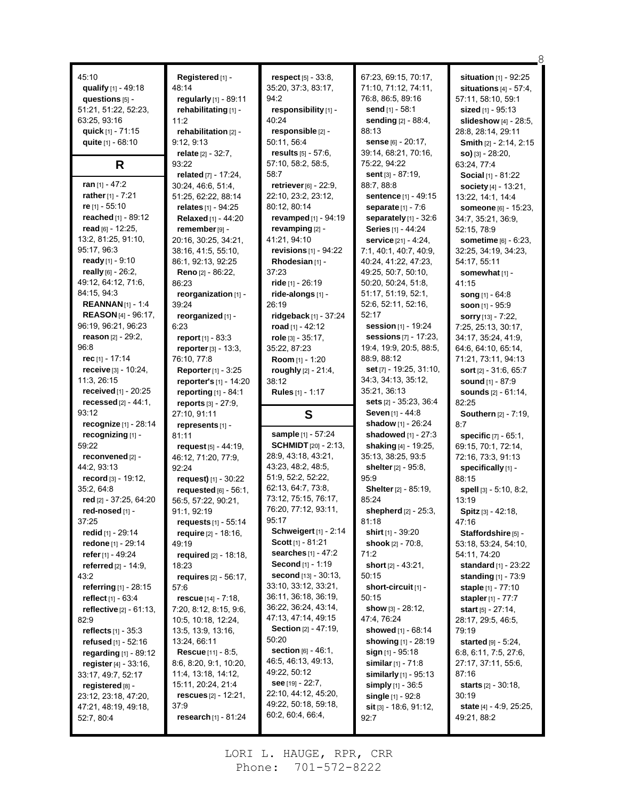| 45:10                             |                              |                                | 67:23, 69:15, 70:17,          |                                |
|-----------------------------------|------------------------------|--------------------------------|-------------------------------|--------------------------------|
|                                   | Registered [1] -             | respect [5] - 33:8,            | 71:10, 71:12, 74:11,          | situation [1] - 92:25          |
| qualify [1] - 49:18               | 48:14                        | 35:20, 37:3, 83:17,            |                               | situations $[4] - 57:4$ ,      |
| questions [5] -                   | regularly [1] - 89:11        | 94.2                           | 76:8, 86:5, 89:16             | 57:11, 58:10, 59:1             |
| 51:21, 51:22, 52.23,              | rehabilitating [1] -         | responsibility [1] -           | send [1] - 58:1               | sized [1] - 95:13              |
| 63.25, 93.16                      | 11:2                         | 40.24                          | sending [2] - 88:4,           | slideshow [4] - 28:5,          |
| quick [1] - 71:15                 | rehabilitation [2] -         | responsible [2] -              | 88:13                         | 28:8, 28:14, 29:11             |
| quite [1] - 68:10                 | 9:12, 9:13                   | 50:11, 56:4                    | sense [6] - 20:17,            | Smith [2] - 2:14, 2:15         |
|                                   | relate $[2] - 32:7$ ,        | results $[5] - 57:6$ ,         | 39:14, 68:21, 70:16,          | $so)$ [3] - 28:20,             |
| R                                 | 93:22                        | 57:10, 58:2, 58:5,             | 75:22, 94:22                  | 63:24, 77:4                    |
|                                   | related [7] - 17:24,         | 58:7                           | sent $[3] - 87:19$ ,          | <b>Social</b> $[1] - 81.22$    |
| ran $[1] - 47:2$                  | 30:24, 46:6, 51:4,           | retriever [6] - 22:9,          | 88:7, 88:8                    | society [4] - 13:21,           |
| rather [1] - 7:21                 | 51:25, 62:22, 88:14          | 22:10, 23:2, 23:12,            | sentence [1] - 49:15          | 13:22, 14:1, 14:4              |
| re $[1] - 55:10$                  | relates [1] - 94:25          | 80:12, 80:14                   | <b>separate</b> $[1] - 7.6$   | someone [6] - 15:23,           |
| reached [1] - 89:12               | Relaxed [1] - 44:20          | revamped [1] - 94:19           | separately [1] - 32:6         | 34:7, 35:21, 36:9,             |
| read [6] - 12:25,                 | remember [9] -               | revamping [2] -                | Series [1] - 44:24            | 52.15, 78.9                    |
| 13:2, 81:25, 91:10,               | 20:16, 30:25, 34:21,         | 41:21, 94:10                   | service [21] - 4:24,          | <b>sometime</b> [6] - 6.23,    |
| 95:17, 96:3                       | 38:16, 41:5, 55:10,          | revisions $[1]$ - 94:22        | 7:1, 40:1, 40:7, 40:9,        | 32:25, 34:19, 34:23,           |
| ready [1] - $9:10$                | 86:1, 92:13, 92:25           | Rhodesian [1] -                | 40:24, 41:22, 47:23,          | 54:17, 55:11                   |
| really $[6] - 26:2$ ,             | Reno [2] - 86:22,            | 37:23                          | 49:25, 50:7, 50:10,           | somewhat [1] -                 |
| 49.12, 64:12, 71:6,               | 86:23                        | ride [1] - 26:19               | 50:20, 50:24, 51:8,           | 41:15                          |
| 84:15, 94:3                       | reorganization [1] -         | ride-alongs [1] -              | 51:17, 51:19, 52:1,           | song $[1] - 64.8$              |
| <b>REANNAN</b> $[1] - 1:4$        | 39:24                        | 26:19                          | 52:6, 52:11, 52:16,           | soon [1] - 95:9                |
| <b>REASON</b> [4] - 96:17,        | reorganized [1] -            | ridgeback $[1]$ - 37:24        | 52:17                         | sorry [13] - 7:22,             |
| 96:19, 96:21, 96:23               | 6:23                         | road $[1] - 42:12$             | session [1] - 19:24           | 7:25, 25:13, 30:17,            |
| reason $[2] - 29:2$ ,             | report [1] - 83:3            | role [3] - 35:17.              | sessions [7] - 17:23,         | 34:17, 35:24, 41:9,            |
| 96:8                              | reporter [3] - 13:3,         | 35:22, 87:23                   | 19:4, 19:9, 20:5, 88:5,       | 64:6, 64:10, 65:14,            |
| rec $[1] - 17:14$                 | 76:10, 77:8                  | Room [1] - 1:20                | 88:9, 88:12                   | 71:21, 73:11, 94:13            |
| receive $[3] - 10.24$ ,           | <b>Reporter</b> $[1] - 3:25$ | roughly $[2] - 21:4$ ,         | set $[7]$ - 19:25, 31:10,     | sort [2] - 31:6, 65:7          |
| 11:3, 26:15                       | reporter's [1] - 14:20       | 38:12                          | 34:3, 34:13, 35:12,           | sound [1] - 87:9               |
| received [1] - 20:25              | reporting [1] - 84:1         | <b>Rules</b> [1] - 1:17        | 35:21, 36:13                  | sounds [2] - 61:14,            |
|                                   |                              |                                |                               |                                |
| recessed $[2] - 44.1$ ,           | reports $[3] - 27:9$ ,       |                                | sets [2] - 35:23, 36:4        | 82:25                          |
| 93:12                             | 27:10, 91:11                 | S                              | <b>Seven</b> $[1] - 44.8$     | <b>Southern</b> [2] - 7:19,    |
| recognize [1] - 28:14             | represents [1] -             |                                | shadow [1] - 26:24            | 8:7                            |
| recognizing [1] -                 | 81:11                        | sample [1] - 57:24             | shadowed [1] - 27:3           | specific [7] - 65:1,           |
| 59:22                             | request $[5] - 44:19$ .      | <b>SCHMIDT</b> [20] - 2:13,    | shaking [4] - 19:25,          | 69:15, 70:1, 72:14,            |
| reconvened [2] -                  | 46:12, 71:20, 77:9,          | 28.9, 43.18, 43.21,            | 35:13, 38:25, 93:5            | 72:16, 73:3, 91:13             |
| 44:2, 93:13                       | 92:24                        | 43:23, 48:2, 48:5,             | <b>shelter</b> [2] - 95:8,    | specifically [1] -             |
| record [3] - 19:12,               | request) $[1] - 30:22$       | 51:9, 52:2, 52:22,             | 95:9                          | 88:15                          |
| 35:2, 64:8                        | requested [6] - 56:1,        | 62:13, 64:7, 73:8,             | <b>Shelter</b> [2] - 85:19,   | spell [3] - 5:10, 8:2,         |
| red [2] - 37:25, 64:20            | 56:5, 57:22, 90:21,          | 73:12, 75:15, 76:17,           | 85:24                         | 13:19                          |
| red-nosed [1] -                   | 91:1, 92:19                  | 76:20, 77:12, 93:11,           | shepherd $[2] - 25:3$ ,       | <b>Spitz</b> $[3] - 42:18$ ,   |
| 37:25                             | requests [1] - 55:14         | 95:17                          | 81:18                         | 47:16                          |
| <b>redid</b> [1] - 29:14          | <b>require</b> [2] - 18:16,  | <b>Schweigert</b> [1] - 2:14   | shirt [1] - 39:20             | Staffordshire [5] -            |
| redone [1] - 29:14                | 49:19                        | <b>Scott</b> $[1] - 81:21$     | shook [2] - 70:8,             | 53:18, 53:24, 54:10,           |
| refer [1] - 49:24                 | required $[2] - 18:18$ ,     | <b>searches</b> $[1] - 47:2$   | 71:2                          | 54:11, 74:20                   |
| referred $[2] - 14.9$ ,           | 18:23                        | Second [1] - 1:19              | short $[2] - 43.21$ ,         | <b>standard</b> $[1]$ - 23:22  |
| 43:2                              | requires $[2] - 56:17$ ,     | <b>second</b> $[13] - 30:13$ , | 50:15                         | <b>standing</b> $[1]$ - 73:9   |
| referring [1] - 28:15             | 57:6                         | 33:10, 33:12, 33:21,           | short-circuit [1] -           | <b>staple</b> [1] - 77:10      |
| reflect [1] - 63:4                | rescue $[14] - 7:18$ ,       | 36:11, 36:18, 36:19,           | 50:15                         | <b>stapler</b> [1] - 77:7      |
| <b>reflective</b> $[2] - 61:13$ , | 7:20, 8:12, 8:15, 9:6,       | 36:22, 36:24, 43:14,           | show [3] - 28:12,             | <b>start</b> [5] - $27:14$ ,   |
| 82.9                              | 10:5, 10:18, 12:24,          | 47:13, 47:14, 49:15            | 47:4, 76:24                   | 28:17, 29:5, 46:5,             |
| reflects $[1] - 35:3$             | 13:5, 13:9, 13:16,           | <b>Section</b> $[2] - 47:19$ , | showed [1] - 68:14            | 79:19                          |
| <b>refused</b> $[1] - 52:16$      | 13:24, 66:11                 | 50:20                          | showing [1] - 28:19           | started $[9] - 5:24$ ,         |
| regarding $[1]$ - 89:12           | <b>Rescue</b> $[11] - 8.5$ , | <b>section</b> $[6] - 46:1$ ,  | sign $[1]$ - 95:18            | 6:8, 6:11, 7:5, 27:6,          |
| register $[4] - 33:16$ ,          | 8:6, 8:20, 9:1, 10:20,       | 46.5, 46.13, 49.13,            | similar $[1] - 71.8$          | 27:17, 37:11, 55:6,            |
| 33:17, 49:7, 52:17                | 11:4, 13:18, 14:12,          | 49:22, 50:12                   | similarly $[1]$ - 95:13       | 87:16                          |
| registered [8] -                  | 15:11, 20:24, 21:4           | see $[19] - 22:7$ ,            | simply $[1] - 36.5$           | <b>starts</b> $[2] - 30.18$ ,  |
| 23:12, 23:18, 47:20,              | rescues $[2] - 12:21$ ,      | 22:10, 44:12, 45:20,           | single [1] - 92:8             | 30:19                          |
| 47:21, 48:19, 49:18,              | 37:9                         | 49:22, 50:18, 59:18,           | <b>sit</b> [3] - 18:6, 91:12, | <b>state</b> [4] - 4:9, 25:25, |
| 52:7, 80:4                        | research [1] - 81:24         | 60.2, 60.4, 66.4,              | 92:7                          | 49:21, 88:2                    |